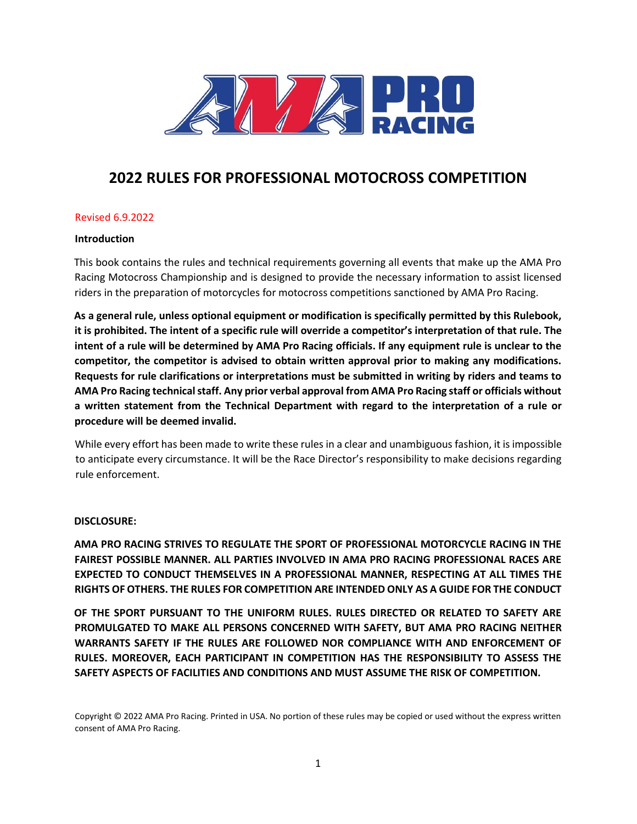

# **2022 RULES FOR PROFESSIONAL MOTOCROSS COMPETITION**

#### Revised 6.9.2022

#### **Introduction**

This book contains the rules and technical requirements governing all events that make up the AMA Pro Racing Motocross Championship and is designed to provide the necessary information to assist licensed riders in the preparation of motorcycles for motocross competitions sanctioned by AMA Pro Racing.

**As a general rule, unless optional equipment or modification is specifically permitted by this Rulebook, it is prohibited. The intent of a specific rule will override a competitor's interpretation of that rule. The intent of a rule will be determined by AMA Pro Racing officials. If any equipment rule is unclear to the competitor, the competitor is advised to obtain written approval prior to making any modifications. Requests for rule clarifications or interpretations must be submitted in writing by riders and teams to AMA Pro Racing technical staff. Any prior verbal approval from AMA Pro Racing staff or officials without a written statement from the Technical Department with regard to the interpretation of a rule or procedure will be deemed invalid.** 

While every effort has been made to write these rules in a clear and unambiguous fashion, it is impossible to anticipate every circumstance. It will be the Race Director's responsibility to make decisions regarding rule enforcement.

#### **DISCLOSURE:**

**AMA PRO RACING STRIVES TO REGULATE THE SPORT OF PROFESSIONAL MOTORCYCLE RACING IN THE FAIREST POSSIBLE MANNER. ALL PARTIES INVOLVED IN AMA PRO RACING PROFESSIONAL RACES ARE EXPECTED TO CONDUCT THEMSELVES IN A PROFESSIONAL MANNER, RESPECTING AT ALL TIMES THE RIGHTS OF OTHERS. THE RULES FOR COMPETITION ARE INTENDED ONLY AS A GUIDE FOR THE CONDUCT** 

**OF THE SPORT PURSUANT TO THE UNIFORM RULES. RULES DIRECTED OR RELATED TO SAFETY ARE PROMULGATED TO MAKE ALL PERSONS CONCERNED WITH SAFETY, BUT AMA PRO RACING NEITHER WARRANTS SAFETY IF THE RULES ARE FOLLOWED NOR COMPLIANCE WITH AND ENFORCEMENT OF RULES. MOREOVER, EACH PARTICIPANT IN COMPETITION HAS THE RESPONSIBILITY TO ASSESS THE SAFETY ASPECTS OF FACILITIES AND CONDITIONS AND MUST ASSUME THE RISK OF COMPETITION.** 

Copyright © 2022 AMA Pro Racing. Printed in USA. No portion of these rules may be copied or used without the express written consent of AMA Pro Racing.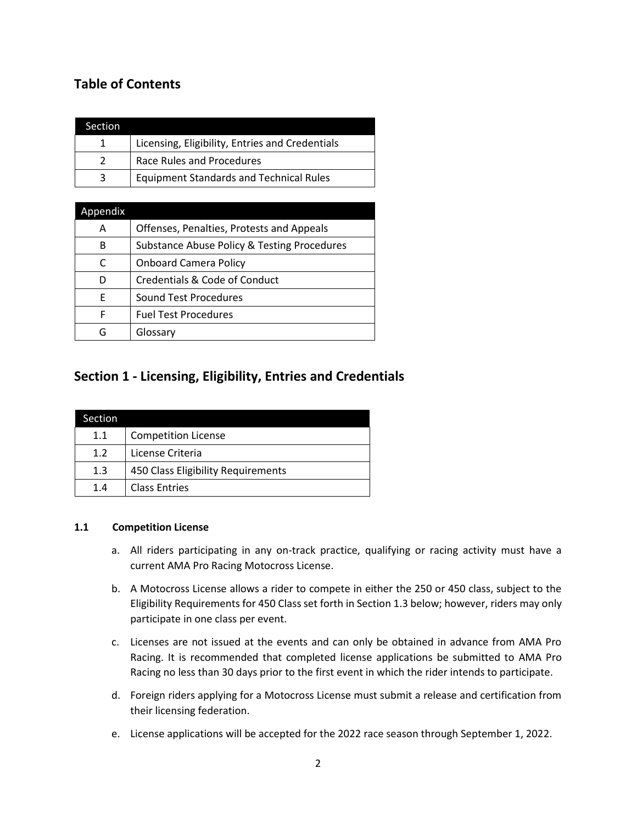# **Table of Contents**

| Section       |                                                 |
|---------------|-------------------------------------------------|
| 1             | Licensing, Eligibility, Entries and Credentials |
| $\mathcal{L}$ | Race Rules and Procedures                       |
|               | <b>Equipment Standards and Technical Rules</b>  |

| Appendix |                                             |
|----------|---------------------------------------------|
| Α        | Offenses, Penalties, Protests and Appeals   |
| В        | Substance Abuse Policy & Testing Procedures |
| C        | <b>Onboard Camera Policy</b>                |
| D        | Credentials & Code of Conduct               |
| F        | Sound Test Procedures                       |
| F        | <b>Fuel Test Procedures</b>                 |
|          | Glossary                                    |

# **Section 1 - Licensing, Eligibility, Entries and Credentials**

| Section |                                    |
|---------|------------------------------------|
| 1.1     | <b>Competition License</b>         |
| 1.2     | License Criteria                   |
| 1.3     | 450 Class Eligibility Requirements |
| 1.4     | <b>Class Entries</b>               |

#### **1.1 Competition License**

- a. All riders participating in any on-track practice, qualifying or racing activity must have a current AMA Pro Racing Motocross License.
- b. A Motocross License allows a rider to compete in either the 250 or 450 class, subject to the Eligibility Requirements for 450 Class set forth in Section 1.3 below; however, riders may only participate in one class per event.
- c. Licenses are not issued at the events and can only be obtained in advance from AMA Pro Racing. It is recommended that completed license applications be submitted to AMA Pro Racing no less than 30 days prior to the first event in which the rider intends to participate.
- d. Foreign riders applying for a Motocross License must submit a release and certification from their licensing federation.
- e. License applications will be accepted for the 2022 race season through September 1, 2022.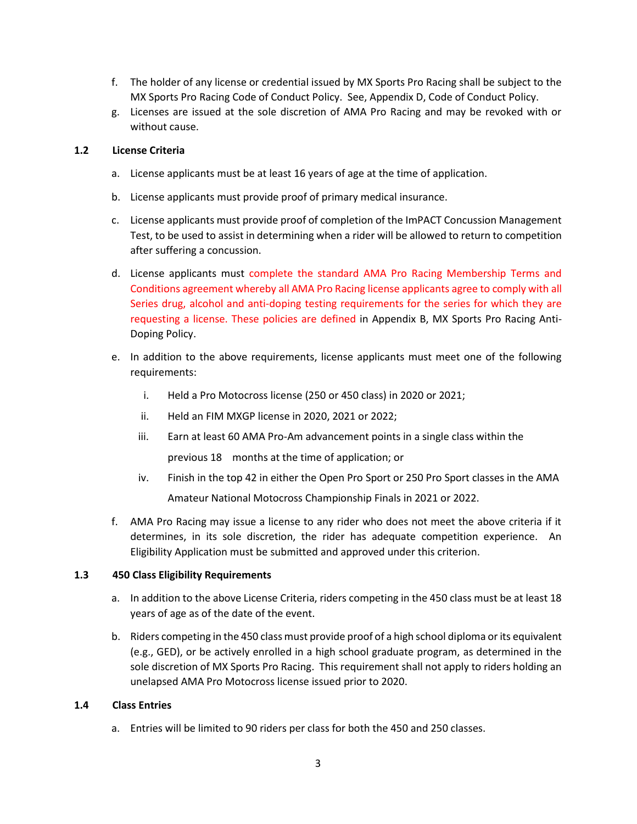- f. The holder of any license or credential issued by MX Sports Pro Racing shall be subject to the MX Sports Pro Racing Code of Conduct Policy. See, Appendix D, Code of Conduct Policy.
- g. Licenses are issued at the sole discretion of AMA Pro Racing and may be revoked with or without cause.

#### **1.2 License Criteria**

- a. License applicants must be at least 16 years of age at the time of application.
- b. License applicants must provide proof of primary medical insurance.
- c. License applicants must provide proof of completion of the ImPACT Concussion Management Test, to be used to assist in determining when a rider will be allowed to return to competition after suffering a concussion.
- d. License applicants must complete the standard AMA Pro Racing Membership Terms and Conditions agreement whereby all AMA Pro Racing license applicants agree to comply with all Series drug, alcohol and anti-doping testing requirements for the series for which they are requesting a license. These policies are defined in Appendix B, MX Sports Pro Racing Anti-Doping Policy.
- e. In addition to the above requirements, license applicants must meet one of the following requirements:
	- i. Held a Pro Motocross license (250 or 450 class) in 2020 or 2021;
	- ii. Held an FIM MXGP license in 2020, 2021 or 2022;
	- iii. Earn at least 60 AMA Pro-Am advancement points in a single class within the previous 18 months at the time of application; or
	- iv. Finish in the top 42 in either the Open Pro Sport or 250 Pro Sport classes in the AMA Amateur National Motocross Championship Finals in 2021 or 2022.
- f. AMA Pro Racing may issue a license to any rider who does not meet the above criteria if it determines, in its sole discretion, the rider has adequate competition experience. An Eligibility Application must be submitted and approved under this criterion.

#### **1.3 450 Class Eligibility Requirements**

- a. In addition to the above License Criteria, riders competing in the 450 class must be at least 18 years of age as of the date of the event.
- b. Riders competing in the 450 class must provide proof of a high school diploma or its equivalent (e.g., GED), or be actively enrolled in a high school graduate program, as determined in the sole discretion of MX Sports Pro Racing. This requirement shall not apply to riders holding an unelapsed AMA Pro Motocross license issued prior to 2020.

#### **1.4 Class Entries**

a. Entries will be limited to 90 riders per class for both the 450 and 250 classes.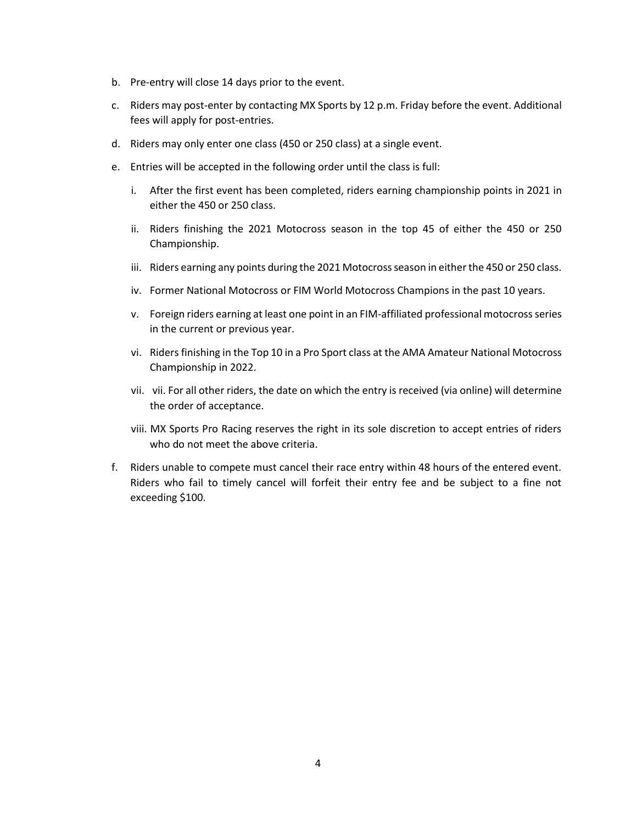- b. Pre-entry will close 14 days prior to the event.
- c. Riders may post-enter by contacting MX Sports by 12 p.m. Friday before the event. Additional fees will apply for post-entries.
- d. Riders may only enter one class (450 or 250 class) at a single event.
- e. Entries will be accepted in the following order until the class is full:
	- i. After the first event has been completed, riders earning championship points in 2021 in either the 450 or 250 class.
	- ii. Riders finishing the 2021 Motocross season in the top 45 of either the 450 or 250 Championship.
	- iii. Riders earning any points during the 2021 Motocross season in either the 450 or 250 class.
	- iv. Former National Motocross or FIM World Motocross Champions in the past 10 years.
	- v. Foreign riders earning at least one point in an FIM-affiliated professional motocross series in the current or previous year.
	- vi. Riders finishing in the Top 10 in a Pro Sport class at the AMA Amateur National Motocross Championship in 2022.
	- vii. vii. For all other riders, the date on which the entry is received (via online) will determine the order of acceptance.
	- viii. MX Sports Pro Racing reserves the right in its sole discretion to accept entries of riders who do not meet the above criteria.
- f. Riders unable to compete must cancel their race entry within 48 hours of the entered event. Riders who fail to timely cancel will forfeit their entry fee and be subject to a fine not exceeding \$100.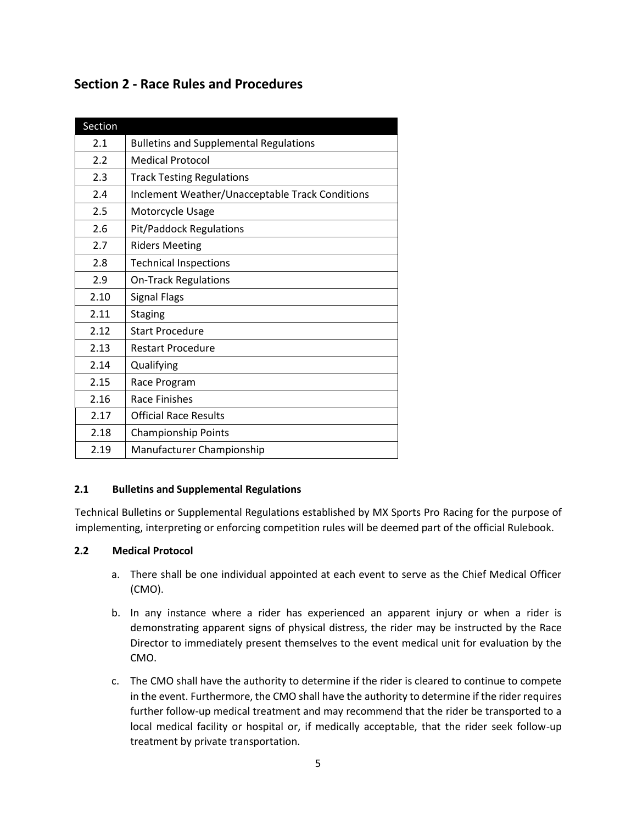# **Section 2 - Race Rules and Procedures**

| Section |                                                 |
|---------|-------------------------------------------------|
| 2.1     | <b>Bulletins and Supplemental Regulations</b>   |
| 2.2     | <b>Medical Protocol</b>                         |
| 2.3     | <b>Track Testing Regulations</b>                |
| 2.4     | Inclement Weather/Unacceptable Track Conditions |
| 2.5     | Motorcycle Usage                                |
| 2.6     | <b>Pit/Paddock Regulations</b>                  |
| 2.7     | <b>Riders Meeting</b>                           |
| 2.8     | <b>Technical Inspections</b>                    |
| 2.9     | <b>On-Track Regulations</b>                     |
| 2.10    | <b>Signal Flags</b>                             |
| 2.11    | <b>Staging</b>                                  |
| 2.12    | <b>Start Procedure</b>                          |
| 2.13    | <b>Restart Procedure</b>                        |
| 2.14    | Qualifying                                      |
| 2.15    | Race Program                                    |
| 2.16    | Race Finishes                                   |
| 2.17    | <b>Official Race Results</b>                    |
| 2.18    | <b>Championship Points</b>                      |
| 2.19    | Manufacturer Championship                       |

## **2.1 Bulletins and Supplemental Regulations**

Technical Bulletins or Supplemental Regulations established by MX Sports Pro Racing for the purpose of implementing, interpreting or enforcing competition rules will be deemed part of the official Rulebook.

#### **2.2 Medical Protocol**

- a. There shall be one individual appointed at each event to serve as the Chief Medical Officer (CMO).
- b. In any instance where a rider has experienced an apparent injury or when a rider is demonstrating apparent signs of physical distress, the rider may be instructed by the Race Director to immediately present themselves to the event medical unit for evaluation by the CMO.
- c. The CMO shall have the authority to determine if the rider is cleared to continue to compete in the event. Furthermore, the CMO shall have the authority to determine if the rider requires further follow-up medical treatment and may recommend that the rider be transported to a local medical facility or hospital or, if medically acceptable, that the rider seek follow-up treatment by private transportation.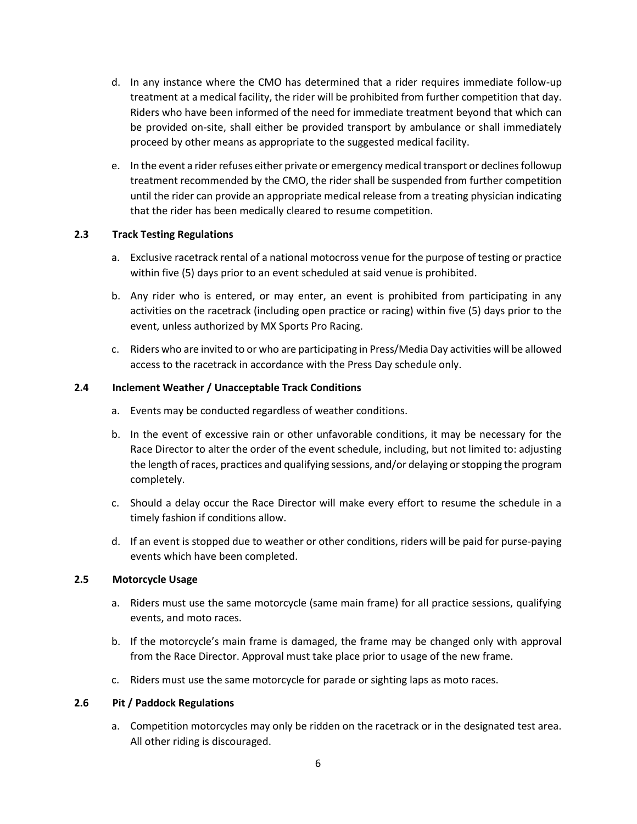- d. In any instance where the CMO has determined that a rider requires immediate follow-up treatment at a medical facility, the rider will be prohibited from further competition that day. Riders who have been informed of the need for immediate treatment beyond that which can be provided on-site, shall either be provided transport by ambulance or shall immediately proceed by other means as appropriate to the suggested medical facility.
- e. In the event a rider refuses either private or emergency medical transport or declines followup treatment recommended by the CMO, the rider shall be suspended from further competition until the rider can provide an appropriate medical release from a treating physician indicating that the rider has been medically cleared to resume competition.

## **2.3 Track Testing Regulations**

- a. Exclusive racetrack rental of a national motocross venue for the purpose of testing or practice within five (5) days prior to an event scheduled at said venue is prohibited.
- b. Any rider who is entered, or may enter, an event is prohibited from participating in any activities on the racetrack (including open practice or racing) within five (5) days prior to the event, unless authorized by MX Sports Pro Racing.
- c. Riders who are invited to or who are participating in Press/Media Day activities will be allowed access to the racetrack in accordance with the Press Day schedule only.

#### **2.4 Inclement Weather / Unacceptable Track Conditions**

- a. Events may be conducted regardless of weather conditions.
- b. In the event of excessive rain or other unfavorable conditions, it may be necessary for the Race Director to alter the order of the event schedule, including, but not limited to: adjusting the length of races, practices and qualifying sessions, and/or delaying or stopping the program completely.
- c. Should a delay occur the Race Director will make every effort to resume the schedule in a timely fashion if conditions allow.
- d. If an event is stopped due to weather or other conditions, riders will be paid for purse-paying events which have been completed.

#### **2.5 Motorcycle Usage**

- a. Riders must use the same motorcycle (same main frame) for all practice sessions, qualifying events, and moto races.
- b. If the motorcycle's main frame is damaged, the frame may be changed only with approval from the Race Director. Approval must take place prior to usage of the new frame.
- c. Riders must use the same motorcycle for parade or sighting laps as moto races.

#### **2.6 Pit / Paddock Regulations**

a. Competition motorcycles may only be ridden on the racetrack or in the designated test area. All other riding is discouraged.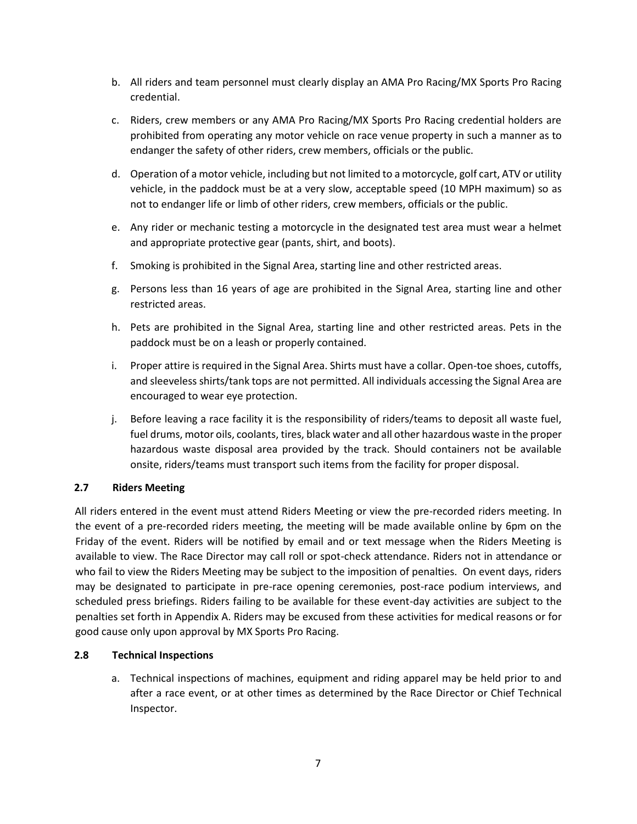- b. All riders and team personnel must clearly display an AMA Pro Racing/MX Sports Pro Racing credential.
- c. Riders, crew members or any AMA Pro Racing/MX Sports Pro Racing credential holders are prohibited from operating any motor vehicle on race venue property in such a manner as to endanger the safety of other riders, crew members, officials or the public.
- d. Operation of a motor vehicle, including but not limited to a motorcycle, golf cart, ATV or utility vehicle, in the paddock must be at a very slow, acceptable speed (10 MPH maximum) so as not to endanger life or limb of other riders, crew members, officials or the public.
- e. Any rider or mechanic testing a motorcycle in the designated test area must wear a helmet and appropriate protective gear (pants, shirt, and boots).
- f. Smoking is prohibited in the Signal Area, starting line and other restricted areas.
- g. Persons less than 16 years of age are prohibited in the Signal Area, starting line and other restricted areas.
- h. Pets are prohibited in the Signal Area, starting line and other restricted areas. Pets in the paddock must be on a leash or properly contained.
- i. Proper attire is required in the Signal Area. Shirts must have a collar. Open-toe shoes, cutoffs, and sleeveless shirts/tank tops are not permitted. All individuals accessing the Signal Area are encouraged to wear eye protection.
- j. Before leaving a race facility it is the responsibility of riders/teams to deposit all waste fuel, fuel drums, motor oils, coolants, tires, black water and all other hazardous waste in the proper hazardous waste disposal area provided by the track. Should containers not be available onsite, riders/teams must transport such items from the facility for proper disposal.

## **2.7 Riders Meeting**

All riders entered in the event must attend Riders Meeting or view the pre-recorded riders meeting. In the event of a pre-recorded riders meeting, the meeting will be made available online by 6pm on the Friday of the event. Riders will be notified by email and or text message when the Riders Meeting is available to view. The Race Director may call roll or spot-check attendance. Riders not in attendance or who fail to view the Riders Meeting may be subject to the imposition of penalties. On event days, riders may be designated to participate in pre-race opening ceremonies, post-race podium interviews, and scheduled press briefings. Riders failing to be available for these event-day activities are subject to the penalties set forth in Appendix A. Riders may be excused from these activities for medical reasons or for good cause only upon approval by MX Sports Pro Racing.

#### **2.8 Technical Inspections**

a. Technical inspections of machines, equipment and riding apparel may be held prior to and after a race event, or at other times as determined by the Race Director or Chief Technical Inspector.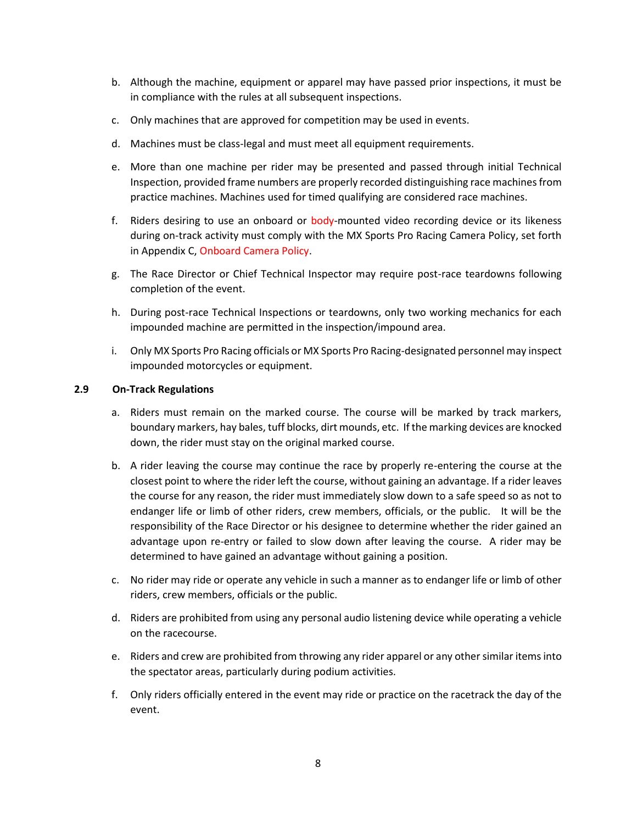- b. Although the machine, equipment or apparel may have passed prior inspections, it must be in compliance with the rules at all subsequent inspections.
- c. Only machines that are approved for competition may be used in events.
- d. Machines must be class-legal and must meet all equipment requirements.
- e. More than one machine per rider may be presented and passed through initial Technical Inspection, provided frame numbers are properly recorded distinguishing race machines from practice machines. Machines used for timed qualifying are considered race machines.
- f. Riders desiring to use an onboard or body-mounted video recording device or its likeness during on-track activity must comply with the MX Sports Pro Racing Camera Policy, set forth in Appendix C, Onboard Camera Policy.
- g. The Race Director or Chief Technical Inspector may require post-race teardowns following completion of the event.
- h. During post-race Technical Inspections or teardowns, only two working mechanics for each impounded machine are permitted in the inspection/impound area.
- i. Only MX Sports Pro Racing officials or MX Sports Pro Racing-designated personnel may inspect impounded motorcycles or equipment.

#### **2.9 On-Track Regulations**

- a. Riders must remain on the marked course. The course will be marked by track markers, boundary markers, hay bales, tuff blocks, dirt mounds, etc. If the marking devices are knocked down, the rider must stay on the original marked course.
- b. A rider leaving the course may continue the race by properly re-entering the course at the closest point to where the rider left the course, without gaining an advantage. If a rider leaves the course for any reason, the rider must immediately slow down to a safe speed so as not to endanger life or limb of other riders, crew members, officials, or the public. It will be the responsibility of the Race Director or his designee to determine whether the rider gained an advantage upon re-entry or failed to slow down after leaving the course. A rider may be determined to have gained an advantage without gaining a position.
- c. No rider may ride or operate any vehicle in such a manner as to endanger life or limb of other riders, crew members, officials or the public.
- d. Riders are prohibited from using any personal audio listening device while operating a vehicle on the racecourse.
- e. Riders and crew are prohibited from throwing any rider apparel or any other similar items into the spectator areas, particularly during podium activities.
- f. Only riders officially entered in the event may ride or practice on the racetrack the day of the event.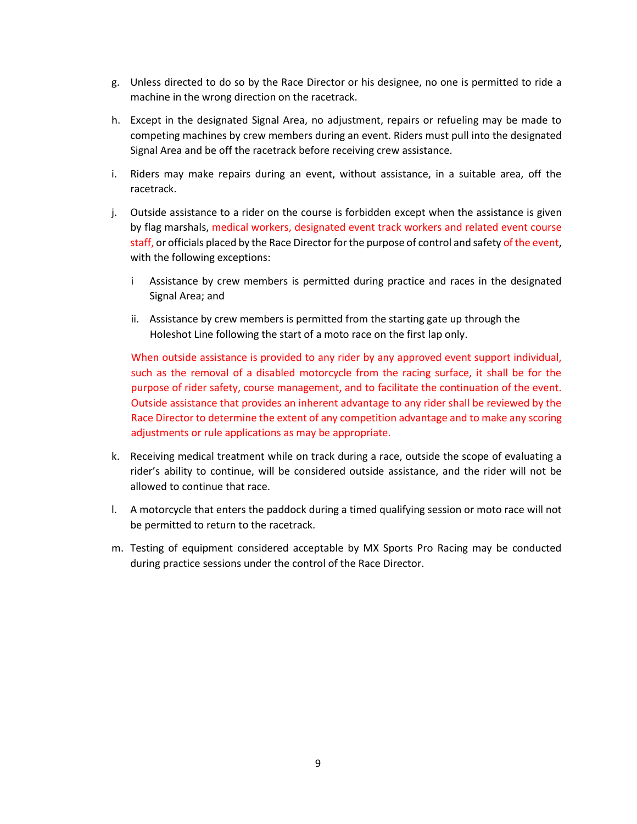- g. Unless directed to do so by the Race Director or his designee, no one is permitted to ride a machine in the wrong direction on the racetrack.
- h. Except in the designated Signal Area, no adjustment, repairs or refueling may be made to competing machines by crew members during an event. Riders must pull into the designated Signal Area and be off the racetrack before receiving crew assistance.
- i. Riders may make repairs during an event, without assistance, in a suitable area, off the racetrack.
- j. Outside assistance to a rider on the course is forbidden except when the assistance is given by flag marshals, medical workers, designated event track workers and related event course staff, or officials placed by the Race Director for the purpose of control and safety of the event, with the following exceptions:
	- i Assistance by crew members is permitted during practice and races in the designated Signal Area; and
	- ii. Assistance by crew members is permitted from the starting gate up through the Holeshot Line following the start of a moto race on the first lap only.

When outside assistance is provided to any rider by any approved event support individual, such as the removal of a disabled motorcycle from the racing surface, it shall be for the purpose of rider safety, course management, and to facilitate the continuation of the event. Outside assistance that provides an inherent advantage to any rider shall be reviewed by the Race Director to determine the extent of any competition advantage and to make any scoring adjustments or rule applications as may be appropriate.

- k. Receiving medical treatment while on track during a race, outside the scope of evaluating a rider's ability to continue, will be considered outside assistance, and the rider will not be allowed to continue that race.
- l. A motorcycle that enters the paddock during a timed qualifying session or moto race will not be permitted to return to the racetrack.
- m. Testing of equipment considered acceptable by MX Sports Pro Racing may be conducted during practice sessions under the control of the Race Director.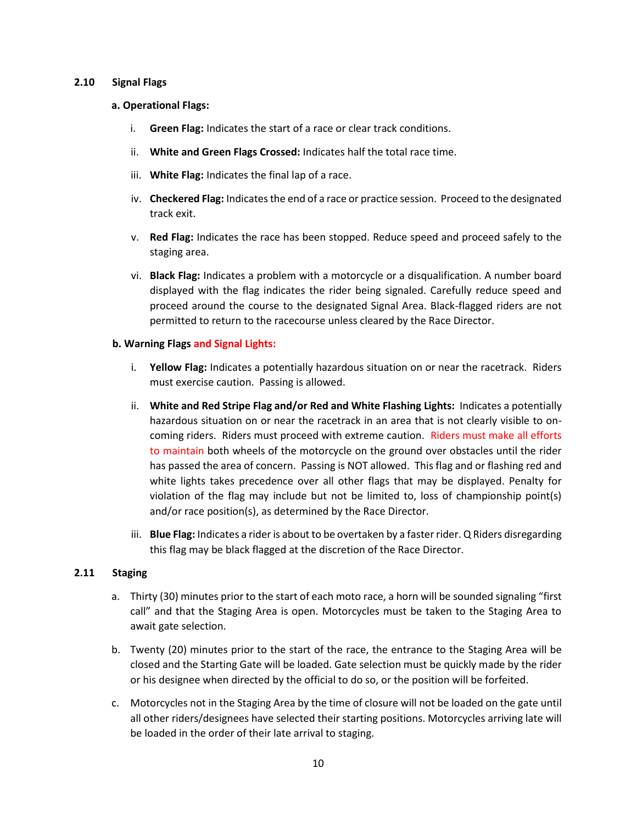#### **2.10 Signal Flags**

- **a. Operational Flags:** 
	- i. **Green Flag:** Indicates the start of a race or clear track conditions.
	- ii. **White and Green Flags Crossed:** Indicates half the total race time.
	- iii. **White Flag:** Indicates the final lap of a race.
	- iv. **Checkered Flag:** Indicates the end of a race or practice session. Proceed to the designated track exit.
	- v. **Red Flag:** Indicates the race has been stopped. Reduce speed and proceed safely to the staging area.
	- vi. **Black Flag:** Indicates a problem with a motorcycle or a disqualification. A number board displayed with the flag indicates the rider being signaled. Carefully reduce speed and proceed around the course to the designated Signal Area. Black-flagged riders are not permitted to return to the racecourse unless cleared by the Race Director.

#### **b. Warning Flags and Signal Lights:**

- i. **Yellow Flag:** Indicates a potentially hazardous situation on or near the racetrack. Riders must exercise caution. Passing is allowed.
- ii. **White and Red Stripe Flag and/or Red and White Flashing Lights:** Indicates a potentially hazardous situation on or near the racetrack in an area that is not clearly visible to oncoming riders. Riders must proceed with extreme caution. Riders must make all efforts to maintain both wheels of the motorcycle on the ground over obstacles until the rider has passed the area of concern. Passing is NOT allowed. This flag and or flashing red and white lights takes precedence over all other flags that may be displayed. Penalty for violation of the flag may include but not be limited to, loss of championship point(s) and/or race position(s), as determined by the Race Director.
- iii. **Blue Flag:** Indicates a rider is about to be overtaken by a faster rider. Q Riders disregarding this flag may be black flagged at the discretion of the Race Director.

#### **2.11 Staging**

- a. Thirty (30) minutes prior to the start of each moto race, a horn will be sounded signaling "first call" and that the Staging Area is open. Motorcycles must be taken to the Staging Area to await gate selection.
- b. Twenty (20) minutes prior to the start of the race, the entrance to the Staging Area will be closed and the Starting Gate will be loaded. Gate selection must be quickly made by the rider or his designee when directed by the official to do so, or the position will be forfeited.
- c. Motorcycles not in the Staging Area by the time of closure will not be loaded on the gate until all other riders/designees have selected their starting positions. Motorcycles arriving late will be loaded in the order of their late arrival to staging.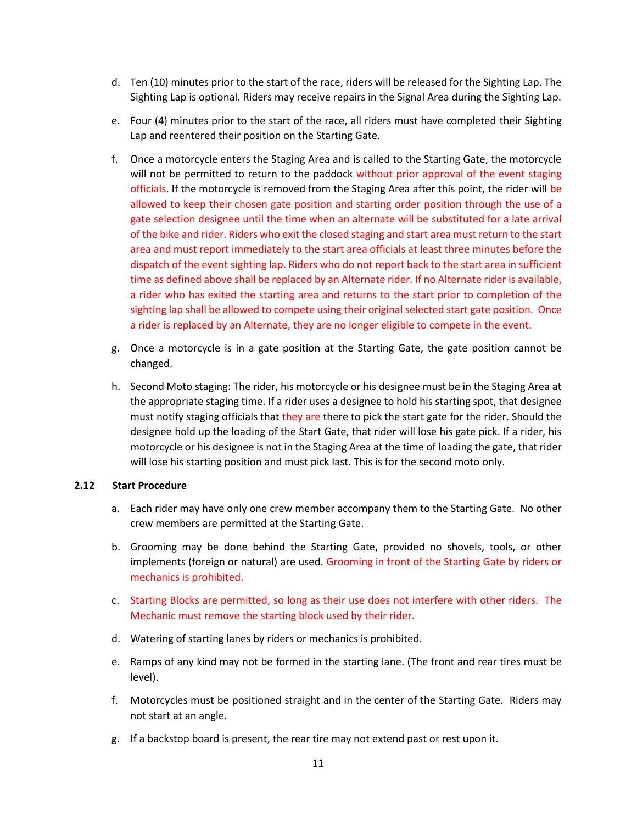- d. Ten (10) minutes prior to the start of the race, riders will be released for the Sighting Lap. The Sighting Lap is optional. Riders may receive repairs in the Signal Area during the Sighting Lap.
- e. Four (4) minutes prior to the start of the race, all riders must have completed their Sighting Lap and reentered their position on the Starting Gate.
- f. Once a motorcycle enters the Staging Area and is called to the Starting Gate, the motorcycle will not be permitted to return to the paddock without prior approval of the event staging officials. If the motorcycle is removed from the Staging Area after this point, the rider will be allowed to keep their chosen gate position and starting order position through the use of a gate selection designee until the time when an alternate will be substituted for a late arrival of the bike and rider. Riders who exit the closed staging and start area must return to the start area and must report immediately to the start area officials at least three minutes before the dispatch of the event sighting lap. Riders who do not report back to the start area in sufficient time as defined above shall be replaced by an Alternate rider. If no Alternate rider is available, a rider who has exited the starting area and returns to the start prior to completion of the sighting lap shall be allowed to compete using their original selected start gate position. Once a rider is replaced by an Alternate, they are no longer eligible to compete in the event.
- g. Once a motorcycle is in a gate position at the Starting Gate, the gate position cannot be changed.
- h. Second Moto staging: The rider, his motorcycle or his designee must be in the Staging Area at the appropriate staging time. If a rider uses a designee to hold his starting spot, that designee must notify staging officials that they are there to pick the start gate for the rider. Should the designee hold up the loading of the Start Gate, that rider will lose his gate pick. If a rider, his motorcycle or his designee is not in the Staging Area at the time of loading the gate, that rider will lose his starting position and must pick last. This is for the second moto only.

#### **2.12 Start Procedure**

- a. Each rider may have only one crew member accompany them to the Starting Gate. No other crew members are permitted at the Starting Gate.
- b. Grooming may be done behind the Starting Gate, provided no shovels, tools, or other implements (foreign or natural) are used. Grooming in front of the Starting Gate by riders or mechanics is prohibited.
- c. Starting Blocks are permitted, so long as their use does not interfere with other riders. The Mechanic must remove the starting block used by their rider.
- d. Watering of starting lanes by riders or mechanics is prohibited.
- e. Ramps of any kind may not be formed in the starting lane. (The front and rear tires must be level).
- f. Motorcycles must be positioned straight and in the center of the Starting Gate. Riders may not start at an angle.
- g. If a backstop board is present, the rear tire may not extend past or rest upon it.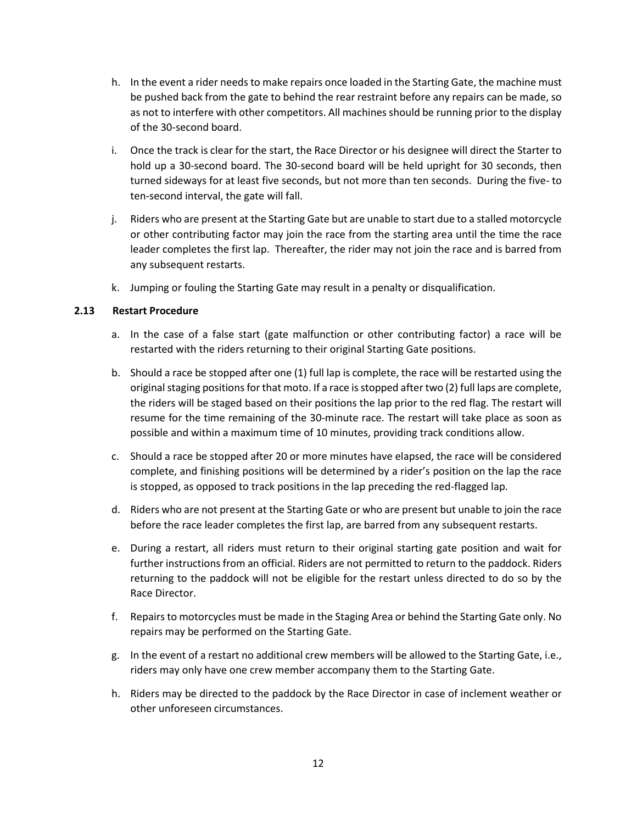- h. In the event a rider needs to make repairs once loaded in the Starting Gate, the machine must be pushed back from the gate to behind the rear restraint before any repairs can be made, so as not to interfere with other competitors. All machines should be running prior to the display of the 30-second board.
- i. Once the track is clear for the start, the Race Director or his designee will direct the Starter to hold up a 30-second board. The 30-second board will be held upright for 30 seconds, then turned sideways for at least five seconds, but not more than ten seconds. During the five- to ten-second interval, the gate will fall.
- j. Riders who are present at the Starting Gate but are unable to start due to a stalled motorcycle or other contributing factor may join the race from the starting area until the time the race leader completes the first lap. Thereafter, the rider may not join the race and is barred from any subsequent restarts.
- k. Jumping or fouling the Starting Gate may result in a penalty or disqualification.

#### **2.13 Restart Procedure**

- a. In the case of a false start (gate malfunction or other contributing factor) a race will be restarted with the riders returning to their original Starting Gate positions.
- b. Should a race be stopped after one (1) full lap is complete, the race will be restarted using the original staging positions for that moto. If a race is stopped after two (2) full laps are complete, the riders will be staged based on their positions the lap prior to the red flag. The restart will resume for the time remaining of the 30-minute race. The restart will take place as soon as possible and within a maximum time of 10 minutes, providing track conditions allow.
- c. Should a race be stopped after 20 or more minutes have elapsed, the race will be considered complete, and finishing positions will be determined by a rider's position on the lap the race is stopped, as opposed to track positions in the lap preceding the red-flagged lap.
- d. Riders who are not present at the Starting Gate or who are present but unable to join the race before the race leader completes the first lap, are barred from any subsequent restarts.
- e. During a restart, all riders must return to their original starting gate position and wait for further instructions from an official. Riders are not permitted to return to the paddock. Riders returning to the paddock will not be eligible for the restart unless directed to do so by the Race Director.
- f. Repairs to motorcycles must be made in the Staging Area or behind the Starting Gate only. No repairs may be performed on the Starting Gate.
- g. In the event of a restart no additional crew members will be allowed to the Starting Gate, i.e., riders may only have one crew member accompany them to the Starting Gate.
- h. Riders may be directed to the paddock by the Race Director in case of inclement weather or other unforeseen circumstances.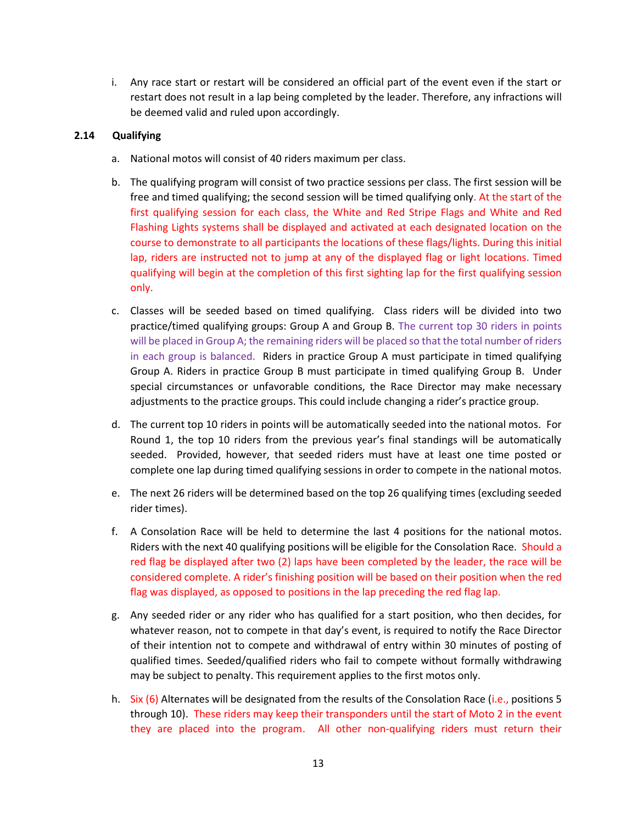i. Any race start or restart will be considered an official part of the event even if the start or restart does not result in a lap being completed by the leader. Therefore, any infractions will be deemed valid and ruled upon accordingly.

#### **2.14 Qualifying**

- a. National motos will consist of 40 riders maximum per class.
- b. The qualifying program will consist of two practice sessions per class. The first session will be free and timed qualifying; the second session will be timed qualifying only. At the start of the first qualifying session for each class, the White and Red Stripe Flags and White and Red Flashing Lights systems shall be displayed and activated at each designated location on the course to demonstrate to all participants the locations of these flags/lights. During this initial lap, riders are instructed not to jump at any of the displayed flag or light locations. Timed qualifying will begin at the completion of this first sighting lap for the first qualifying session only.
- c. Classes will be seeded based on timed qualifying. Class riders will be divided into two practice/timed qualifying groups: Group A and Group B. The current top 30 riders in points will be placed in Group A; the remaining riders will be placed so that the total number of riders in each group is balanced. Riders in practice Group A must participate in timed qualifying Group A. Riders in practice Group B must participate in timed qualifying Group B. Under special circumstances or unfavorable conditions, the Race Director may make necessary adjustments to the practice groups. This could include changing a rider's practice group.
- d. The current top 10 riders in points will be automatically seeded into the national motos. For Round 1, the top 10 riders from the previous year's final standings will be automatically seeded. Provided, however, that seeded riders must have at least one time posted or complete one lap during timed qualifying sessions in order to compete in the national motos.
- e. The next 26 riders will be determined based on the top 26 qualifying times (excluding seeded rider times).
- f. A Consolation Race will be held to determine the last 4 positions for the national motos. Riders with the next 40 qualifying positions will be eligible for the Consolation Race. Should a red flag be displayed after two (2) laps have been completed by the leader, the race will be considered complete. A rider's finishing position will be based on their position when the red flag was displayed, as opposed to positions in the lap preceding the red flag lap.
- g. Any seeded rider or any rider who has qualified for a start position, who then decides, for whatever reason, not to compete in that day's event, is required to notify the Race Director of their intention not to compete and withdrawal of entry within 30 minutes of posting of qualified times. Seeded/qualified riders who fail to compete without formally withdrawing may be subject to penalty. This requirement applies to the first motos only.
- h. Six (6) Alternates will be designated from the results of the Consolation Race (i.e., positions 5 through 10). These riders may keep their transponders until the start of Moto 2 in the event they are placed into the program. All other non-qualifying riders must return their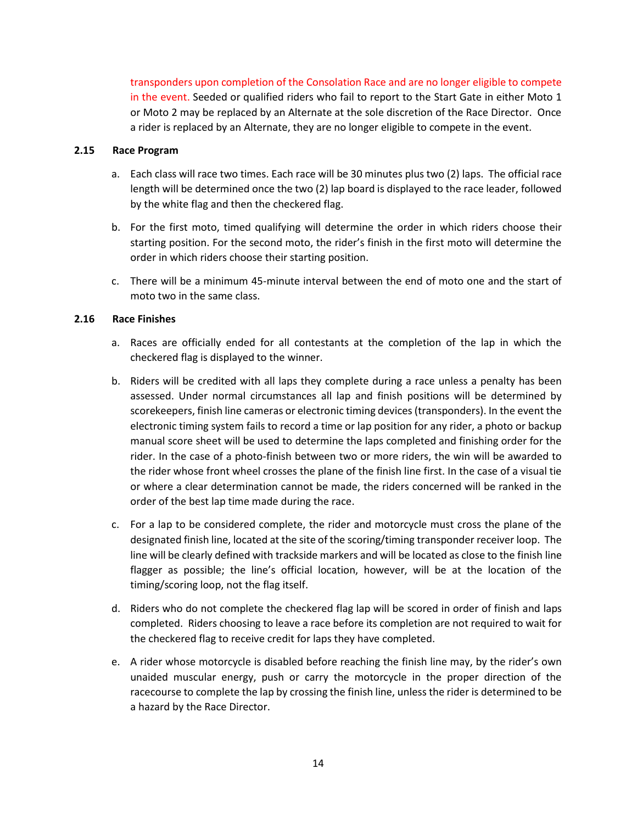transponders upon completion of the Consolation Race and are no longer eligible to compete in the event. Seeded or qualified riders who fail to report to the Start Gate in either Moto 1 or Moto 2 may be replaced by an Alternate at the sole discretion of the Race Director. Once a rider is replaced by an Alternate, they are no longer eligible to compete in the event.

#### **2.15 Race Program**

- a. Each class will race two times. Each race will be 30 minutes plus two (2) laps. The official race length will be determined once the two (2) lap board is displayed to the race leader, followed by the white flag and then the checkered flag.
- b. For the first moto, timed qualifying will determine the order in which riders choose their starting position. For the second moto, the rider's finish in the first moto will determine the order in which riders choose their starting position.
- c. There will be a minimum 45-minute interval between the end of moto one and the start of moto two in the same class.

#### **2.16 Race Finishes**

- a. Races are officially ended for all contestants at the completion of the lap in which the checkered flag is displayed to the winner.
- b. Riders will be credited with all laps they complete during a race unless a penalty has been assessed. Under normal circumstances all lap and finish positions will be determined by scorekeepers, finish line cameras or electronic timing devices (transponders). In the event the electronic timing system fails to record a time or lap position for any rider, a photo or backup manual score sheet will be used to determine the laps completed and finishing order for the rider. In the case of a photo-finish between two or more riders, the win will be awarded to the rider whose front wheel crosses the plane of the finish line first. In the case of a visual tie or where a clear determination cannot be made, the riders concerned will be ranked in the order of the best lap time made during the race.
- c. For a lap to be considered complete, the rider and motorcycle must cross the plane of the designated finish line, located at the site of the scoring/timing transponder receiver loop. The line will be clearly defined with trackside markers and will be located as close to the finish line flagger as possible; the line's official location, however, will be at the location of the timing/scoring loop, not the flag itself.
- d. Riders who do not complete the checkered flag lap will be scored in order of finish and laps completed. Riders choosing to leave a race before its completion are not required to wait for the checkered flag to receive credit for laps they have completed.
- e. A rider whose motorcycle is disabled before reaching the finish line may, by the rider's own unaided muscular energy, push or carry the motorcycle in the proper direction of the racecourse to complete the lap by crossing the finish line, unless the rider is determined to be a hazard by the Race Director.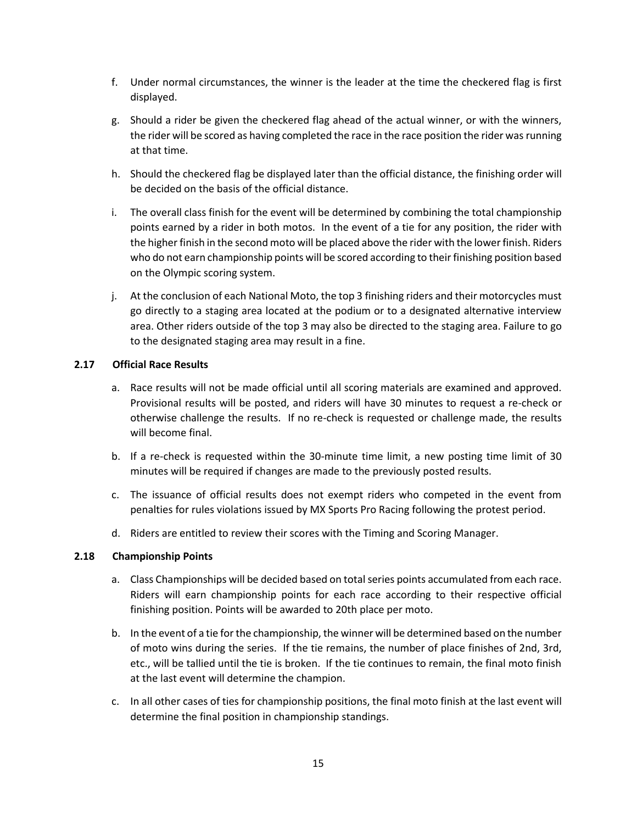- f. Under normal circumstances, the winner is the leader at the time the checkered flag is first displayed.
- g. Should a rider be given the checkered flag ahead of the actual winner, or with the winners, the rider will be scored as having completed the race in the race position the rider was running at that time.
- h. Should the checkered flag be displayed later than the official distance, the finishing order will be decided on the basis of the official distance.
- i. The overall class finish for the event will be determined by combining the total championship points earned by a rider in both motos. In the event of a tie for any position, the rider with the higher finish in the second moto will be placed above the rider with the lower finish. Riders who do not earn championship points will be scored according to their finishing position based on the Olympic scoring system.
- j. At the conclusion of each National Moto, the top 3 finishing riders and their motorcycles must go directly to a staging area located at the podium or to a designated alternative interview area. Other riders outside of the top 3 may also be directed to the staging area. Failure to go to the designated staging area may result in a fine.

#### **2.17 Official Race Results**

- a. Race results will not be made official until all scoring materials are examined and approved. Provisional results will be posted, and riders will have 30 minutes to request a re-check or otherwise challenge the results. If no re-check is requested or challenge made, the results will become final.
- b. If a re-check is requested within the 30-minute time limit, a new posting time limit of 30 minutes will be required if changes are made to the previously posted results.
- c. The issuance of official results does not exempt riders who competed in the event from penalties for rules violations issued by MX Sports Pro Racing following the protest period.
- d. Riders are entitled to review their scores with the Timing and Scoring Manager.

#### **2.18 Championship Points**

- a. Class Championships will be decided based on total series points accumulated from each race. Riders will earn championship points for each race according to their respective official finishing position. Points will be awarded to 20th place per moto.
- b. In the event of a tie for the championship, the winner will be determined based on the number of moto wins during the series. If the tie remains, the number of place finishes of 2nd, 3rd, etc., will be tallied until the tie is broken. If the tie continues to remain, the final moto finish at the last event will determine the champion.
- c. In all other cases of ties for championship positions, the final moto finish at the last event will determine the final position in championship standings.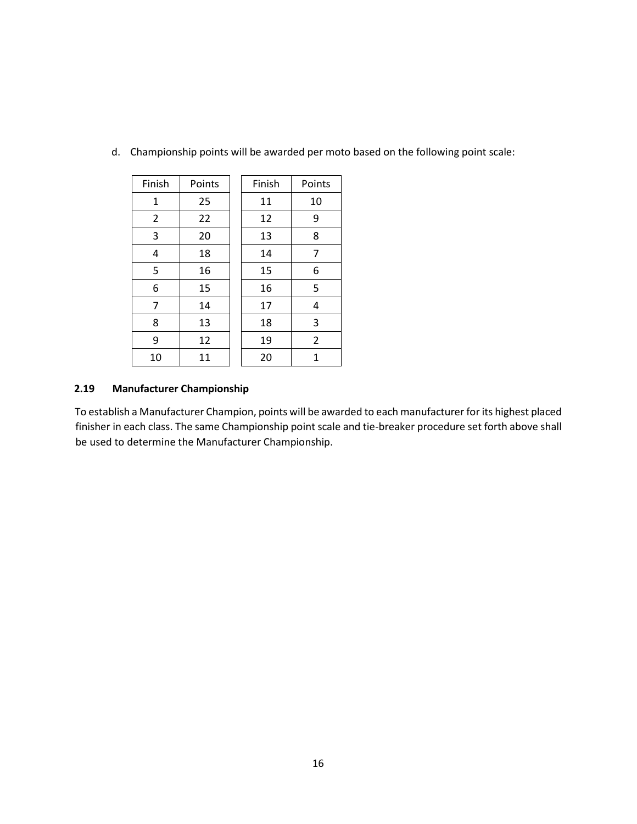| Finish         | Points | Finish | Points         |
|----------------|--------|--------|----------------|
| $\mathbf{1}$   | 25     | 11     | 10             |
| 2              | 22     | 12     | 9              |
| 3              | 20     | 13     | 8              |
| 4              | 18     | 14     | 7              |
| 5              | 16     | 15     | 6              |
| 6              | 15     | 16     | 5              |
| $\overline{7}$ | 14     | 17     | 4              |
| 8              | 13     | 18     | 3              |
| 9              | 12     | 19     | $\overline{2}$ |
| 10             | 11     | 20     | 1              |

d. Championship points will be awarded per moto based on the following point scale:

#### **2.19 Manufacturer Championship**

To establish a Manufacturer Champion, points will be awarded to each manufacturer for its highest placed finisher in each class. The same Championship point scale and tie-breaker procedure set forth above shall be used to determine the Manufacturer Championship.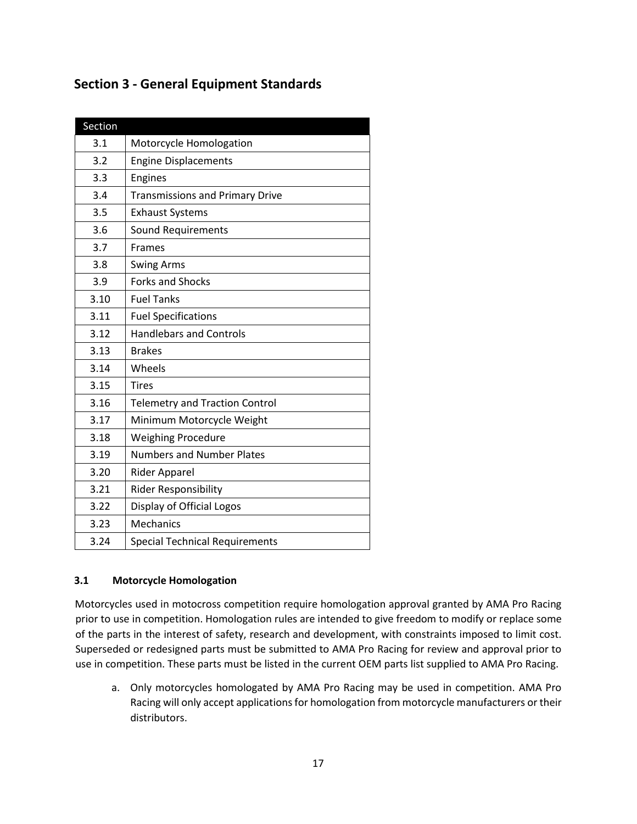# **Section 3 - General Equipment Standards**

| Section |                                        |
|---------|----------------------------------------|
| 3.1     | Motorcycle Homologation                |
| 3.2     | <b>Engine Displacements</b>            |
| 3.3     | Engines                                |
| 3.4     | <b>Transmissions and Primary Drive</b> |
| 3.5     | <b>Exhaust Systems</b>                 |
| 3.6     | Sound Requirements                     |
| 3.7     | <b>Frames</b>                          |
| 3.8     | <b>Swing Arms</b>                      |
| 3.9     | <b>Forks and Shocks</b>                |
| 3.10    | <b>Fuel Tanks</b>                      |
| 3.11    | <b>Fuel Specifications</b>             |
| 3.12    | <b>Handlebars and Controls</b>         |
| 3.13    | <b>Brakes</b>                          |
| 3.14    | Wheels                                 |
| 3.15    | <b>Tires</b>                           |
| 3.16    | <b>Telemetry and Traction Control</b>  |
| 3.17    | Minimum Motorcycle Weight              |
| 3.18    | <b>Weighing Procedure</b>              |
| 3.19    | <b>Numbers and Number Plates</b>       |
| 3.20    | <b>Rider Apparel</b>                   |
| 3.21    | <b>Rider Responsibility</b>            |
| 3.22    | Display of Official Logos              |
| 3.23    | <b>Mechanics</b>                       |
| 3.24    | <b>Special Technical Requirements</b>  |

## **3.1 Motorcycle Homologation**

Motorcycles used in motocross competition require homologation approval granted by AMA Pro Racing prior to use in competition. Homologation rules are intended to give freedom to modify or replace some of the parts in the interest of safety, research and development, with constraints imposed to limit cost. Superseded or redesigned parts must be submitted to AMA Pro Racing for review and approval prior to use in competition. These parts must be listed in the current OEM parts list supplied to AMA Pro Racing.

a. Only motorcycles homologated by AMA Pro Racing may be used in competition. AMA Pro Racing will only accept applications for homologation from motorcycle manufacturers or their distributors.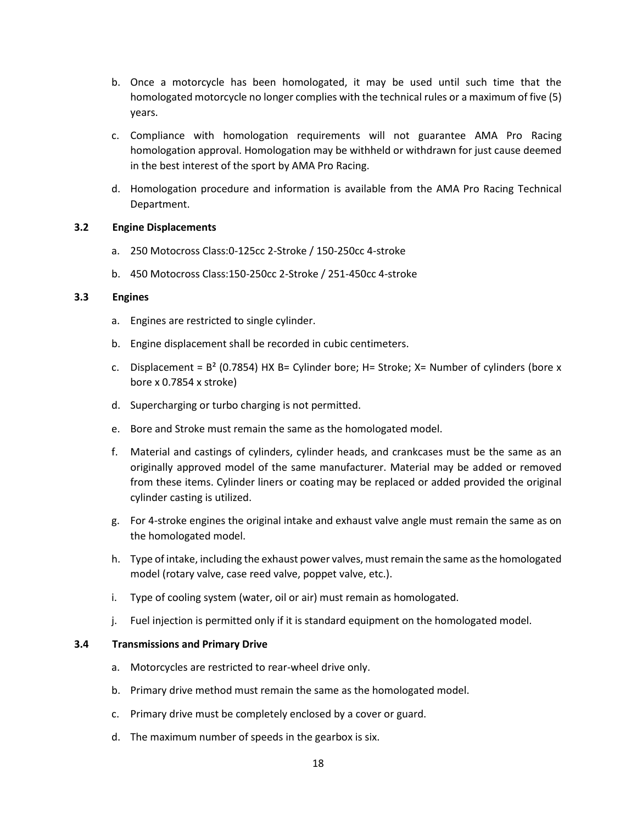- b. Once a motorcycle has been homologated, it may be used until such time that the homologated motorcycle no longer complies with the technical rules or a maximum of five (5) years.
- c. Compliance with homologation requirements will not guarantee AMA Pro Racing homologation approval. Homologation may be withheld or withdrawn for just cause deemed in the best interest of the sport by AMA Pro Racing.
- d. Homologation procedure and information is available from the AMA Pro Racing Technical Department.

#### **3.2 Engine Displacements**

- a. 250 Motocross Class:0-125cc 2-Stroke / 150-250cc 4-stroke
- b. 450 Motocross Class:150-250cc 2-Stroke / 251-450cc 4-stroke

#### **3.3 Engines**

- a. Engines are restricted to single cylinder.
- b. Engine displacement shall be recorded in cubic centimeters.
- c. Displacement =  $B^2$  (0.7854) HX B= Cylinder bore; H= Stroke; X= Number of cylinders (bore x bore x 0.7854 x stroke)
- d. Supercharging or turbo charging is not permitted.
- e. Bore and Stroke must remain the same as the homologated model.
- f. Material and castings of cylinders, cylinder heads, and crankcases must be the same as an originally approved model of the same manufacturer. Material may be added or removed from these items. Cylinder liners or coating may be replaced or added provided the original cylinder casting is utilized.
- g. For 4-stroke engines the original intake and exhaust valve angle must remain the same as on the homologated model.
- h. Type of intake, including the exhaust power valves, must remain the same as the homologated model (rotary valve, case reed valve, poppet valve, etc.).
- i. Type of cooling system (water, oil or air) must remain as homologated.
- j. Fuel injection is permitted only if it is standard equipment on the homologated model.

#### **3.4 Transmissions and Primary Drive**

- a. Motorcycles are restricted to rear-wheel drive only.
- b. Primary drive method must remain the same as the homologated model.
- c. Primary drive must be completely enclosed by a cover or guard.
- d. The maximum number of speeds in the gearbox is six.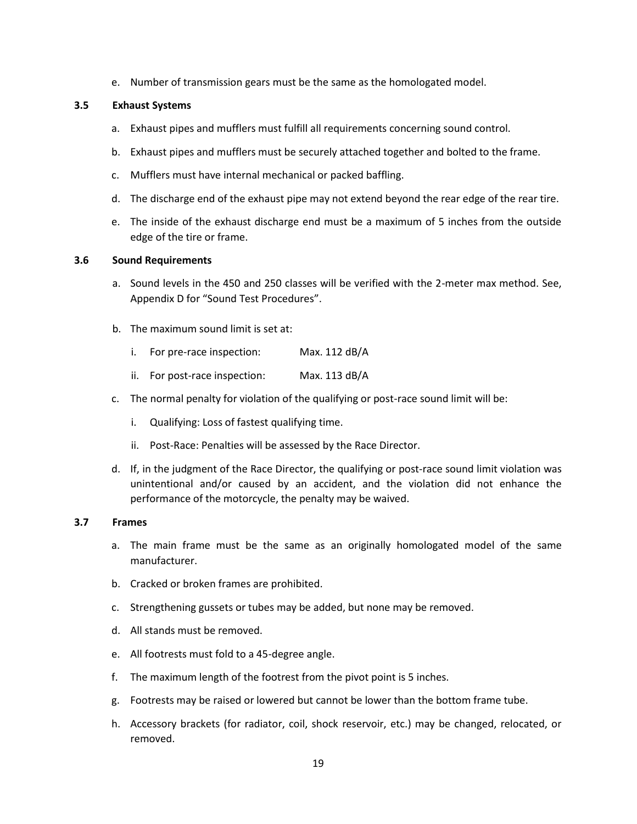e. Number of transmission gears must be the same as the homologated model.

#### **3.5 Exhaust Systems**

- a. Exhaust pipes and mufflers must fulfill all requirements concerning sound control.
- b. Exhaust pipes and mufflers must be securely attached together and bolted to the frame.
- c. Mufflers must have internal mechanical or packed baffling.
- d. The discharge end of the exhaust pipe may not extend beyond the rear edge of the rear tire.
- e. The inside of the exhaust discharge end must be a maximum of 5 inches from the outside edge of the tire or frame.

#### **3.6 Sound Requirements**

- a. Sound levels in the 450 and 250 classes will be verified with the 2-meter max method. See, Appendix D for "Sound Test Procedures".
- b. The maximum sound limit is set at:
	- i. For pre-race inspection: Max. 112 dB/A
	- ii. For post-race inspection: Max. 113 dB/A
- c. The normal penalty for violation of the qualifying or post-race sound limit will be:
	- i. Qualifying: Loss of fastest qualifying time.
	- ii. Post-Race: Penalties will be assessed by the Race Director.
- d. If, in the judgment of the Race Director, the qualifying or post-race sound limit violation was unintentional and/or caused by an accident, and the violation did not enhance the performance of the motorcycle, the penalty may be waived.

#### **3.7 Frames**

- a. The main frame must be the same as an originally homologated model of the same manufacturer.
- b. Cracked or broken frames are prohibited.
- c. Strengthening gussets or tubes may be added, but none may be removed.
- d. All stands must be removed.
- e. All footrests must fold to a 45-degree angle.
- f. The maximum length of the footrest from the pivot point is 5 inches.
- g. Footrests may be raised or lowered but cannot be lower than the bottom frame tube.
- h. Accessory brackets (for radiator, coil, shock reservoir, etc.) may be changed, relocated, or removed.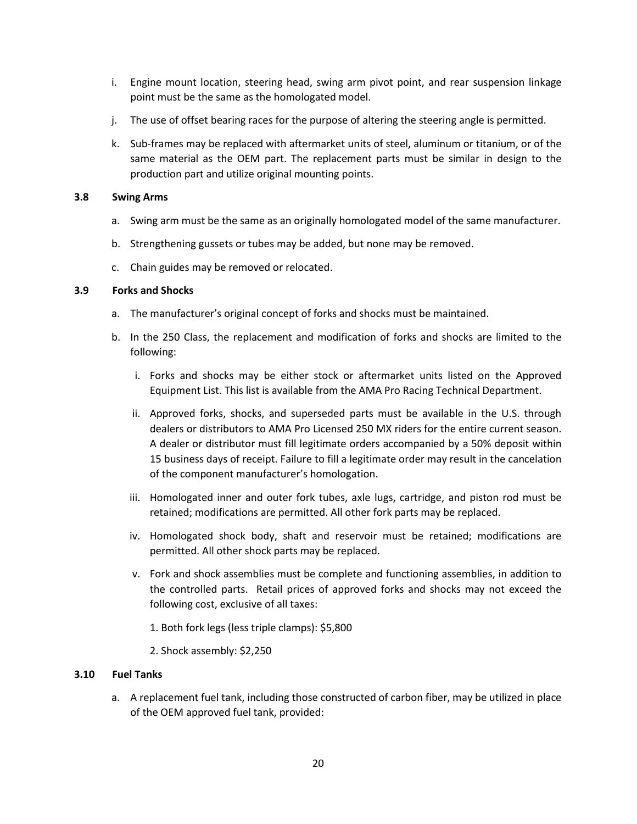- i. Engine mount location, steering head, swing arm pivot point, and rear suspension linkage point must be the same as the homologated model.
- j. The use of offset bearing races for the purpose of altering the steering angle is permitted.
- k. Sub-frames may be replaced with aftermarket units of steel, aluminum or titanium, or of the same material as the OEM part. The replacement parts must be similar in design to the production part and utilize original mounting points.

#### **3.8 Swing Arms**

- a. Swing arm must be the same as an originally homologated model of the same manufacturer.
- b. Strengthening gussets or tubes may be added, but none may be removed.
- c. Chain guides may be removed or relocated.

#### **3.9 Forks and Shocks**

- a. The manufacturer's original concept of forks and shocks must be maintained.
- b. In the 250 Class, the replacement and modification of forks and shocks are limited to the following:
	- i. Forks and shocks may be either stock or aftermarket units listed on the Approved Equipment List. This list is available from the AMA Pro Racing Technical Department.
	- ii. Approved forks, shocks, and superseded parts must be available in the U.S. through dealers or distributors to AMA Pro Licensed 250 MX riders for the entire current season. A dealer or distributor must fill legitimate orders accompanied by a 50% deposit within 15 business days of receipt. Failure to fill a legitimate order may result in the cancelation of the component manufacturer's homologation.
	- iii. Homologated inner and outer fork tubes, axle lugs, cartridge, and piston rod must be retained; modifications are permitted. All other fork parts may be replaced.
	- iv. Homologated shock body, shaft and reservoir must be retained; modifications are permitted. All other shock parts may be replaced.
	- v. Fork and shock assemblies must be complete and functioning assemblies, in addition to the controlled parts. Retail prices of approved forks and shocks may not exceed the following cost, exclusive of all taxes:
		- 1. Both fork legs (less triple clamps): \$5,800
		- 2. Shock assembly: \$2,250

#### **3.10 Fuel Tanks**

a. A replacement fuel tank, including those constructed of carbon fiber, may be utilized in place of the OEM approved fuel tank, provided: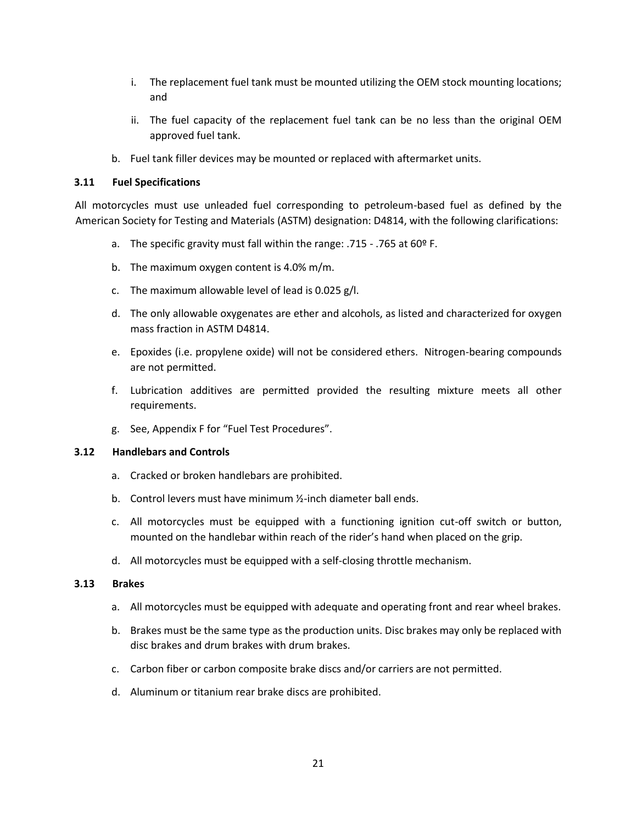- i. The replacement fuel tank must be mounted utilizing the OEM stock mounting locations; and
- ii. The fuel capacity of the replacement fuel tank can be no less than the original OEM approved fuel tank.
- b. Fuel tank filler devices may be mounted or replaced with aftermarket units.

#### **3.11 Fuel Specifications**

All motorcycles must use unleaded fuel corresponding to petroleum-based fuel as defined by the American Society for Testing and Materials (ASTM) designation: D4814, with the following clarifications:

- a. The specific gravity must fall within the range: .715 .765 at 60º F.
- b. The maximum oxygen content is 4.0% m/m.
- c. The maximum allowable level of lead is 0.025 g/l.
- d. The only allowable oxygenates are ether and alcohols, as listed and characterized for oxygen mass fraction in ASTM D4814.
- e. Epoxides (i.e. propylene oxide) will not be considered ethers. Nitrogen-bearing compounds are not permitted.
- f. Lubrication additives are permitted provided the resulting mixture meets all other requirements.
- g. See, Appendix F for "Fuel Test Procedures".

#### **3.12 Handlebars and Controls**

- a. Cracked or broken handlebars are prohibited.
- b. Control levers must have minimum ½-inch diameter ball ends.
- c. All motorcycles must be equipped with a functioning ignition cut-off switch or button, mounted on the handlebar within reach of the rider's hand when placed on the grip.
- d. All motorcycles must be equipped with a self-closing throttle mechanism.

#### **3.13 Brakes**

- a. All motorcycles must be equipped with adequate and operating front and rear wheel brakes.
- b. Brakes must be the same type as the production units. Disc brakes may only be replaced with disc brakes and drum brakes with drum brakes.
- c. Carbon fiber or carbon composite brake discs and/or carriers are not permitted.
- d. Aluminum or titanium rear brake discs are prohibited.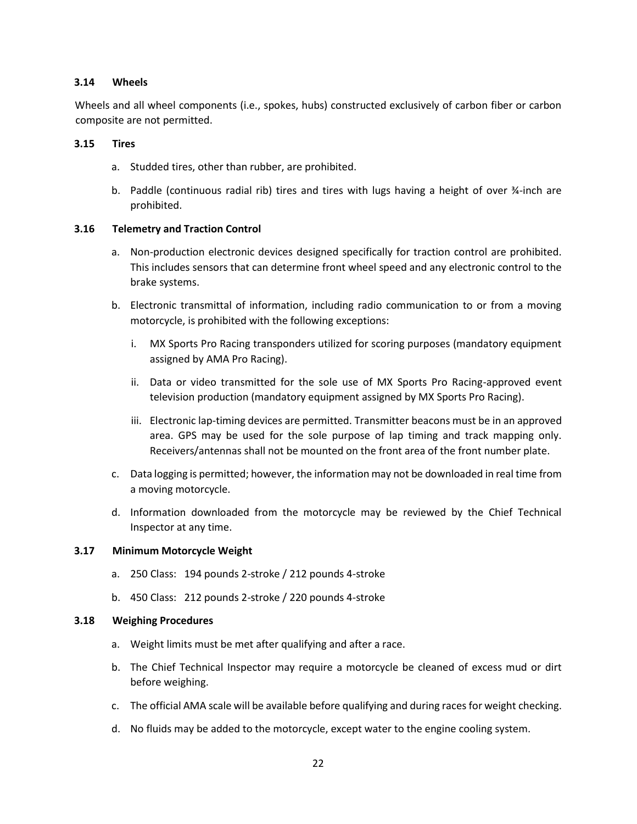#### **3.14 Wheels**

Wheels and all wheel components (i.e., spokes, hubs) constructed exclusively of carbon fiber or carbon composite are not permitted.

#### **3.15 Tires**

- a. Studded tires, other than rubber, are prohibited.
- b. Paddle (continuous radial rib) tires and tires with lugs having a height of over ¾-inch are prohibited.

#### **3.16 Telemetry and Traction Control**

- a. Non-production electronic devices designed specifically for traction control are prohibited. This includes sensors that can determine front wheel speed and any electronic control to the brake systems.
- b. Electronic transmittal of information, including radio communication to or from a moving motorcycle, is prohibited with the following exceptions:
	- i. MX Sports Pro Racing transponders utilized for scoring purposes (mandatory equipment assigned by AMA Pro Racing).
	- ii. Data or video transmitted for the sole use of MX Sports Pro Racing-approved event television production (mandatory equipment assigned by MX Sports Pro Racing).
	- iii. Electronic lap-timing devices are permitted. Transmitter beacons must be in an approved area. GPS may be used for the sole purpose of lap timing and track mapping only. Receivers/antennas shall not be mounted on the front area of the front number plate.
- c. Data logging is permitted; however, the information may not be downloaded in real time from a moving motorcycle.
- d. Information downloaded from the motorcycle may be reviewed by the Chief Technical Inspector at any time.

#### **3.17 Minimum Motorcycle Weight**

- a. 250 Class: 194 pounds 2-stroke / 212 pounds 4-stroke
- b. 450 Class: 212 pounds 2-stroke / 220 pounds 4-stroke

#### **3.18 Weighing Procedures**

- a. Weight limits must be met after qualifying and after a race.
- b. The Chief Technical Inspector may require a motorcycle be cleaned of excess mud or dirt before weighing.
- c. The official AMA scale will be available before qualifying and during races for weight checking.
- d. No fluids may be added to the motorcycle, except water to the engine cooling system.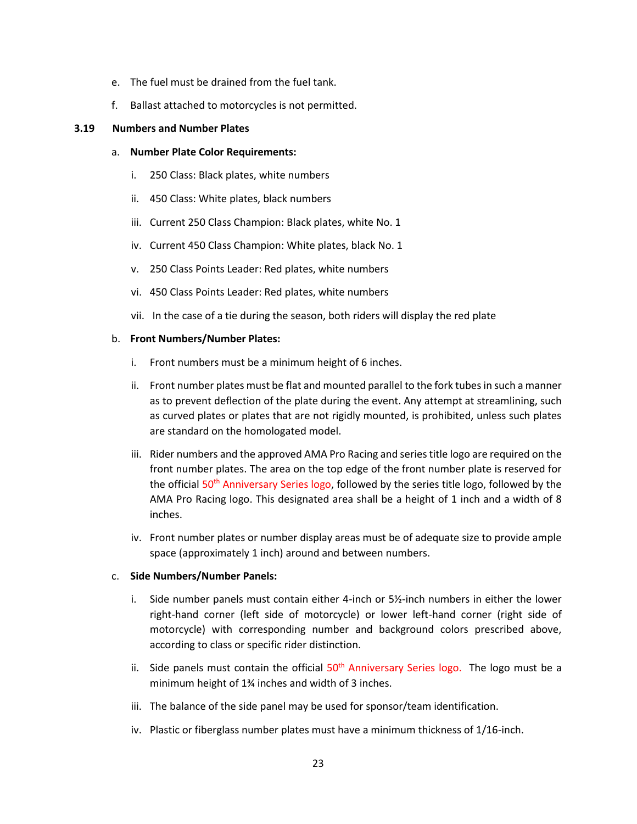- e. The fuel must be drained from the fuel tank.
- f. Ballast attached to motorcycles is not permitted.

#### **3.19 Numbers and Number Plates**

- a. **Number Plate Color Requirements:** 
	- i. 250 Class: Black plates, white numbers
	- ii. 450 Class: White plates, black numbers
	- iii. Current 250 Class Champion: Black plates, white No. 1
	- iv. Current 450 Class Champion: White plates, black No. 1
	- v. 250 Class Points Leader: Red plates, white numbers
	- vi. 450 Class Points Leader: Red plates, white numbers
	- vii. In the case of a tie during the season, both riders will display the red plate

#### b. **Front Numbers/Number Plates:**

- i. Front numbers must be a minimum height of 6 inches.
- ii. Front number plates must be flat and mounted parallel to the fork tubes in such a manner as to prevent deflection of the plate during the event. Any attempt at streamlining, such as curved plates or plates that are not rigidly mounted, is prohibited, unless such plates are standard on the homologated model.
- iii. Rider numbers and the approved AMA Pro Racing and series title logo are required on the front number plates. The area on the top edge of the front number plate is reserved for the official 50<sup>th</sup> Anniversary Series logo, followed by the series title logo, followed by the AMA Pro Racing logo. This designated area shall be a height of 1 inch and a width of 8 inches.
- iv. Front number plates or number display areas must be of adequate size to provide ample space (approximately 1 inch) around and between numbers.

#### c. **Side Numbers/Number Panels:**

- i. Side number panels must contain either 4-inch or  $5\frac{1}{2}$ -inch numbers in either the lower right-hand corner (left side of motorcycle) or lower left-hand corner (right side of motorcycle) with corresponding number and background colors prescribed above, according to class or specific rider distinction.
- ii. Side panels must contain the official  $50<sup>th</sup>$  Anniversary Series logo. The logo must be a minimum height of 1¾ inches and width of 3 inches.
- iii. The balance of the side panel may be used for sponsor/team identification.
- iv. Plastic or fiberglass number plates must have a minimum thickness of 1/16-inch.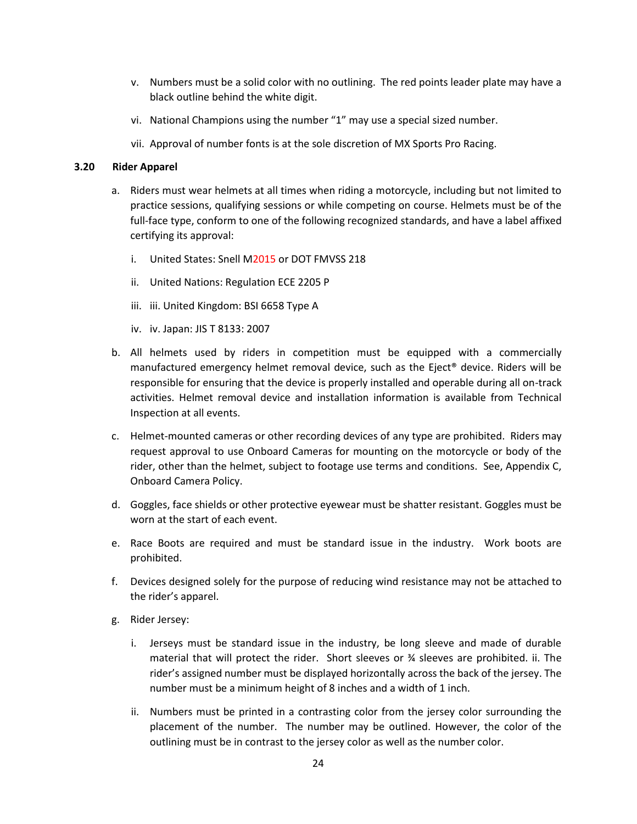- v. Numbers must be a solid color with no outlining. The red points leader plate may have a black outline behind the white digit.
- vi. National Champions using the number "1" may use a special sized number.
- vii. Approval of number fonts is at the sole discretion of MX Sports Pro Racing.

#### **3.20 Rider Apparel**

- a. Riders must wear helmets at all times when riding a motorcycle, including but not limited to practice sessions, qualifying sessions or while competing on course. Helmets must be of the full-face type, conform to one of the following recognized standards, and have a label affixed certifying its approval:
	- i. United States: Snell M2015 or DOT FMVSS 218
	- ii. United Nations: Regulation ECE 2205 P
	- iii. iii. United Kingdom: BSI 6658 Type A
	- iv. iv. Japan: JIS T 8133: 2007
- b. All helmets used by riders in competition must be equipped with a commercially manufactured emergency helmet removal device, such as the Eject® device. Riders will be responsible for ensuring that the device is properly installed and operable during all on-track activities. Helmet removal device and installation information is available from Technical Inspection at all events.
- c. Helmet-mounted cameras or other recording devices of any type are prohibited. Riders may request approval to use Onboard Cameras for mounting on the motorcycle or body of the rider, other than the helmet, subject to footage use terms and conditions. See, Appendix C, Onboard Camera Policy.
- d. Goggles, face shields or other protective eyewear must be shatter resistant. Goggles must be worn at the start of each event.
- e. Race Boots are required and must be standard issue in the industry. Work boots are prohibited.
- f. Devices designed solely for the purpose of reducing wind resistance may not be attached to the rider's apparel.
- g. Rider Jersey:
	- i. Jerseys must be standard issue in the industry, be long sleeve and made of durable material that will protect the rider. Short sleeves or ¾ sleeves are prohibited. ii. The rider's assigned number must be displayed horizontally across the back of the jersey. The number must be a minimum height of 8 inches and a width of 1 inch.
	- ii. Numbers must be printed in a contrasting color from the jersey color surrounding the placement of the number. The number may be outlined. However, the color of the outlining must be in contrast to the jersey color as well as the number color.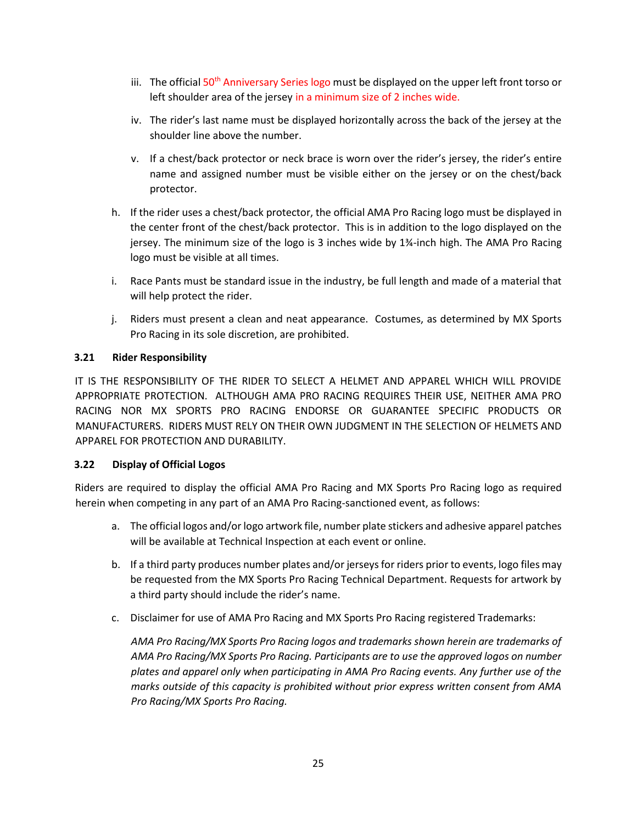- iii. The official 50<sup>th</sup> Anniversary Series logo must be displayed on the upper left front torso or left shoulder area of the jersey in a minimum size of 2 inches wide.
- iv. The rider's last name must be displayed horizontally across the back of the jersey at the shoulder line above the number.
- v. If a chest/back protector or neck brace is worn over the rider's jersey, the rider's entire name and assigned number must be visible either on the jersey or on the chest/back protector.
- h. If the rider uses a chest/back protector, the official AMA Pro Racing logo must be displayed in the center front of the chest/back protector. This is in addition to the logo displayed on the jersey. The minimum size of the logo is 3 inches wide by 1¾-inch high. The AMA Pro Racing logo must be visible at all times.
- i. Race Pants must be standard issue in the industry, be full length and made of a material that will help protect the rider.
- j. Riders must present a clean and neat appearance. Costumes, as determined by MX Sports Pro Racing in its sole discretion, are prohibited.

## **3.21 Rider Responsibility**

IT IS THE RESPONSIBILITY OF THE RIDER TO SELECT A HELMET AND APPAREL WHICH WILL PROVIDE APPROPRIATE PROTECTION. ALTHOUGH AMA PRO RACING REQUIRES THEIR USE, NEITHER AMA PRO RACING NOR MX SPORTS PRO RACING ENDORSE OR GUARANTEE SPECIFIC PRODUCTS OR MANUFACTURERS. RIDERS MUST RELY ON THEIR OWN JUDGMENT IN THE SELECTION OF HELMETS AND APPAREL FOR PROTECTION AND DURABILITY.

## **3.22 Display of Official Logos**

Riders are required to display the official AMA Pro Racing and MX Sports Pro Racing logo as required herein when competing in any part of an AMA Pro Racing-sanctioned event, as follows:

- a. The official logos and/or logo artwork file, number plate stickers and adhesive apparel patches will be available at Technical Inspection at each event or online.
- b. If a third party produces number plates and/or jerseys for riders prior to events, logo files may be requested from the MX Sports Pro Racing Technical Department. Requests for artwork by a third party should include the rider's name.
- c. Disclaimer for use of AMA Pro Racing and MX Sports Pro Racing registered Trademarks:

*AMA Pro Racing/MX Sports Pro Racing logos and trademarks shown herein are trademarks of AMA Pro Racing/MX Sports Pro Racing. Participants are to use the approved logos on number plates and apparel only when participating in AMA Pro Racing events. Any further use of the marks outside of this capacity is prohibited without prior express written consent from AMA Pro Racing/MX Sports Pro Racing.*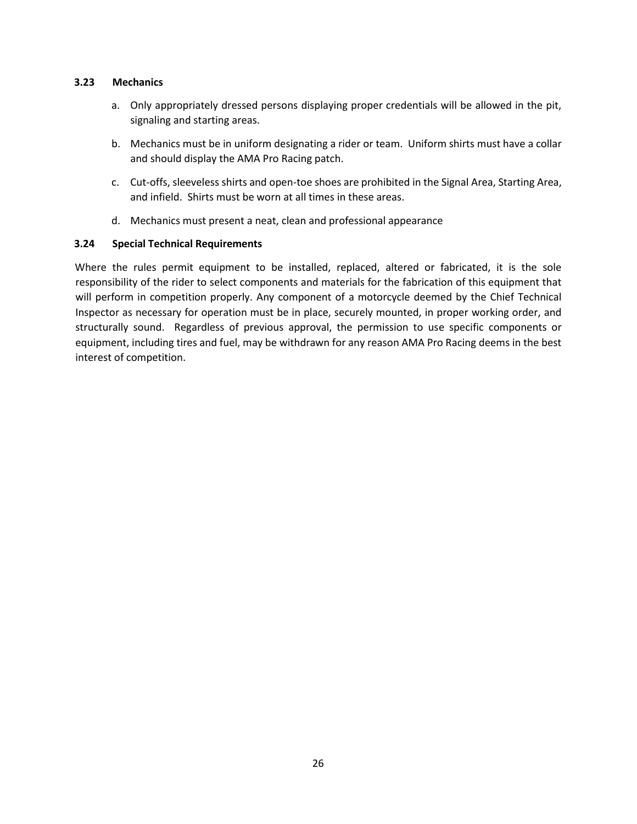#### **3.23 Mechanics**

- a. Only appropriately dressed persons displaying proper credentials will be allowed in the pit, signaling and starting areas.
- b. Mechanics must be in uniform designating a rider or team. Uniform shirts must have a collar and should display the AMA Pro Racing patch.
- c. Cut-offs, sleeveless shirts and open-toe shoes are prohibited in the Signal Area, Starting Area, and infield. Shirts must be worn at all times in these areas.
- d. Mechanics must present a neat, clean and professional appearance

## **3.24 Special Technical Requirements**

Where the rules permit equipment to be installed, replaced, altered or fabricated, it is the sole responsibility of the rider to select components and materials for the fabrication of this equipment that will perform in competition properly. Any component of a motorcycle deemed by the Chief Technical Inspector as necessary for operation must be in place, securely mounted, in proper working order, and structurally sound. Regardless of previous approval, the permission to use specific components or equipment, including tires and fuel, may be withdrawn for any reason AMA Pro Racing deems in the best interest of competition.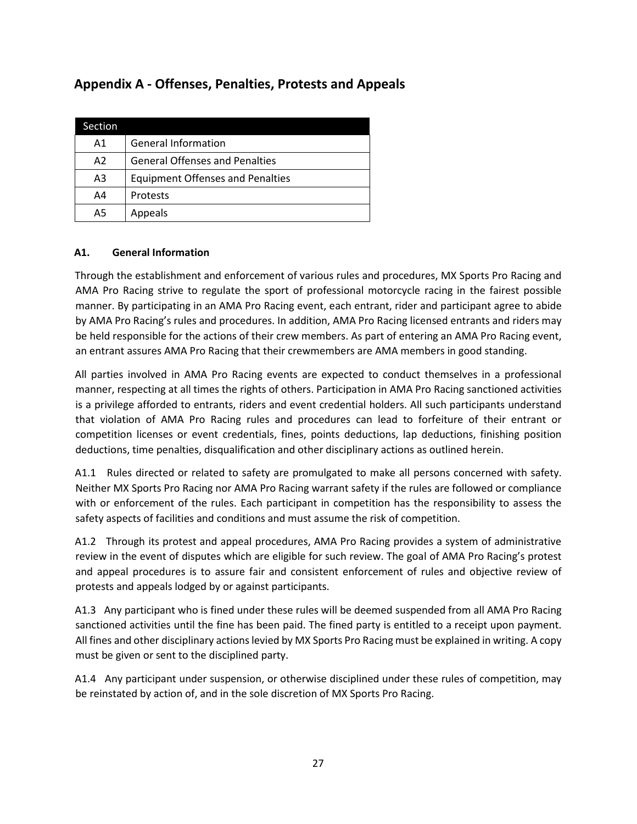# **Appendix A - Offenses, Penalties, Protests and Appeals**

| Section        |                                         |
|----------------|-----------------------------------------|
| A <sub>1</sub> | <b>General Information</b>              |
| A <sub>2</sub> | <b>General Offenses and Penalties</b>   |
| A3             | <b>Equipment Offenses and Penalties</b> |
| A4             | Protests                                |
| A5             | Appeals                                 |

## **A1. General Information**

Through the establishment and enforcement of various rules and procedures, MX Sports Pro Racing and AMA Pro Racing strive to regulate the sport of professional motorcycle racing in the fairest possible manner. By participating in an AMA Pro Racing event, each entrant, rider and participant agree to abide by AMA Pro Racing's rules and procedures. In addition, AMA Pro Racing licensed entrants and riders may be held responsible for the actions of their crew members. As part of entering an AMA Pro Racing event, an entrant assures AMA Pro Racing that their crewmembers are AMA members in good standing.

All parties involved in AMA Pro Racing events are expected to conduct themselves in a professional manner, respecting at all times the rights of others. Participation in AMA Pro Racing sanctioned activities is a privilege afforded to entrants, riders and event credential holders. All such participants understand that violation of AMA Pro Racing rules and procedures can lead to forfeiture of their entrant or competition licenses or event credentials, fines, points deductions, lap deductions, finishing position deductions, time penalties, disqualification and other disciplinary actions as outlined herein.

A1.1 Rules directed or related to safety are promulgated to make all persons concerned with safety. Neither MX Sports Pro Racing nor AMA Pro Racing warrant safety if the rules are followed or compliance with or enforcement of the rules. Each participant in competition has the responsibility to assess the safety aspects of facilities and conditions and must assume the risk of competition.

A1.2 Through its protest and appeal procedures, AMA Pro Racing provides a system of administrative review in the event of disputes which are eligible for such review. The goal of AMA Pro Racing's protest and appeal procedures is to assure fair and consistent enforcement of rules and objective review of protests and appeals lodged by or against participants.

A1.3 Any participant who is fined under these rules will be deemed suspended from all AMA Pro Racing sanctioned activities until the fine has been paid. The fined party is entitled to a receipt upon payment. All fines and other disciplinary actions levied by MX Sports Pro Racing must be explained in writing. A copy must be given or sent to the disciplined party.

A1.4 Any participant under suspension, or otherwise disciplined under these rules of competition, may be reinstated by action of, and in the sole discretion of MX Sports Pro Racing.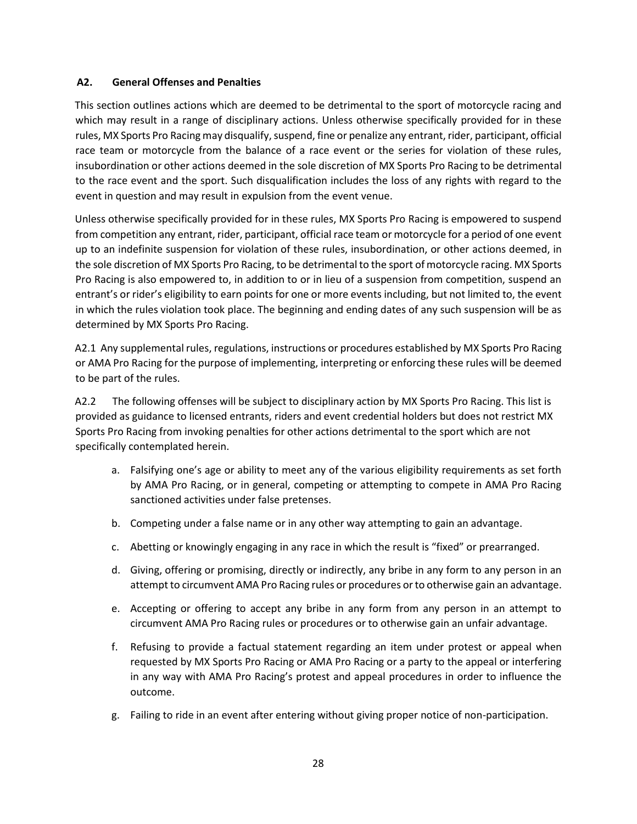#### **A2. General Offenses and Penalties**

This section outlines actions which are deemed to be detrimental to the sport of motorcycle racing and which may result in a range of disciplinary actions. Unless otherwise specifically provided for in these rules, MX Sports Pro Racing may disqualify, suspend, fine or penalize any entrant, rider, participant, official race team or motorcycle from the balance of a race event or the series for violation of these rules, insubordination or other actions deemed in the sole discretion of MX Sports Pro Racing to be detrimental to the race event and the sport. Such disqualification includes the loss of any rights with regard to the event in question and may result in expulsion from the event venue.

Unless otherwise specifically provided for in these rules, MX Sports Pro Racing is empowered to suspend from competition any entrant, rider, participant, official race team or motorcycle for a period of one event up to an indefinite suspension for violation of these rules, insubordination, or other actions deemed, in the sole discretion of MX Sports Pro Racing, to be detrimental to the sport of motorcycle racing. MX Sports Pro Racing is also empowered to, in addition to or in lieu of a suspension from competition, suspend an entrant's or rider's eligibility to earn points for one or more events including, but not limited to, the event in which the rules violation took place. The beginning and ending dates of any such suspension will be as determined by MX Sports Pro Racing.

A2.1 Any supplemental rules, regulations, instructions or procedures established by MX Sports Pro Racing or AMA Pro Racing for the purpose of implementing, interpreting or enforcing these rules will be deemed to be part of the rules.

A2.2 The following offenses will be subject to disciplinary action by MX Sports Pro Racing. This list is provided as guidance to licensed entrants, riders and event credential holders but does not restrict MX Sports Pro Racing from invoking penalties for other actions detrimental to the sport which are not specifically contemplated herein.

- a. Falsifying one's age or ability to meet any of the various eligibility requirements as set forth by AMA Pro Racing, or in general, competing or attempting to compete in AMA Pro Racing sanctioned activities under false pretenses.
- b. Competing under a false name or in any other way attempting to gain an advantage.
- c. Abetting or knowingly engaging in any race in which the result is "fixed" or prearranged.
- d. Giving, offering or promising, directly or indirectly, any bribe in any form to any person in an attempt to circumvent AMA Pro Racing rules or procedures or to otherwise gain an advantage.
- e. Accepting or offering to accept any bribe in any form from any person in an attempt to circumvent AMA Pro Racing rules or procedures or to otherwise gain an unfair advantage.
- f. Refusing to provide a factual statement regarding an item under protest or appeal when requested by MX Sports Pro Racing or AMA Pro Racing or a party to the appeal or interfering in any way with AMA Pro Racing's protest and appeal procedures in order to influence the outcome.
- g. Failing to ride in an event after entering without giving proper notice of non-participation.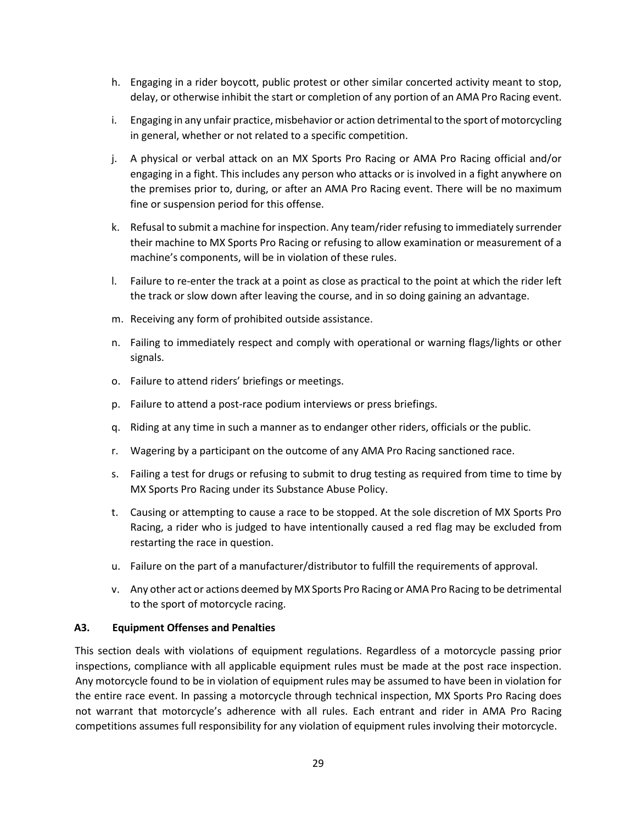- h. Engaging in a rider boycott, public protest or other similar concerted activity meant to stop, delay, or otherwise inhibit the start or completion of any portion of an AMA Pro Racing event.
- i. Engaging in any unfair practice, misbehavior or action detrimental to the sport of motorcycling in general, whether or not related to a specific competition.
- j. A physical or verbal attack on an MX Sports Pro Racing or AMA Pro Racing official and/or engaging in a fight. This includes any person who attacks or is involved in a fight anywhere on the premises prior to, during, or after an AMA Pro Racing event. There will be no maximum fine or suspension period for this offense.
- k. Refusal to submit a machine for inspection. Any team/rider refusing to immediately surrender their machine to MX Sports Pro Racing or refusing to allow examination or measurement of a machine's components, will be in violation of these rules.
- l. Failure to re-enter the track at a point as close as practical to the point at which the rider left the track or slow down after leaving the course, and in so doing gaining an advantage.
- m. Receiving any form of prohibited outside assistance.
- n. Failing to immediately respect and comply with operational or warning flags/lights or other signals.
- o. Failure to attend riders' briefings or meetings.
- p. Failure to attend a post-race podium interviews or press briefings.
- q. Riding at any time in such a manner as to endanger other riders, officials or the public.
- r. Wagering by a participant on the outcome of any AMA Pro Racing sanctioned race.
- s. Failing a test for drugs or refusing to submit to drug testing as required from time to time by MX Sports Pro Racing under its Substance Abuse Policy.
- t. Causing or attempting to cause a race to be stopped. At the sole discretion of MX Sports Pro Racing, a rider who is judged to have intentionally caused a red flag may be excluded from restarting the race in question.
- u. Failure on the part of a manufacturer/distributor to fulfill the requirements of approval.
- v. Any other act or actions deemed by MX Sports Pro Racing or AMA Pro Racing to be detrimental to the sport of motorcycle racing.

#### **A3. Equipment Offenses and Penalties**

This section deals with violations of equipment regulations. Regardless of a motorcycle passing prior inspections, compliance with all applicable equipment rules must be made at the post race inspection. Any motorcycle found to be in violation of equipment rules may be assumed to have been in violation for the entire race event. In passing a motorcycle through technical inspection, MX Sports Pro Racing does not warrant that motorcycle's adherence with all rules. Each entrant and rider in AMA Pro Racing competitions assumes full responsibility for any violation of equipment rules involving their motorcycle.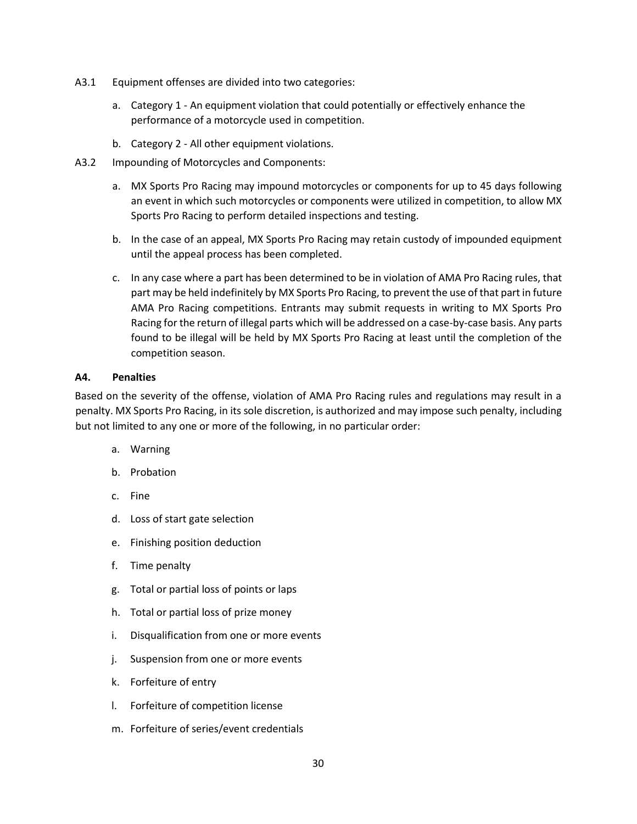- A3.1 Equipment offenses are divided into two categories:
	- a. Category 1 An equipment violation that could potentially or effectively enhance the performance of a motorcycle used in competition.
	- b. Category 2 All other equipment violations.
- A3.2 Impounding of Motorcycles and Components:
	- a. MX Sports Pro Racing may impound motorcycles or components for up to 45 days following an event in which such motorcycles or components were utilized in competition, to allow MX Sports Pro Racing to perform detailed inspections and testing.
	- b. In the case of an appeal, MX Sports Pro Racing may retain custody of impounded equipment until the appeal process has been completed.
	- c. In any case where a part has been determined to be in violation of AMA Pro Racing rules, that part may be held indefinitely by MX Sports Pro Racing, to prevent the use of that part in future AMA Pro Racing competitions. Entrants may submit requests in writing to MX Sports Pro Racing for the return of illegal parts which will be addressed on a case-by-case basis. Any parts found to be illegal will be held by MX Sports Pro Racing at least until the completion of the competition season.

#### **A4. Penalties**

Based on the severity of the offense, violation of AMA Pro Racing rules and regulations may result in a penalty. MX Sports Pro Racing, in its sole discretion, is authorized and may impose such penalty, including but not limited to any one or more of the following, in no particular order:

- a. Warning
- b. Probation
- c. Fine
- d. Loss of start gate selection
- e. Finishing position deduction
- f. Time penalty
- g. Total or partial loss of points or laps
- h. Total or partial loss of prize money
- i. Disqualification from one or more events
- j. Suspension from one or more events
- k. Forfeiture of entry
- l. Forfeiture of competition license
- m. Forfeiture of series/event credentials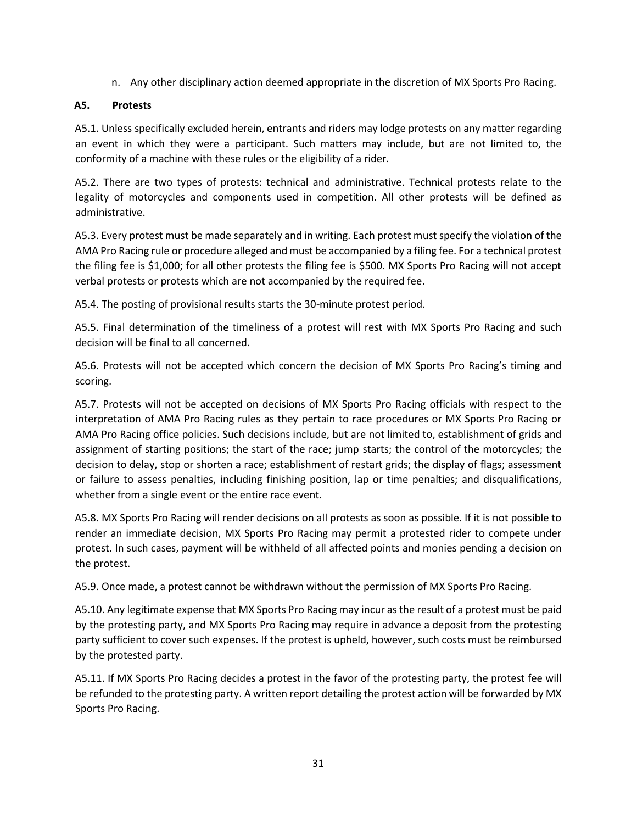n. Any other disciplinary action deemed appropriate in the discretion of MX Sports Pro Racing.

## **A5. Protests**

A5.1. Unless specifically excluded herein, entrants and riders may lodge protests on any matter regarding an event in which they were a participant. Such matters may include, but are not limited to, the conformity of a machine with these rules or the eligibility of a rider.

A5.2. There are two types of protests: technical and administrative. Technical protests relate to the legality of motorcycles and components used in competition. All other protests will be defined as administrative.

A5.3. Every protest must be made separately and in writing. Each protest must specify the violation of the AMA Pro Racing rule or procedure alleged and must be accompanied by a filing fee. For a technical protest the filing fee is \$1,000; for all other protests the filing fee is \$500. MX Sports Pro Racing will not accept verbal protests or protests which are not accompanied by the required fee.

A5.4. The posting of provisional results starts the 30-minute protest period.

A5.5. Final determination of the timeliness of a protest will rest with MX Sports Pro Racing and such decision will be final to all concerned.

A5.6. Protests will not be accepted which concern the decision of MX Sports Pro Racing's timing and scoring.

A5.7. Protests will not be accepted on decisions of MX Sports Pro Racing officials with respect to the interpretation of AMA Pro Racing rules as they pertain to race procedures or MX Sports Pro Racing or AMA Pro Racing office policies. Such decisions include, but are not limited to, establishment of grids and assignment of starting positions; the start of the race; jump starts; the control of the motorcycles; the decision to delay, stop or shorten a race; establishment of restart grids; the display of flags; assessment or failure to assess penalties, including finishing position, lap or time penalties; and disqualifications, whether from a single event or the entire race event.

A5.8. MX Sports Pro Racing will render decisions on all protests as soon as possible. If it is not possible to render an immediate decision, MX Sports Pro Racing may permit a protested rider to compete under protest. In such cases, payment will be withheld of all affected points and monies pending a decision on the protest.

A5.9. Once made, a protest cannot be withdrawn without the permission of MX Sports Pro Racing.

A5.10. Any legitimate expense that MX Sports Pro Racing may incur as the result of a protest must be paid by the protesting party, and MX Sports Pro Racing may require in advance a deposit from the protesting party sufficient to cover such expenses. If the protest is upheld, however, such costs must be reimbursed by the protested party.

A5.11. If MX Sports Pro Racing decides a protest in the favor of the protesting party, the protest fee will be refunded to the protesting party. A written report detailing the protest action will be forwarded by MX Sports Pro Racing.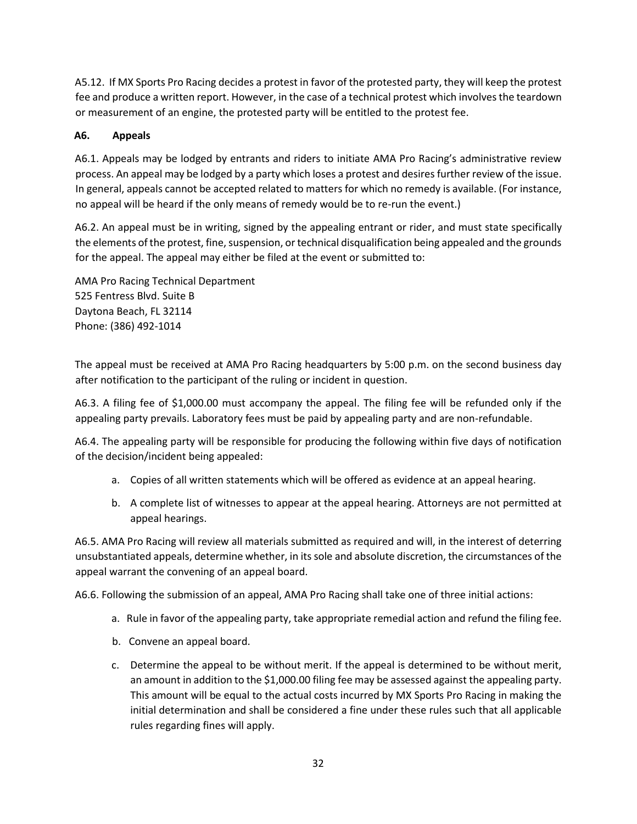A5.12. If MX Sports Pro Racing decides a protest in favor of the protested party, they will keep the protest fee and produce a written report. However, in the case of a technical protest which involves the teardown or measurement of an engine, the protested party will be entitled to the protest fee.

## **A6. Appeals**

A6.1. Appeals may be lodged by entrants and riders to initiate AMA Pro Racing's administrative review process. An appeal may be lodged by a party which loses a protest and desires further review of the issue. In general, appeals cannot be accepted related to matters for which no remedy is available. (For instance, no appeal will be heard if the only means of remedy would be to re-run the event.)

A6.2. An appeal must be in writing, signed by the appealing entrant or rider, and must state specifically the elements of the protest, fine, suspension, or technical disqualification being appealed and the grounds for the appeal. The appeal may either be filed at the event or submitted to:

AMA Pro Racing Technical Department 525 Fentress Blvd. Suite B Daytona Beach, FL 32114 Phone: (386) 492-1014

The appeal must be received at AMA Pro Racing headquarters by 5:00 p.m. on the second business day after notification to the participant of the ruling or incident in question.

A6.3. A filing fee of \$1,000.00 must accompany the appeal. The filing fee will be refunded only if the appealing party prevails. Laboratory fees must be paid by appealing party and are non-refundable.

A6.4. The appealing party will be responsible for producing the following within five days of notification of the decision/incident being appealed:

- a. Copies of all written statements which will be offered as evidence at an appeal hearing.
- b. A complete list of witnesses to appear at the appeal hearing. Attorneys are not permitted at appeal hearings.

A6.5. AMA Pro Racing will review all materials submitted as required and will, in the interest of deterring unsubstantiated appeals, determine whether, in its sole and absolute discretion, the circumstances of the appeal warrant the convening of an appeal board.

A6.6. Following the submission of an appeal, AMA Pro Racing shall take one of three initial actions:

- a. Rule in favor of the appealing party, take appropriate remedial action and refund the filing fee.
- b. Convene an appeal board.
- c. Determine the appeal to be without merit. If the appeal is determined to be without merit, an amount in addition to the \$1,000.00 filing fee may be assessed against the appealing party. This amount will be equal to the actual costs incurred by MX Sports Pro Racing in making the initial determination and shall be considered a fine under these rules such that all applicable rules regarding fines will apply.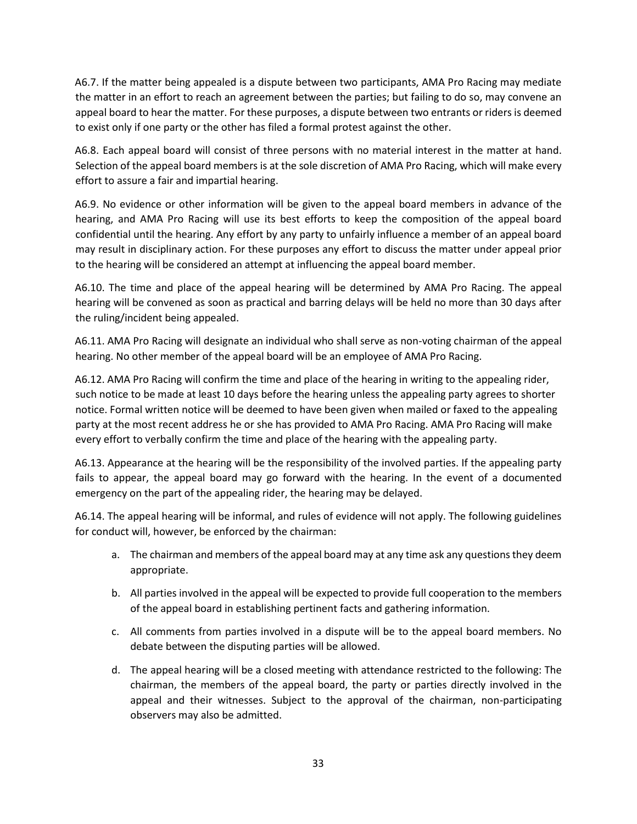A6.7. If the matter being appealed is a dispute between two participants, AMA Pro Racing may mediate the matter in an effort to reach an agreement between the parties; but failing to do so, may convene an appeal board to hear the matter. For these purposes, a dispute between two entrants or riders is deemed to exist only if one party or the other has filed a formal protest against the other.

A6.8. Each appeal board will consist of three persons with no material interest in the matter at hand. Selection of the appeal board members is at the sole discretion of AMA Pro Racing, which will make every effort to assure a fair and impartial hearing.

A6.9. No evidence or other information will be given to the appeal board members in advance of the hearing, and AMA Pro Racing will use its best efforts to keep the composition of the appeal board confidential until the hearing. Any effort by any party to unfairly influence a member of an appeal board may result in disciplinary action. For these purposes any effort to discuss the matter under appeal prior to the hearing will be considered an attempt at influencing the appeal board member.

A6.10. The time and place of the appeal hearing will be determined by AMA Pro Racing. The appeal hearing will be convened as soon as practical and barring delays will be held no more than 30 days after the ruling/incident being appealed.

A6.11. AMA Pro Racing will designate an individual who shall serve as non-voting chairman of the appeal hearing. No other member of the appeal board will be an employee of AMA Pro Racing.

A6.12. AMA Pro Racing will confirm the time and place of the hearing in writing to the appealing rider, such notice to be made at least 10 days before the hearing unless the appealing party agrees to shorter notice. Formal written notice will be deemed to have been given when mailed or faxed to the appealing party at the most recent address he or she has provided to AMA Pro Racing. AMA Pro Racing will make every effort to verbally confirm the time and place of the hearing with the appealing party.

A6.13. Appearance at the hearing will be the responsibility of the involved parties. If the appealing party fails to appear, the appeal board may go forward with the hearing. In the event of a documented emergency on the part of the appealing rider, the hearing may be delayed.

A6.14. The appeal hearing will be informal, and rules of evidence will not apply. The following guidelines for conduct will, however, be enforced by the chairman:

- a. The chairman and members of the appeal board may at any time ask any questions they deem appropriate.
- b. All parties involved in the appeal will be expected to provide full cooperation to the members of the appeal board in establishing pertinent facts and gathering information.
- c. All comments from parties involved in a dispute will be to the appeal board members. No debate between the disputing parties will be allowed.
- d. The appeal hearing will be a closed meeting with attendance restricted to the following: The chairman, the members of the appeal board, the party or parties directly involved in the appeal and their witnesses. Subject to the approval of the chairman, non-participating observers may also be admitted.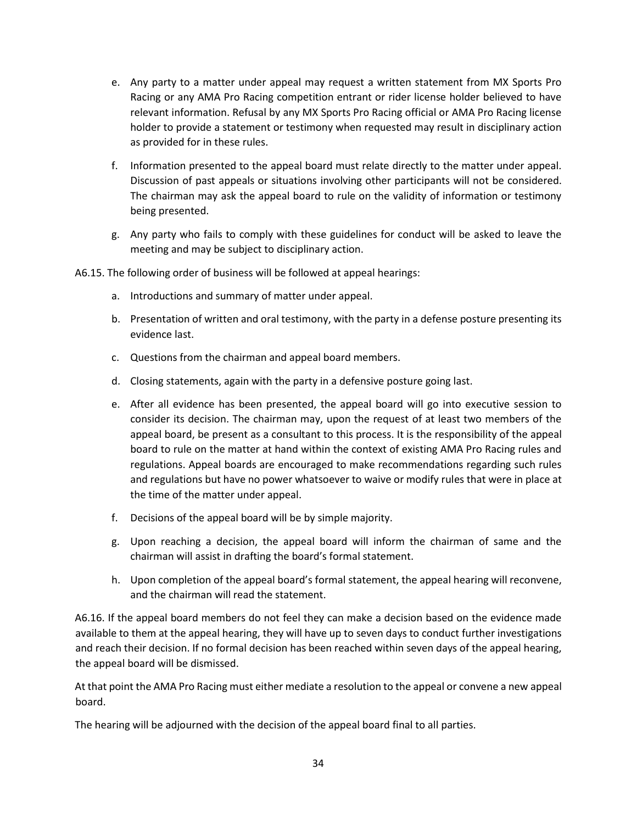- e. Any party to a matter under appeal may request a written statement from MX Sports Pro Racing or any AMA Pro Racing competition entrant or rider license holder believed to have relevant information. Refusal by any MX Sports Pro Racing official or AMA Pro Racing license holder to provide a statement or testimony when requested may result in disciplinary action as provided for in these rules.
- f. Information presented to the appeal board must relate directly to the matter under appeal. Discussion of past appeals or situations involving other participants will not be considered. The chairman may ask the appeal board to rule on the validity of information or testimony being presented.
- g. Any party who fails to comply with these guidelines for conduct will be asked to leave the meeting and may be subject to disciplinary action.
- A6.15. The following order of business will be followed at appeal hearings:
	- a. Introductions and summary of matter under appeal.
	- b. Presentation of written and oral testimony, with the party in a defense posture presenting its evidence last.
	- c. Questions from the chairman and appeal board members.
	- d. Closing statements, again with the party in a defensive posture going last.
	- e. After all evidence has been presented, the appeal board will go into executive session to consider its decision. The chairman may, upon the request of at least two members of the appeal board, be present as a consultant to this process. It is the responsibility of the appeal board to rule on the matter at hand within the context of existing AMA Pro Racing rules and regulations. Appeal boards are encouraged to make recommendations regarding such rules and regulations but have no power whatsoever to waive or modify rules that were in place at the time of the matter under appeal.
	- f. Decisions of the appeal board will be by simple majority.
	- g. Upon reaching a decision, the appeal board will inform the chairman of same and the chairman will assist in drafting the board's formal statement.
	- h. Upon completion of the appeal board's formal statement, the appeal hearing will reconvene, and the chairman will read the statement.

A6.16. If the appeal board members do not feel they can make a decision based on the evidence made available to them at the appeal hearing, they will have up to seven days to conduct further investigations and reach their decision. If no formal decision has been reached within seven days of the appeal hearing, the appeal board will be dismissed.

At that point the AMA Pro Racing must either mediate a resolution to the appeal or convene a new appeal board.

The hearing will be adjourned with the decision of the appeal board final to all parties.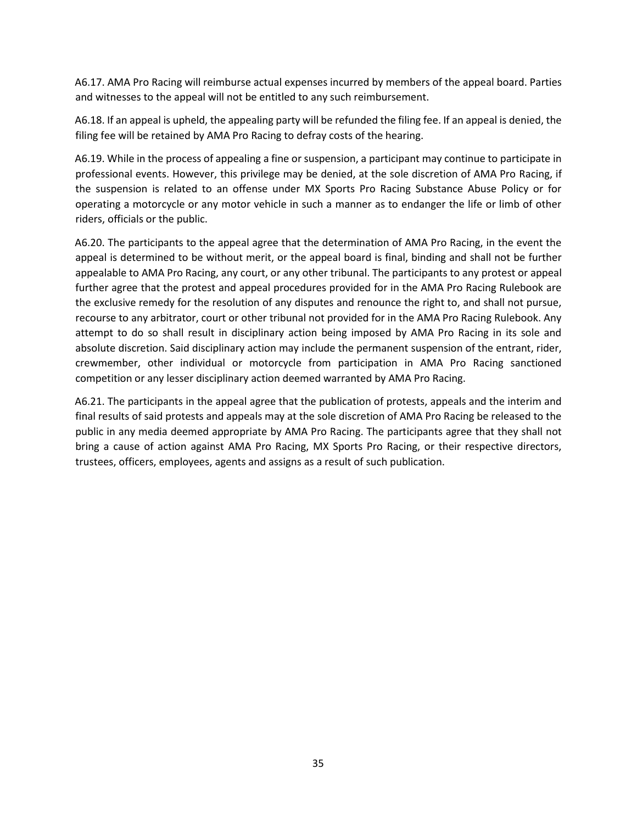A6.17. AMA Pro Racing will reimburse actual expenses incurred by members of the appeal board. Parties and witnesses to the appeal will not be entitled to any such reimbursement.

A6.18. If an appeal is upheld, the appealing party will be refunded the filing fee. If an appeal is denied, the filing fee will be retained by AMA Pro Racing to defray costs of the hearing.

A6.19. While in the process of appealing a fine or suspension, a participant may continue to participate in professional events. However, this privilege may be denied, at the sole discretion of AMA Pro Racing, if the suspension is related to an offense under MX Sports Pro Racing Substance Abuse Policy or for operating a motorcycle or any motor vehicle in such a manner as to endanger the life or limb of other riders, officials or the public.

A6.20. The participants to the appeal agree that the determination of AMA Pro Racing, in the event the appeal is determined to be without merit, or the appeal board is final, binding and shall not be further appealable to AMA Pro Racing, any court, or any other tribunal. The participants to any protest or appeal further agree that the protest and appeal procedures provided for in the AMA Pro Racing Rulebook are the exclusive remedy for the resolution of any disputes and renounce the right to, and shall not pursue, recourse to any arbitrator, court or other tribunal not provided for in the AMA Pro Racing Rulebook. Any attempt to do so shall result in disciplinary action being imposed by AMA Pro Racing in its sole and absolute discretion. Said disciplinary action may include the permanent suspension of the entrant, rider, crewmember, other individual or motorcycle from participation in AMA Pro Racing sanctioned competition or any lesser disciplinary action deemed warranted by AMA Pro Racing.

A6.21. The participants in the appeal agree that the publication of protests, appeals and the interim and final results of said protests and appeals may at the sole discretion of AMA Pro Racing be released to the public in any media deemed appropriate by AMA Pro Racing. The participants agree that they shall not bring a cause of action against AMA Pro Racing, MX Sports Pro Racing, or their respective directors, trustees, officers, employees, agents and assigns as a result of such publication.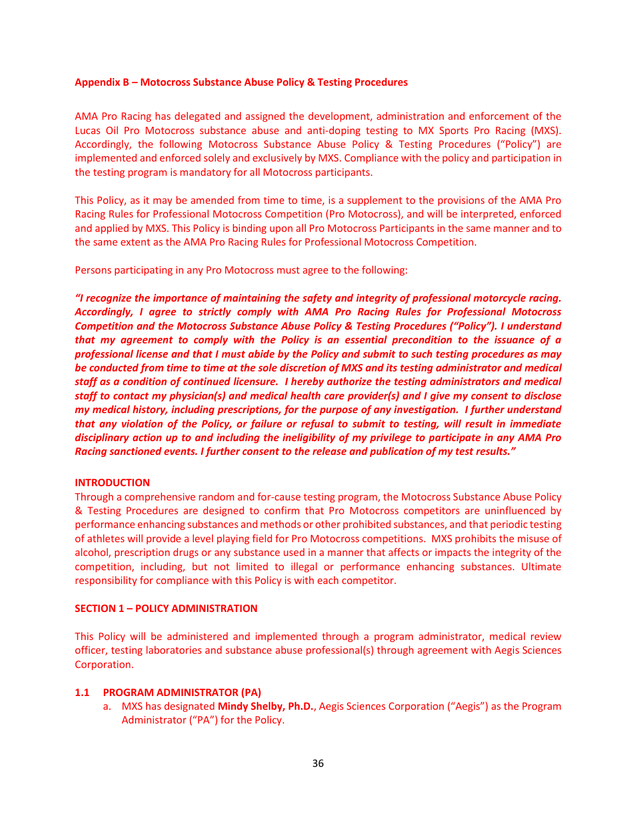#### **Appendix B – Motocross Substance Abuse Policy & Testing Procedures**

AMA Pro Racing has delegated and assigned the development, administration and enforcement of the Lucas Oil Pro Motocross substance abuse and anti-doping testing to MX Sports Pro Racing (MXS). Accordingly, the following Motocross Substance Abuse Policy & Testing Procedures ("Policy") are implemented and enforced solely and exclusively by MXS. Compliance with the policy and participation in the testing program is mandatory for all Motocross participants.

This Policy, as it may be amended from time to time, is a supplement to the provisions of the AMA Pro Racing Rules for Professional Motocross Competition (Pro Motocross), and will be interpreted, enforced and applied by MXS. This Policy is binding upon all Pro Motocross Participants in the same manner and to the same extent as the AMA Pro Racing Rules for Professional Motocross Competition.

Persons participating in any Pro Motocross must agree to the following:

*"I recognize the importance of maintaining the safety and integrity of professional motorcycle racing. Accordingly, I agree to strictly comply with AMA Pro Racing Rules for Professional Motocross Competition and the Motocross Substance Abuse Policy & Testing Procedures ("Policy"). I understand that my agreement to comply with the Policy is an essential precondition to the issuance of a professional license and that I must abide by the Policy and submit to such testing procedures as may be conducted from time to time at the sole discretion of MXS and its testing administrator and medical staff as a condition of continued licensure. I hereby authorize the testing administrators and medical staff to contact my physician(s) and medical health care provider(s) and I give my consent to disclose my medical history, including prescriptions, for the purpose of any investigation. I further understand that any violation of the Policy, or failure or refusal to submit to testing, will result in immediate disciplinary action up to and including the ineligibility of my privilege to participate in any AMA Pro Racing sanctioned events. I further consent to the release and publication of my test results."*

#### **INTRODUCTION**

Through a comprehensive random and for-cause testing program, the Motocross Substance Abuse Policy & Testing Procedures are designed to confirm that Pro Motocross competitors are uninfluenced by performance enhancing substances and methods or other prohibited substances, and that periodic testing of athletes will provide a level playing field for Pro Motocross competitions. MXS prohibits the misuse of alcohol, prescription drugs or any substance used in a manner that affects or impacts the integrity of the competition, including, but not limited to illegal or performance enhancing substances. Ultimate responsibility for compliance with this Policy is with each competitor.

#### **SECTION 1 – POLICY ADMINISTRATION**

This Policy will be administered and implemented through a program administrator, medical review officer, testing laboratories and substance abuse professional(s) through agreement with Aegis Sciences Corporation.

#### **1.1 PROGRAM ADMINISTRATOR (PA)**

a. MXS has designated **Mindy Shelby, Ph.D.**, Aegis Sciences Corporation ("Aegis") as the Program Administrator ("PA") for the Policy.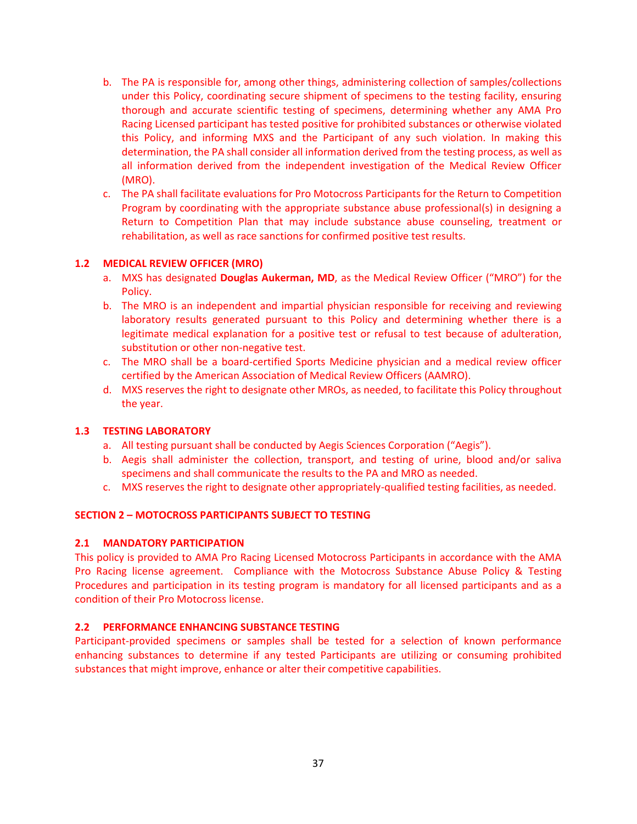- b. The PA is responsible for, among other things, administering collection of samples/collections under this Policy, coordinating secure shipment of specimens to the testing facility, ensuring thorough and accurate scientific testing of specimens, determining whether any AMA Pro Racing Licensed participant has tested positive for prohibited substances or otherwise violated this Policy, and informing MXS and the Participant of any such violation. In making this determination, the PA shall consider all information derived from the testing process, as well as all information derived from the independent investigation of the Medical Review Officer (MRO).
- c. The PA shall facilitate evaluations for Pro Motocross Participants for the Return to Competition Program by coordinating with the appropriate substance abuse professional(s) in designing a Return to Competition Plan that may include substance abuse counseling, treatment or rehabilitation, as well as race sanctions for confirmed positive test results.

#### **1.2 MEDICAL REVIEW OFFICER (MRO)**

- a. MXS has designated **Douglas Aukerman, MD**, as the Medical Review Officer ("MRO") for the Policy.
- b. The MRO is an independent and impartial physician responsible for receiving and reviewing laboratory results generated pursuant to this Policy and determining whether there is a legitimate medical explanation for a positive test or refusal to test because of adulteration, substitution or other non-negative test.
- c. The MRO shall be a board-certified Sports Medicine physician and a medical review officer certified by the American Association of Medical Review Officers (AAMRO).
- d. MXS reserves the right to designate other MROs, as needed, to facilitate this Policy throughout the year.

#### **1.3 TESTING LABORATORY**

- a. All testing pursuant shall be conducted by Aegis Sciences Corporation ("Aegis").
- b. Aegis shall administer the collection, transport, and testing of urine, blood and/or saliva specimens and shall communicate the results to the PA and MRO as needed.
- c. MXS reserves the right to designate other appropriately-qualified testing facilities, as needed.

#### **SECTION 2 – MOTOCROSS PARTICIPANTS SUBJECT TO TESTING**

#### **2.1 MANDATORY PARTICIPATION**

This policy is provided to AMA Pro Racing Licensed Motocross Participants in accordance with the AMA Pro Racing license agreement. Compliance with the Motocross Substance Abuse Policy & Testing Procedures and participation in its testing program is mandatory for all licensed participants and as a condition of their Pro Motocross license.

#### **2.2 PERFORMANCE ENHANCING SUBSTANCE TESTING**

Participant-provided specimens or samples shall be tested for a selection of known performance enhancing substances to determine if any tested Participants are utilizing or consuming prohibited substances that might improve, enhance or alter their competitive capabilities.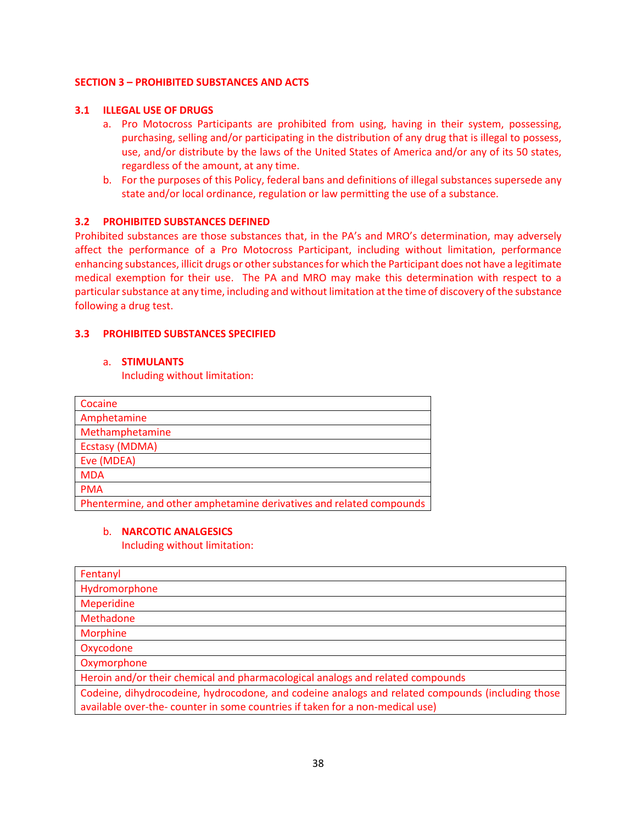#### **SECTION 3 – PROHIBITED SUBSTANCES AND ACTS**

#### **3.1 ILLEGAL USE OF DRUGS**

- a. Pro Motocross Participants are prohibited from using, having in their system, possessing, purchasing, selling and/or participating in the distribution of any drug that is illegal to possess, use, and/or distribute by the laws of the United States of America and/or any of its 50 states, regardless of the amount, at any time.
- b. For the purposes of this Policy, federal bans and definitions of illegal substances supersede any state and/or local ordinance, regulation or law permitting the use of a substance.

#### **3.2 PROHIBITED SUBSTANCES DEFINED**

Prohibited substances are those substances that, in the PA's and MRO's determination, may adversely affect the performance of a Pro Motocross Participant, including without limitation, performance enhancing substances, illicit drugs or other substances for which the Participant does not have a legitimate medical exemption for their use. The PA and MRO may make this determination with respect to a particular substance at any time, including and without limitation at the time of discovery of the substance following a drug test.

## **3.3 PROHIBITED SUBSTANCES SPECIFIED**

#### a. **STIMULANTS**

Including without limitation:

| Cocaine                                                              |
|----------------------------------------------------------------------|
| Amphetamine                                                          |
| Methamphetamine                                                      |
| Ecstasy (MDMA)                                                       |
| Eve (MDEA)                                                           |
| <b>MDA</b>                                                           |
| <b>PMA</b>                                                           |
| Phentermine, and other amphetamine derivatives and related compounds |

#### b. **NARCOTIC ANALGESICS**

Including without limitation:

| Fentanyl                                                                                                                                                                          |
|-----------------------------------------------------------------------------------------------------------------------------------------------------------------------------------|
| Hydromorphone                                                                                                                                                                     |
| <b>Meperidine</b>                                                                                                                                                                 |
| Methadone                                                                                                                                                                         |
| <b>Morphine</b>                                                                                                                                                                   |
| Oxycodone                                                                                                                                                                         |
| Oxymorphone                                                                                                                                                                       |
| Heroin and/or their chemical and pharmacological analogs and related compounds                                                                                                    |
| Codeine, dihydrocodeine, hydrocodone, and codeine analogs and related compounds (including those<br>available over-the- counter in some countries if taken for a non-medical use) |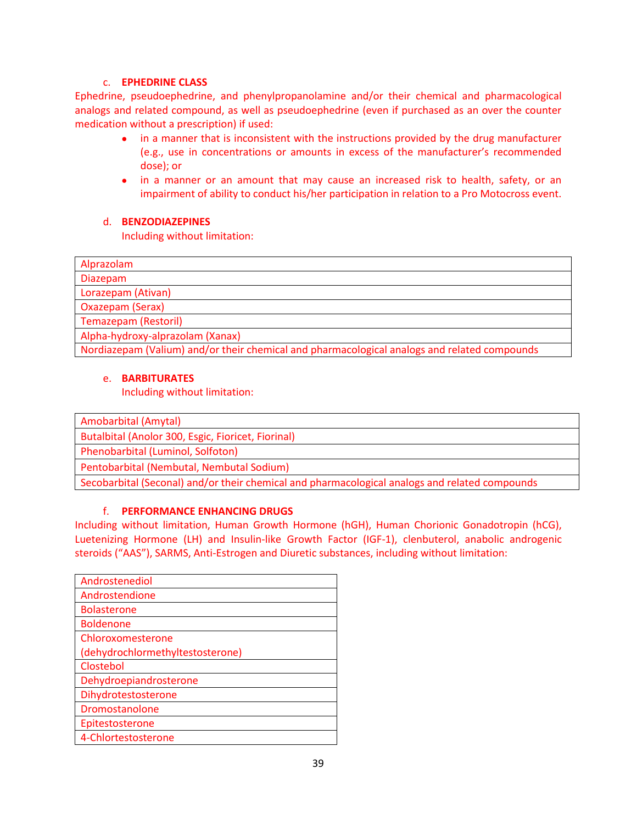## c. **EPHEDRINE CLASS**

Ephedrine, pseudoephedrine, and phenylpropanolamine and/or their chemical and pharmacological analogs and related compound, as well as pseudoephedrine (even if purchased as an over the counter medication without a prescription) if used:

- in a manner that is inconsistent with the instructions provided by the drug manufacturer (e.g., use in concentrations or amounts in excess of the manufacturer's recommended dose); or
- in a manner or an amount that may cause an increased risk to health, safety, or an impairment of ability to conduct his/her participation in relation to a Pro Motocross event.

## d. **BENZODIAZEPINES**

Including without limitation:

| Alprazolam                                                                                   |
|----------------------------------------------------------------------------------------------|
| <b>Diazepam</b>                                                                              |
| Lorazepam (Ativan)                                                                           |
| Oxazepam (Serax)                                                                             |
| <b>Temazepam (Restoril)</b>                                                                  |
| Alpha-hydroxy-alprazolam (Xanax)                                                             |
| Nordiazepam (Valium) and/or their chemical and pharmacological analogs and related compounds |

## e. **BARBITURATES**

Including without limitation:

Amobarbital (Amytal)

Butalbital (Anolor 300, Esgic, Fioricet, Fiorinal)

Phenobarbital (Luminol, Solfoton)

Pentobarbital (Nembutal, Nembutal Sodium)

Secobarbital (Seconal) and/or their chemical and pharmacological analogs and related compounds

## f. **PERFORMANCE ENHANCING DRUGS**

Including without limitation, Human Growth Hormone (hGH), Human Chorionic Gonadotropin (hCG), Luetenizing Hormone (LH) and Insulin-like Growth Factor (IGF-1), clenbuterol, anabolic androgenic steroids ("AAS"), SARMS, Anti-Estrogen and Diuretic substances, including without limitation:

| Androstenediol                   |
|----------------------------------|
| Androstendione                   |
| <b>Bolasterone</b>               |
| <b>Boldenone</b>                 |
| Chloroxomesterone                |
| (dehydrochlormethyltestosterone) |
| Clostebol                        |
| Dehydroepiandrosterone           |
| Dihydrotestosterone              |
| Dromostanolone                   |
| Epitestosterone                  |
| 4-Chlortestosterone              |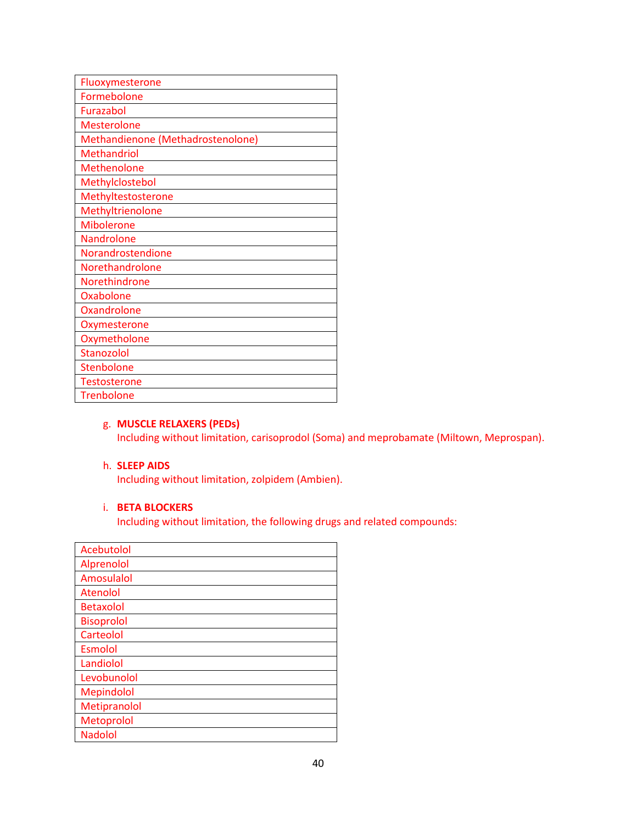| Fluoxymesterone                   |
|-----------------------------------|
| Formebolone                       |
| Furazabol                         |
| <b>Mesterolone</b>                |
| Methandienone (Methadrostenolone) |
| <b>Methandriol</b>                |
| <b>Methenolone</b>                |
| Methylclostebol                   |
| Methyltestosterone                |
| Methyltrienolone                  |
| <b>Mibolerone</b>                 |
| Nandrolone                        |
| Norandrostendione                 |
| Norethandrolone                   |
| <b>Norethindrone</b>              |
| Oxabolone                         |
| <b>Oxandrolone</b>                |
| Oxymesterone                      |
| Oxymetholone                      |
| Stanozolol                        |
| Stenbolone                        |
| <b>Testosterone</b>               |
| <b>Trenbolone</b>                 |

#### g. **MUSCLE RELAXERS (PEDs)**

Including without limitation, carisoprodol (Soma) and meprobamate (Miltown, Meprospan).

#### h. **SLEEP AIDS**

Including without limitation, zolpidem (Ambien).

## i. **BETA BLOCKERS**

Including without limitation, the following drugs and related compounds:

| Acebutolol        |
|-------------------|
| Alprenolol        |
| Amosulalol        |
| Atenolol          |
| <b>Betaxolol</b>  |
| <b>Bisoprolol</b> |
| Carteolol         |
| Esmolol           |
| Landiolol         |
| Levobunolol       |
| Mepindolol        |
| Metipranolol      |
| Metoprolol        |
| <b>Nadolol</b>    |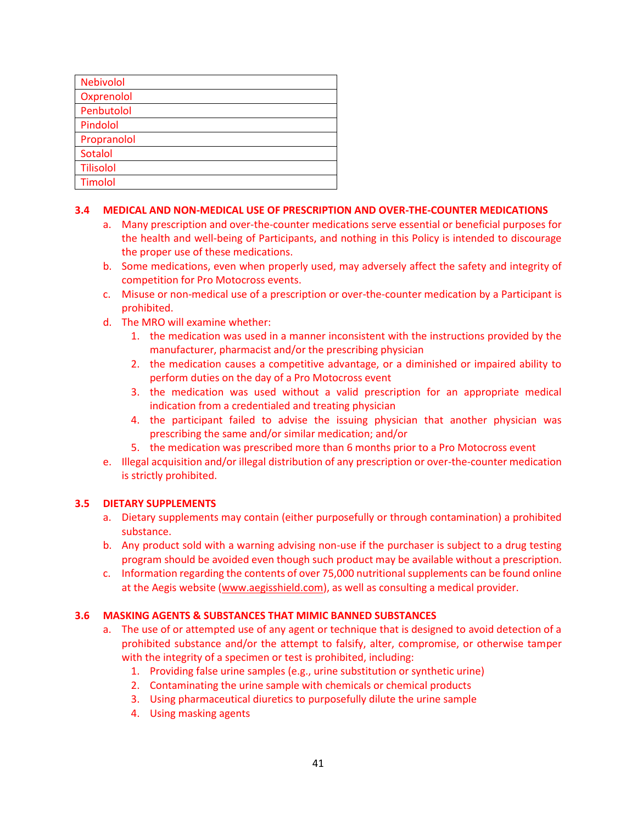| <b>Nebivolol</b> |
|------------------|
| Oxprenolol       |
| Penbutolol       |
| Pindolol         |
| Propranolol      |
| Sotalol          |
| <b>Tilisolol</b> |
| Timolol          |

#### **3.4 MEDICAL AND NON-MEDICAL USE OF PRESCRIPTION AND OVER-THE-COUNTER MEDICATIONS**

- a. Many prescription and over-the-counter medications serve essential or beneficial purposes for the health and well-being of Participants, and nothing in this Policy is intended to discourage the proper use of these medications.
- b. Some medications, even when properly used, may adversely affect the safety and integrity of competition for Pro Motocross events.
- c. Misuse or non-medical use of a prescription or over-the-counter medication by a Participant is prohibited.
- d. The MRO will examine whether:
	- 1. the medication was used in a manner inconsistent with the instructions provided by the manufacturer, pharmacist and/or the prescribing physician
	- 2. the medication causes a competitive advantage, or a diminished or impaired ability to perform duties on the day of a Pro Motocross event
	- 3. the medication was used without a valid prescription for an appropriate medical indication from a credentialed and treating physician
	- 4. the participant failed to advise the issuing physician that another physician was prescribing the same and/or similar medication; and/or
	- 5. the medication was prescribed more than 6 months prior to a Pro Motocross event
- e. Illegal acquisition and/or illegal distribution of any prescription or over-the-counter medication is strictly prohibited.

#### **3.5 DIETARY SUPPLEMENTS**

- a. Dietary supplements may contain (either purposefully or through contamination) a prohibited substance.
- b. Any product sold with a warning advising non-use if the purchaser is subject to a drug testing program should be avoided even though such product may be available without a prescription.
- c. Information regarding the contents of over 75,000 nutritional supplements can be found online at the Aegis website [\(www.aegisshield.com\)](http://www.aegisshield.com/), as well as consulting a medical provider.

#### **3.6 MASKING AGENTS & SUBSTANCES THAT MIMIC BANNED SUBSTANCES**

- a. The use of or attempted use of any agent or technique that is designed to avoid detection of a prohibited substance and/or the attempt to falsify, alter, compromise, or otherwise tamper with the integrity of a specimen or test is prohibited, including:
	- 1. Providing false urine samples (e.g., urine substitution or synthetic urine)
	- 2. Contaminating the urine sample with chemicals or chemical products
	- 3. Using pharmaceutical diuretics to purposefully dilute the urine sample
	- 4. Using masking agents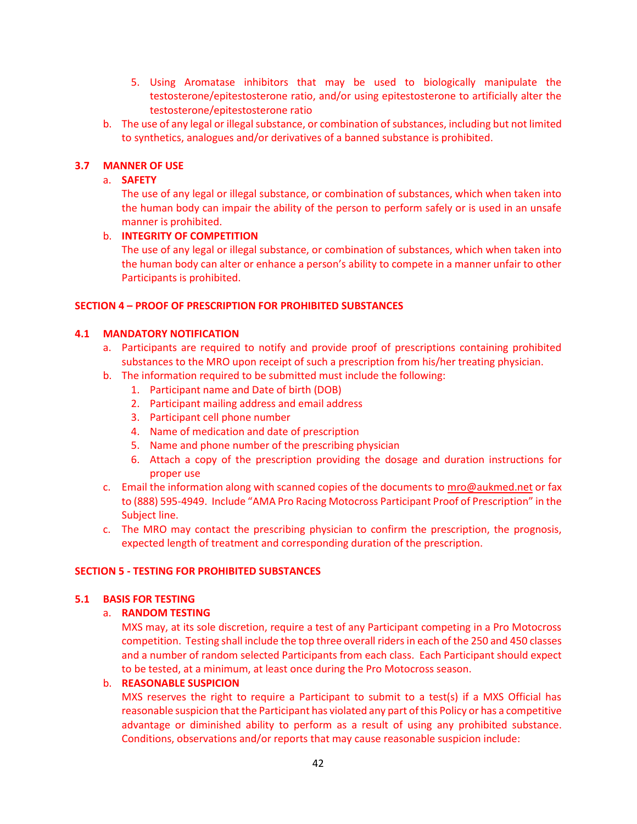- 5. Using Aromatase inhibitors that may be used to biologically manipulate the testosterone/epitestosterone ratio, and/or using epitestosterone to artificially alter the testosterone/epitestosterone ratio
- b. The use of any legal or illegal substance, or combination of substances, including but not limited to synthetics, analogues and/or derivatives of a banned substance is prohibited.

## **3.7 MANNER OF USE**

#### a. **SAFETY**

The use of any legal or illegal substance, or combination of substances, which when taken into the human body can impair the ability of the person to perform safely or is used in an unsafe manner is prohibited.

#### b. **INTEGRITY OF COMPETITION**

The use of any legal or illegal substance, or combination of substances, which when taken into the human body can alter or enhance a person's ability to compete in a manner unfair to other Participants is prohibited.

#### **SECTION 4 – PROOF OF PRESCRIPTION FOR PROHIBITED SUBSTANCES**

## **4.1 MANDATORY NOTIFICATION**

- a. Participants are required to notify and provide proof of prescriptions containing prohibited substances to the MRO upon receipt of such a prescription from his/her treating physician.
- b. The information required to be submitted must include the following:
	- 1. Participant name and Date of birth (DOB)
	- 2. Participant mailing address and email address
	- 3. Participant cell phone number
	- 4. Name of medication and date of prescription
	- 5. Name and phone number of the prescribing physician
	- 6. Attach a copy of the prescription providing the dosage and duration instructions for proper use
- c. Email the information along with scanned copies of the documents to [mro@aukmed.net](mailto:mro@aukmed.net) or fax to (888) 595-4949. Include "AMA Pro Racing Motocross Participant Proof of Prescription" in the Subject line.
- c. The MRO may contact the prescribing physician to confirm the prescription, the prognosis, expected length of treatment and corresponding duration of the prescription.

#### **SECTION 5 - TESTING FOR PROHIBITED SUBSTANCES**

#### **5.1 BASIS FOR TESTING**

#### a. **RANDOM TESTING**

MXS may, at its sole discretion, require a test of any Participant competing in a Pro Motocross competition. Testing shall include the top three overall riders in each of the 250 and 450 classes and a number of random selected Participants from each class. Each Participant should expect to be tested, at a minimum, at least once during the Pro Motocross season.

#### b. **REASONABLE SUSPICION**

MXS reserves the right to require a Participant to submit to a test(s) if a MXS Official has reasonable suspicion that the Participant has violated any part of this Policy or has a competitive advantage or diminished ability to perform as a result of using any prohibited substance. Conditions, observations and/or reports that may cause reasonable suspicion include: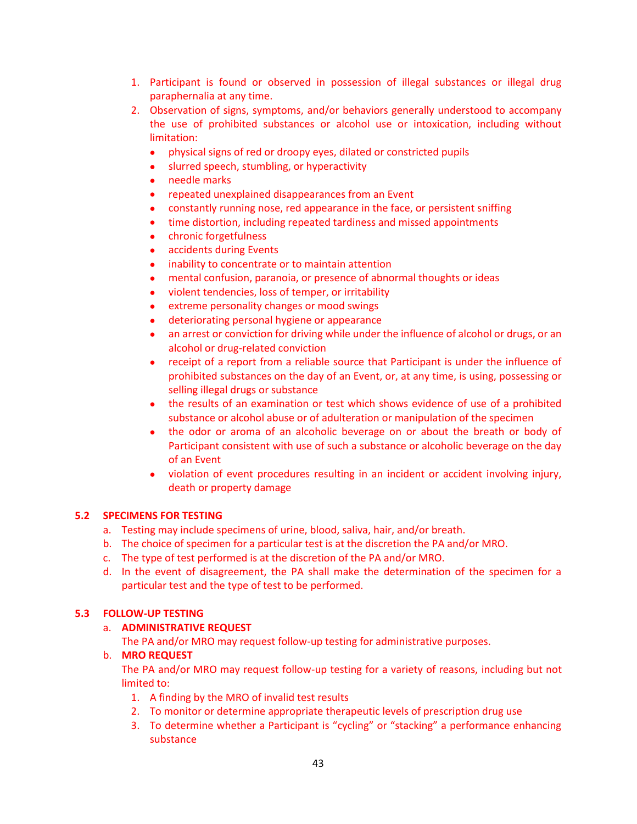- 1. Participant is found or observed in possession of illegal substances or illegal drug paraphernalia at any time.
- 2. Observation of signs, symptoms, and/or behaviors generally understood to accompany the use of prohibited substances or alcohol use or intoxication, including without limitation:
	- physical signs of red or droopy eyes, dilated or constricted pupils
	- slurred speech, stumbling, or hyperactivity
	- needle marks
	- repeated unexplained disappearances from an Event
	- constantly running nose, red appearance in the face, or persistent sniffing
	- time distortion, including repeated tardiness and missed appointments
	- chronic forgetfulness
	- accidents during Events
	- inability to concentrate or to maintain attention
	- mental confusion, paranoia, or presence of abnormal thoughts or ideas
	- violent tendencies, loss of temper, or irritability
	- extreme personality changes or mood swings
	- deteriorating personal hygiene or appearance
	- an arrest or conviction for driving while under the influence of alcohol or drugs, or an alcohol or drug-related conviction
	- receipt of a report from a reliable source that Participant is under the influence of prohibited substances on the day of an Event, or, at any time, is using, possessing or selling illegal drugs or substance
	- the results of an examination or test which shows evidence of use of a prohibited substance or alcohol abuse or of adulteration or manipulation of the specimen
	- the odor or aroma of an alcoholic beverage on or about the breath or body of Participant consistent with use of such a substance or alcoholic beverage on the day of an Event
	- violation of event procedures resulting in an incident or accident involving injury, death or property damage

## **5.2 SPECIMENS FOR TESTING**

- a. Testing may include specimens of urine, blood, saliva, hair, and/or breath.
- b. The choice of specimen for a particular test is at the discretion the PA and/or MRO.
- c. The type of test performed is at the discretion of the PA and/or MRO.
- d. In the event of disagreement, the PA shall make the determination of the specimen for a particular test and the type of test to be performed.

## **5.3 FOLLOW-UP TESTING**

## a. **ADMINISTRATIVE REQUEST**

The PA and/or MRO may request follow-up testing for administrative purposes.

## b. **MRO REQUEST**

The PA and/or MRO may request follow-up testing for a variety of reasons, including but not limited to:

- 1. A finding by the MRO of invalid test results
- 2. To monitor or determine appropriate therapeutic levels of prescription drug use
- 3. To determine whether a Participant is "cycling" or "stacking" a performance enhancing substance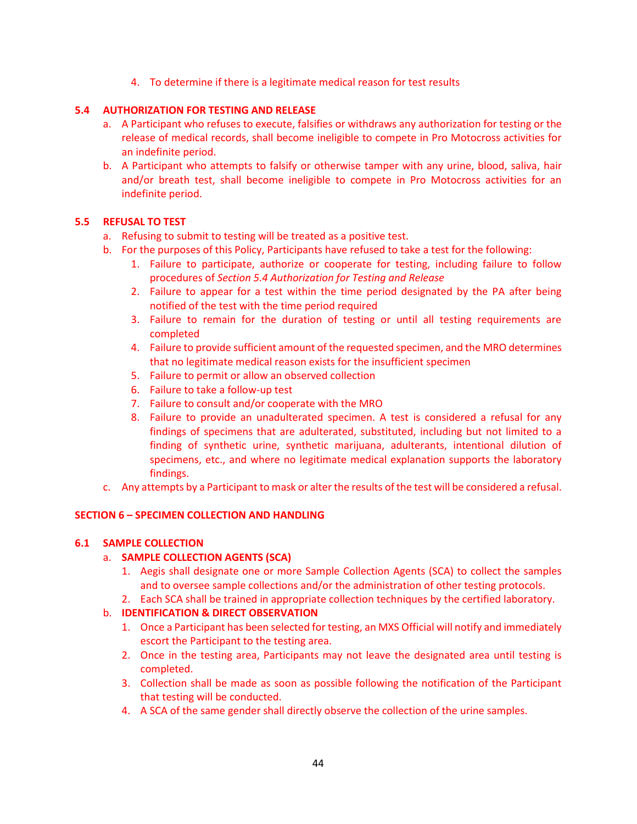4. To determine if there is a legitimate medical reason for test results

## **5.4 AUTHORIZATION FOR TESTING AND RELEASE**

- a. A Participant who refuses to execute, falsifies or withdraws any authorization for testing or the release of medical records, shall become ineligible to compete in Pro Motocross activities for an indefinite period.
- b. A Participant who attempts to falsify or otherwise tamper with any urine, blood, saliva, hair and/or breath test, shall become ineligible to compete in Pro Motocross activities for an indefinite period.

## **5.5 REFUSAL TO TEST**

- a. Refusing to submit to testing will be treated as a positive test.
- b. For the purposes of this Policy, Participants have refused to take a test for the following:
	- 1. Failure to participate, authorize or cooperate for testing, including failure to follow procedures of *Section 5.4 Authorization for Testing and Release*
	- 2. Failure to appear for a test within the time period designated by the PA after being notified of the test with the time period required
	- 3. Failure to remain for the duration of testing or until all testing requirements are completed
	- 4. Failure to provide sufficient amount of the requested specimen, and the MRO determines that no legitimate medical reason exists for the insufficient specimen
	- 5. Failure to permit or allow an observed collection
	- 6. Failure to take a follow-up test
	- 7. Failure to consult and/or cooperate with the MRO
	- 8. Failure to provide an unadulterated specimen. A test is considered a refusal for any findings of specimens that are adulterated, substituted, including but not limited to a finding of synthetic urine, synthetic marijuana, adulterants, intentional dilution of specimens, etc., and where no legitimate medical explanation supports the laboratory findings.
- c. Any attempts by a Participant to mask or alter the results of the test will be considered a refusal.

#### **SECTION 6 – SPECIMEN COLLECTION AND HANDLING**

#### **6.1 SAMPLE COLLECTION**

## a. **SAMPLE COLLECTION AGENTS (SCA)**

- 1. Aegis shall designate one or more Sample Collection Agents (SCA) to collect the samples and to oversee sample collections and/or the administration of other testing protocols.
- 2. Each SCA shall be trained in appropriate collection techniques by the certified laboratory.

## b. **IDENTIFICATION & DIRECT OBSERVATION**

- 1. Once a Participant has been selected for testing, an MXS Official will notify and immediately escort the Participant to the testing area.
- 2. Once in the testing area, Participants may not leave the designated area until testing is completed.
- 3. Collection shall be made as soon as possible following the notification of the Participant that testing will be conducted.
- 4. A SCA of the same gender shall directly observe the collection of the urine samples.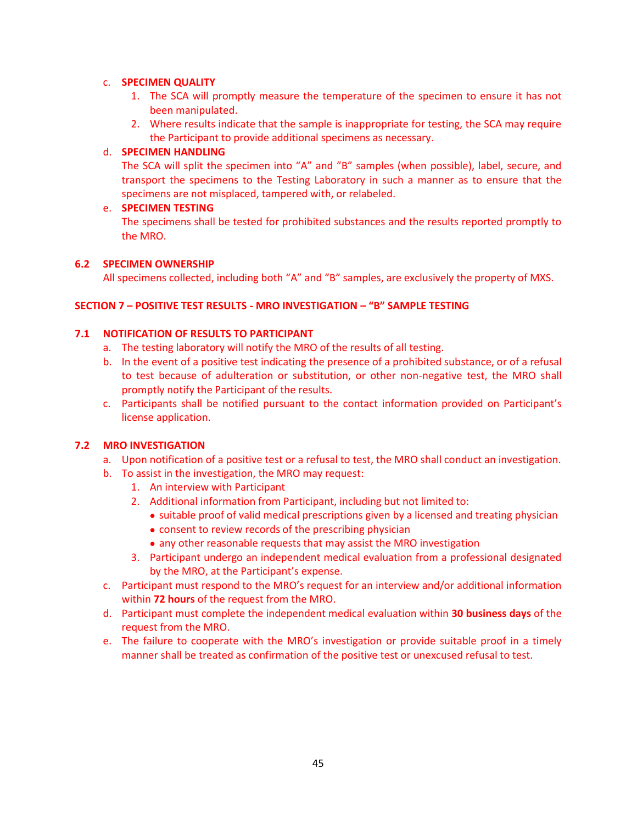#### c. **SPECIMEN QUALITY**

- 1. The SCA will promptly measure the temperature of the specimen to ensure it has not been manipulated.
- 2. Where results indicate that the sample is inappropriate for testing, the SCA may require the Participant to provide additional specimens as necessary.

## d. **SPECIMEN HANDLING**

The SCA will split the specimen into "A" and "B" samples (when possible), label, secure, and transport the specimens to the Testing Laboratory in such a manner as to ensure that the specimens are not misplaced, tampered with, or relabeled.

## e. **SPECIMEN TESTING**

The specimens shall be tested for prohibited substances and the results reported promptly to the MRO.

## **6.2 SPECIMEN OWNERSHIP**

All specimens collected, including both "A" and "B" samples, are exclusively the property of MXS.

## **SECTION 7 – POSITIVE TEST RESULTS - MRO INVESTIGATION – "B" SAMPLE TESTING**

## **7.1 NOTIFICATION OF RESULTS TO PARTICIPANT**

- a. The testing laboratory will notify the MRO of the results of all testing.
- b. In the event of a positive test indicating the presence of a prohibited substance, or of a refusal to test because of adulteration or substitution, or other non-negative test, the MRO shall promptly notify the Participant of the results.
- c. Participants shall be notified pursuant to the contact information provided on Participant's license application.

## **7.2 MRO INVESTIGATION**

- a. Upon notification of a positive test or a refusal to test, the MRO shall conduct an investigation.
- b. To assist in the investigation, the MRO may request:
	- 1. An interview with Participant
	- 2. Additional information from Participant, including but not limited to:
		- suitable proof of valid medical prescriptions given by a licensed and treating physician
		- consent to review records of the prescribing physician
		- any other reasonable requests that may assist the MRO investigation
	- 3. Participant undergo an independent medical evaluation from a professional designated by the MRO, at the Participant's expense.
- c. Participant must respond to the MRO's request for an interview and/or additional information within **72 hours** of the request from the MRO.
- d. Participant must complete the independent medical evaluation within **30 business days** of the request from the MRO.
- e. The failure to cooperate with the MRO's investigation or provide suitable proof in a timely manner shall be treated as confirmation of the positive test or unexcused refusal to test.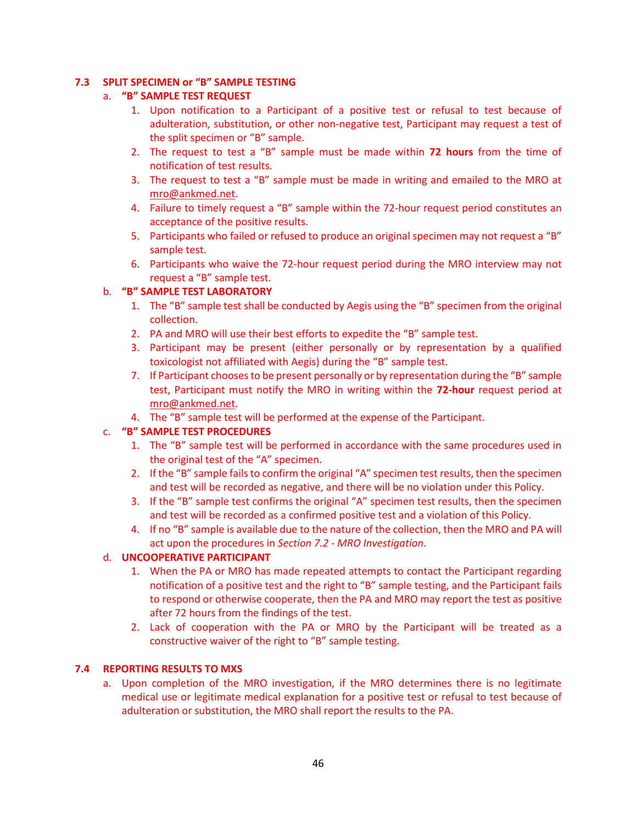## **7.3 SPLIT SPECIMEN or "B" SAMPLE TESTING**

## a. **"B" SAMPLE TEST REQUEST**

- 1. Upon notification to a Participant of a positive test or refusal to test because of adulteration, substitution, or other non-negative test, Participant may request a test of the split specimen or "B" sample.
- 2. The request to test a "B" sample must be made within **72 hours** from the time of notification of test results.
- 3. The request to test a "B" sample must be made in writing and emailed to the MRO at [mro@ankmed.net.](mailto:mro@ankmed.net)
- 4. Failure to timely request a "B" sample within the 72-hour request period constitutes an acceptance of the positive results.
- 5. Participants who failed or refused to produce an original specimen may not request a "B" sample test.
- 6. Participants who waive the 72-hour request period during the MRO interview may not request a "B" sample test.

## b. **"B" SAMPLE TEST LABORATORY**

- 1. The "B" sample test shall be conducted by Aegis using the "B" specimen from the original collection.
- 2. PA and MRO will use their best efforts to expedite the "B" sample test.
- 3. Participant may be present (either personally or by representation by a qualified toxicologist not affiliated with Aegis) during the "B" sample test.
- 7. If Participant chooses to be present personally or by representation during the "B" sample test, Participant must notify the MRO in writing within the **72-hour** request period at [mro@ankmed.net.](mailto:mro@ankmed.net)
- 4. The "B" sample test will be performed at the expense of the Participant.

## c. **"B" SAMPLE TEST PROCEDURES**

- 1. The "B" sample test will be performed in accordance with the same procedures used in the original test of the "A" specimen.
- 2. If the "B" sample fails to confirm the original "A" specimen test results, then the specimen and test will be recorded as negative, and there will be no violation under this Policy.
- 3. If the "B" sample test confirms the original "A" specimen test results, then the specimen and test will be recorded as a confirmed positive test and a violation of this Policy.
- 4. If no "B" sample is available due to the nature of the collection, then the MRO and PA will act upon the procedures in *Section 7.2 - MRO Investigation*.

#### d. **UNCOOPERATIVE PARTICIPANT**

- 1. When the PA or MRO has made repeated attempts to contact the Participant regarding notification of a positive test and the right to "B" sample testing, and the Participant fails to respond or otherwise cooperate, then the PA and MRO may report the test as positive after 72 hours from the findings of the test.
- 2. Lack of cooperation with the PA or MRO by the Participant will be treated as a constructive waiver of the right to "B" sample testing.

## **7.4 REPORTING RESULTS TO MXS**

a. Upon completion of the MRO investigation, if the MRO determines there is no legitimate medical use or legitimate medical explanation for a positive test or refusal to test because of adulteration or substitution, the MRO shall report the results to the PA.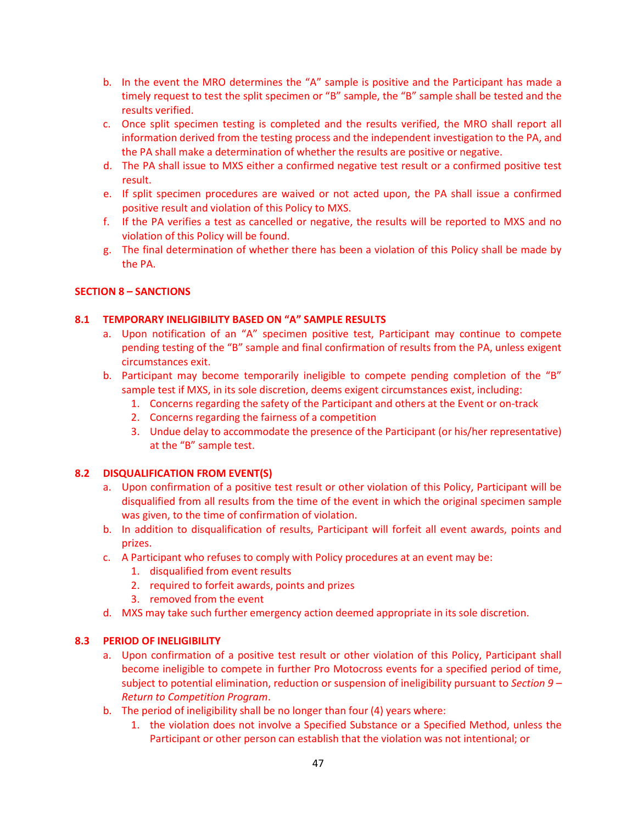- b. In the event the MRO determines the "A" sample is positive and the Participant has made a timely request to test the split specimen or "B" sample, the "B" sample shall be tested and the results verified.
- c. Once split specimen testing is completed and the results verified, the MRO shall report all information derived from the testing process and the independent investigation to the PA, and the PA shall make a determination of whether the results are positive or negative.
- d. The PA shall issue to MXS either a confirmed negative test result or a confirmed positive test result.
- e. If split specimen procedures are waived or not acted upon, the PA shall issue a confirmed positive result and violation of this Policy to MXS.
- f. If the PA verifies a test as cancelled or negative, the results will be reported to MXS and no violation of this Policy will be found.
- g. The final determination of whether there has been a violation of this Policy shall be made by the PA.

## **SECTION 8 – SANCTIONS**

#### **8.1 TEMPORARY INELIGIBILITY BASED ON "A" SAMPLE RESULTS**

- a. Upon notification of an "A" specimen positive test, Participant may continue to compete pending testing of the "B" sample and final confirmation of results from the PA, unless exigent circumstances exit.
- b. Participant may become temporarily ineligible to compete pending completion of the "B" sample test if MXS, in its sole discretion, deems exigent circumstances exist, including:
	- 1. Concerns regarding the safety of the Participant and others at the Event or on-track
	- 2. Concerns regarding the fairness of a competition
	- 3. Undue delay to accommodate the presence of the Participant (or his/her representative) at the "B" sample test.

#### **8.2 DISQUALIFICATION FROM EVENT(S)**

- a. Upon confirmation of a positive test result or other violation of this Policy, Participant will be disqualified from all results from the time of the event in which the original specimen sample was given, to the time of confirmation of violation.
- b. In addition to disqualification of results, Participant will forfeit all event awards, points and prizes.
- c. A Participant who refuses to comply with Policy procedures at an event may be:
	- 1. disqualified from event results
	- 2. required to forfeit awards, points and prizes
	- 3. removed from the event
- d. MXS may take such further emergency action deemed appropriate in its sole discretion.

#### **8.3 PERIOD OF INELIGIBILITY**

- a. Upon confirmation of a positive test result or other violation of this Policy, Participant shall become ineligible to compete in further Pro Motocross events for a specified period of time, subject to potential elimination, reduction or suspension of ineligibility pursuant to *Section 9 – Return to Competition Program*.
- b. The period of ineligibility shall be no longer than four (4) years where:
	- 1. the violation does not involve a Specified Substance or a Specified Method, unless the Participant or other person can establish that the violation was not intentional; or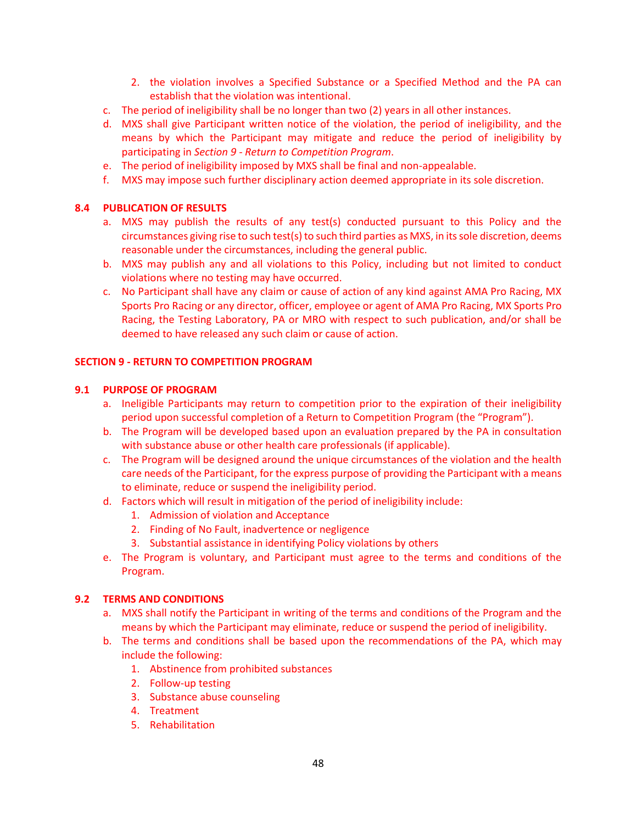- 2. the violation involves a Specified Substance or a Specified Method and the PA can establish that the violation was intentional.
- c. The period of ineligibility shall be no longer than two (2) years in all other instances.
- d. MXS shall give Participant written notice of the violation, the period of ineligibility, and the means by which the Participant may mitigate and reduce the period of ineligibility by participating in *Section 9 - Return to Competition Program*.
- e. The period of ineligibility imposed by MXS shall be final and non-appealable.
- f. MXS may impose such further disciplinary action deemed appropriate in its sole discretion.

#### **8.4 PUBLICATION OF RESULTS**

- a. MXS may publish the results of any test(s) conducted pursuant to this Policy and the circumstances giving rise to such test(s) to such third parties as MXS, in its sole discretion, deems reasonable under the circumstances, including the general public.
- b. MXS may publish any and all violations to this Policy, including but not limited to conduct violations where no testing may have occurred.
- c. No Participant shall have any claim or cause of action of any kind against AMA Pro Racing, MX Sports Pro Racing or any director, officer, employee or agent of AMA Pro Racing, MX Sports Pro Racing, the Testing Laboratory, PA or MRO with respect to such publication, and/or shall be deemed to have released any such claim or cause of action.

#### **SECTION 9 - RETURN TO COMPETITION PROGRAM**

#### **9.1 PURPOSE OF PROGRAM**

- a. Ineligible Participants may return to competition prior to the expiration of their ineligibility period upon successful completion of a Return to Competition Program (the "Program").
- b. The Program will be developed based upon an evaluation prepared by the PA in consultation with substance abuse or other health care professionals (if applicable).
- c. The Program will be designed around the unique circumstances of the violation and the health care needs of the Participant, for the express purpose of providing the Participant with a means to eliminate, reduce or suspend the ineligibility period.
- d. Factors which will result in mitigation of the period of ineligibility include:
	- 1. Admission of violation and Acceptance
	- 2. Finding of No Fault, inadvertence or negligence
	- 3. Substantial assistance in identifying Policy violations by others
- e. The Program is voluntary, and Participant must agree to the terms and conditions of the Program.

#### **9.2 TERMS AND CONDITIONS**

- a. MXS shall notify the Participant in writing of the terms and conditions of the Program and the means by which the Participant may eliminate, reduce or suspend the period of ineligibility.
- b. The terms and conditions shall be based upon the recommendations of the PA, which may include the following:
	- 1. Abstinence from prohibited substances
	- 2. Follow-up testing
	- 3. Substance abuse counseling
	- 4. Treatment
	- 5. Rehabilitation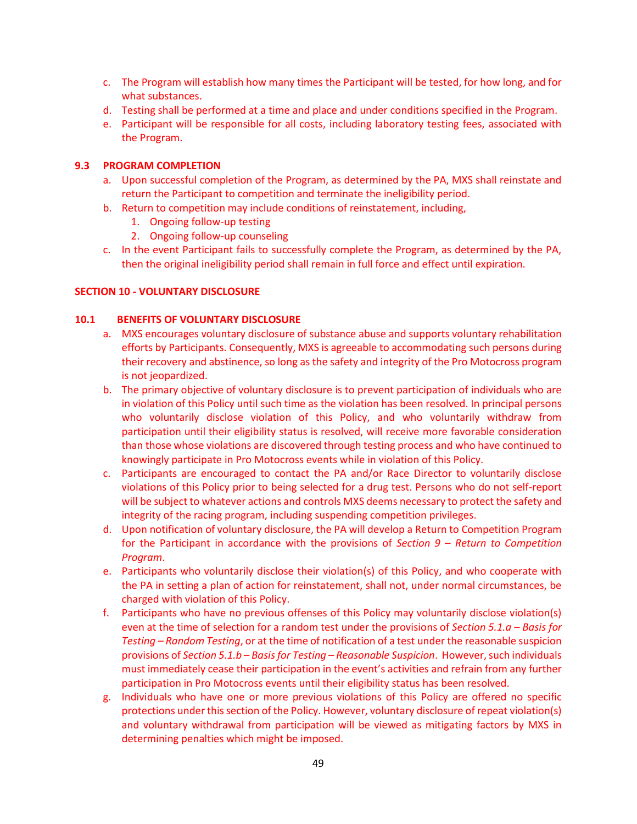- c. The Program will establish how many times the Participant will be tested, for how long, and for what substances.
- d. Testing shall be performed at a time and place and under conditions specified in the Program.
- e. Participant will be responsible for all costs, including laboratory testing fees, associated with the Program.

#### **9.3 PROGRAM COMPLETION**

- a. Upon successful completion of the Program, as determined by the PA, MXS shall reinstate and return the Participant to competition and terminate the ineligibility period.
- b. Return to competition may include conditions of reinstatement, including,
	- 1. Ongoing follow-up testing
	- 2. Ongoing follow-up counseling
- c. In the event Participant fails to successfully complete the Program, as determined by the PA, then the original ineligibility period shall remain in full force and effect until expiration.

#### **SECTION 10 - VOLUNTARY DISCLOSURE**

#### **10.1 BENEFITS OF VOLUNTARY DISCLOSURE**

- a. MXS encourages voluntary disclosure of substance abuse and supports voluntary rehabilitation efforts by Participants. Consequently, MXS is agreeable to accommodating such persons during their recovery and abstinence, so long as the safety and integrity of the Pro Motocross program is not jeopardized.
- b. The primary objective of voluntary disclosure is to prevent participation of individuals who are in violation of this Policy until such time as the violation has been resolved. In principal persons who voluntarily disclose violation of this Policy, and who voluntarily withdraw from participation until their eligibility status is resolved, will receive more favorable consideration than those whose violations are discovered through testing process and who have continued to knowingly participate in Pro Motocross events while in violation of this Policy.
- c. Participants are encouraged to contact the PA and/or Race Director to voluntarily disclose violations of this Policy prior to being selected for a drug test. Persons who do not self-report will be subject to whatever actions and controls MXS deems necessary to protect the safety and integrity of the racing program, including suspending competition privileges.
- d. Upon notification of voluntary disclosure, the PA will develop a Return to Competition Program for the Participant in accordance with the provisions of *Section 9 – Return to Competition Program*.
- e. Participants who voluntarily disclose their violation(s) of this Policy, and who cooperate with the PA in setting a plan of action for reinstatement, shall not, under normal circumstances, be charged with violation of this Policy.
- f. Participants who have no previous offenses of this Policy may voluntarily disclose violation(s) even at the time of selection for a random test under the provisions of *Section 5.1.a – Basis for Testing – Random Testing*, or at the time of notification of a test under the reasonable suspicion provisions of *Section 5.1.b – Basis for Testing – Reasonable Suspicion*. However, such individuals must immediately cease their participation in the event's activities and refrain from any further participation in Pro Motocross events until their eligibility status has been resolved.
- g. Individuals who have one or more previous violations of this Policy are offered no specific protections under this section of the Policy. However, voluntary disclosure of repeat violation(s) and voluntary withdrawal from participation will be viewed as mitigating factors by MXS in determining penalties which might be imposed.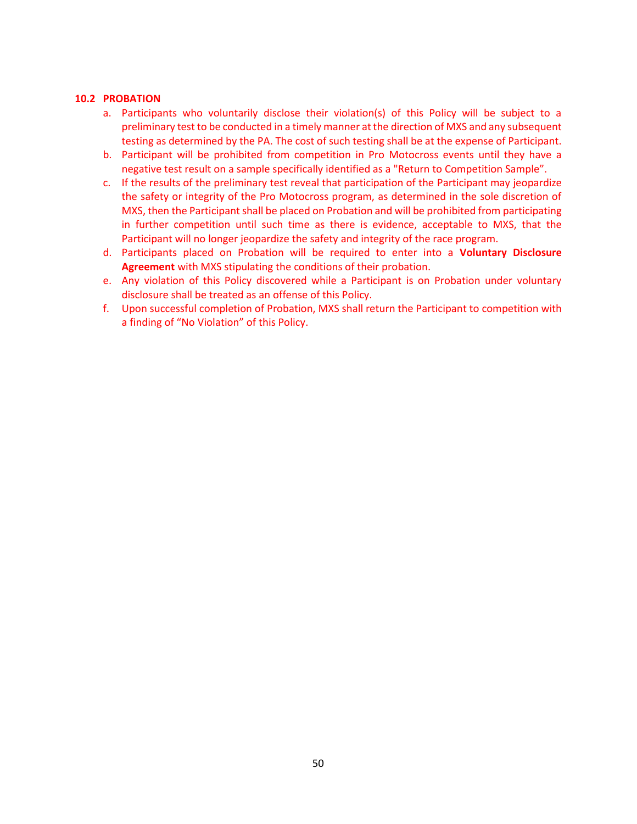#### **10.2 PROBATION**

- a. Participants who voluntarily disclose their violation(s) of this Policy will be subject to a preliminary test to be conducted in a timely manner at the direction of MXS and any subsequent testing as determined by the PA. The cost of such testing shall be at the expense of Participant.
- b. Participant will be prohibited from competition in Pro Motocross events until they have a negative test result on a sample specifically identified as a "Return to Competition Sample".
- c. If the results of the preliminary test reveal that participation of the Participant may jeopardize the safety or integrity of the Pro Motocross program, as determined in the sole discretion of MXS, then the Participant shall be placed on Probation and will be prohibited from participating in further competition until such time as there is evidence, acceptable to MXS, that the Participant will no longer jeopardize the safety and integrity of the race program.
- d. Participants placed on Probation will be required to enter into a **Voluntary Disclosure Agreement** with MXS stipulating the conditions of their probation.
- e. Any violation of this Policy discovered while a Participant is on Probation under voluntary disclosure shall be treated as an offense of this Policy.
- f. Upon successful completion of Probation, MXS shall return the Participant to competition with a finding of "No Violation" of this Policy.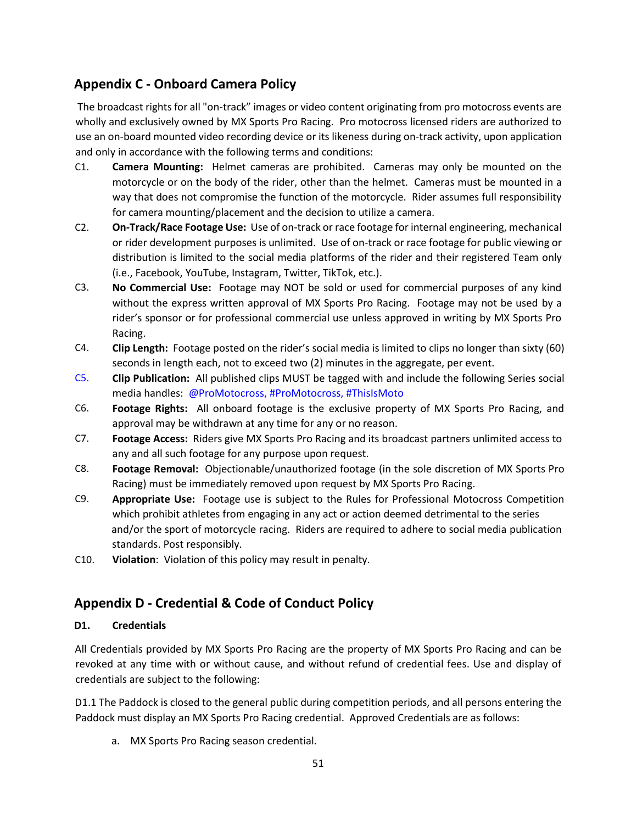# **Appendix C - Onboard Camera Policy**

The broadcast rights for all "on-track" images or video content originating from pro motocross events are wholly and exclusively owned by MX Sports Pro Racing. Pro motocross licensed riders are authorized to use an on-board mounted video recording device or its likeness during on-track activity, upon application and only in accordance with the following terms and conditions:

- C1. **Camera Mounting:** Helmet cameras are prohibited. Cameras may only be mounted on the motorcycle or on the body of the rider, other than the helmet. Cameras must be mounted in a way that does not compromise the function of the motorcycle. Rider assumes full responsibility for camera mounting/placement and the decision to utilize a camera.
- C2. **On-Track/Race Footage Use:** Use of on-track or race footage for internal engineering, mechanical or rider development purposes is unlimited. Use of on-track or race footage for public viewing or distribution is limited to the social media platforms of the rider and their registered Team only (i.e., Facebook, YouTube, Instagram, Twitter, TikTok, etc.).
- C3. **No Commercial Use:** Footage may NOT be sold or used for commercial purposes of any kind without the express written approval of MX Sports Pro Racing. Footage may not be used by a rider's sponsor or for professional commercial use unless approved in writing by MX Sports Pro Racing.
- C4. **Clip Length:** Footage posted on the rider's social media is limited to clips no longer than sixty (60) seconds in length each, not to exceed two (2) minutes in the aggregate, per event.
- C5. **Clip Publication:** All published clips MUST be tagged with and include the following Series social media handles: @ProMotocross, #ProMotocross, #ThisIsMoto
- C6. **Footage Rights:** All onboard footage is the exclusive property of MX Sports Pro Racing, and approval may be withdrawn at any time for any or no reason.
- C7. **Footage Access:** Riders give MX Sports Pro Racing and its broadcast partners unlimited access to any and all such footage for any purpose upon request.
- C8. **Footage Removal:** Objectionable/unauthorized footage (in the sole discretion of MX Sports Pro Racing) must be immediately removed upon request by MX Sports Pro Racing.
- C9. **Appropriate Use:** Footage use is subject to the Rules for Professional Motocross Competition which prohibit athletes from engaging in any act or action deemed detrimental to the series and/or the sport of motorcycle racing. Riders are required to adhere to social media publication standards. Post responsibly.
- C10. **Violation**: Violation of this policy may result in penalty.

# **Appendix D - Credential & Code of Conduct Policy**

## **D1. Credentials**

All Credentials provided by MX Sports Pro Racing are the property of MX Sports Pro Racing and can be revoked at any time with or without cause, and without refund of credential fees. Use and display of credentials are subject to the following:

D1.1 The Paddock is closed to the general public during competition periods, and all persons entering the Paddock must display an MX Sports Pro Racing credential. Approved Credentials are as follows:

a. MX Sports Pro Racing season credential.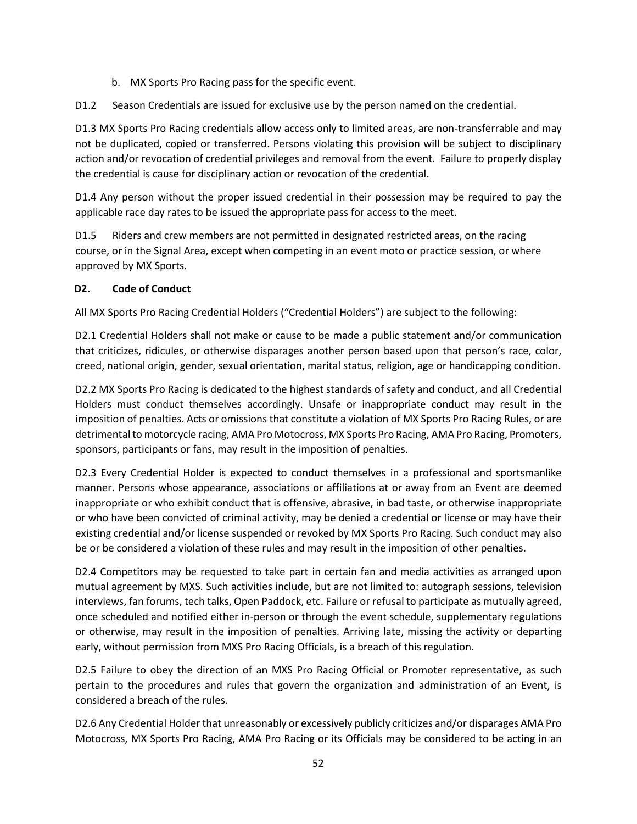- b. MX Sports Pro Racing pass for the specific event.
- D1.2 Season Credentials are issued for exclusive use by the person named on the credential.

D1.3 MX Sports Pro Racing credentials allow access only to limited areas, are non-transferrable and may not be duplicated, copied or transferred. Persons violating this provision will be subject to disciplinary action and/or revocation of credential privileges and removal from the event. Failure to properly display the credential is cause for disciplinary action or revocation of the credential.

D1.4 Any person without the proper issued credential in their possession may be required to pay the applicable race day rates to be issued the appropriate pass for access to the meet.

D1.5 Riders and crew members are not permitted in designated restricted areas, on the racing course, or in the Signal Area, except when competing in an event moto or practice session, or where approved by MX Sports.

## **D2. Code of Conduct**

All MX Sports Pro Racing Credential Holders ("Credential Holders") are subject to the following:

D2.1 Credential Holders shall not make or cause to be made a public statement and/or communication that criticizes, ridicules, or otherwise disparages another person based upon that person's race, color, creed, national origin, gender, sexual orientation, marital status, religion, age or handicapping condition.

D2.2 MX Sports Pro Racing is dedicated to the highest standards of safety and conduct, and all Credential Holders must conduct themselves accordingly. Unsafe or inappropriate conduct may result in the imposition of penalties. Acts or omissions that constitute a violation of MX Sports Pro Racing Rules, or are detrimental to motorcycle racing, AMA Pro Motocross, MX Sports Pro Racing, AMA Pro Racing, Promoters, sponsors, participants or fans, may result in the imposition of penalties.

D2.3 Every Credential Holder is expected to conduct themselves in a professional and sportsmanlike manner. Persons whose appearance, associations or affiliations at or away from an Event are deemed inappropriate or who exhibit conduct that is offensive, abrasive, in bad taste, or otherwise inappropriate or who have been convicted of criminal activity, may be denied a credential or license or may have their existing credential and/or license suspended or revoked by MX Sports Pro Racing. Such conduct may also be or be considered a violation of these rules and may result in the imposition of other penalties.

D2.4 Competitors may be requested to take part in certain fan and media activities as arranged upon mutual agreement by MXS. Such activities include, but are not limited to: autograph sessions, television interviews, fan forums, tech talks, Open Paddock, etc. Failure or refusal to participate as mutually agreed, once scheduled and notified either in-person or through the event schedule, supplementary regulations or otherwise, may result in the imposition of penalties. Arriving late, missing the activity or departing early, without permission from MXS Pro Racing Officials, is a breach of this regulation.

D2.5 Failure to obey the direction of an MXS Pro Racing Official or Promoter representative, as such pertain to the procedures and rules that govern the organization and administration of an Event, is considered a breach of the rules.

D2.6 Any Credential Holder that unreasonably or excessively publicly criticizes and/or disparages AMA Pro Motocross, MX Sports Pro Racing, AMA Pro Racing or its Officials may be considered to be acting in an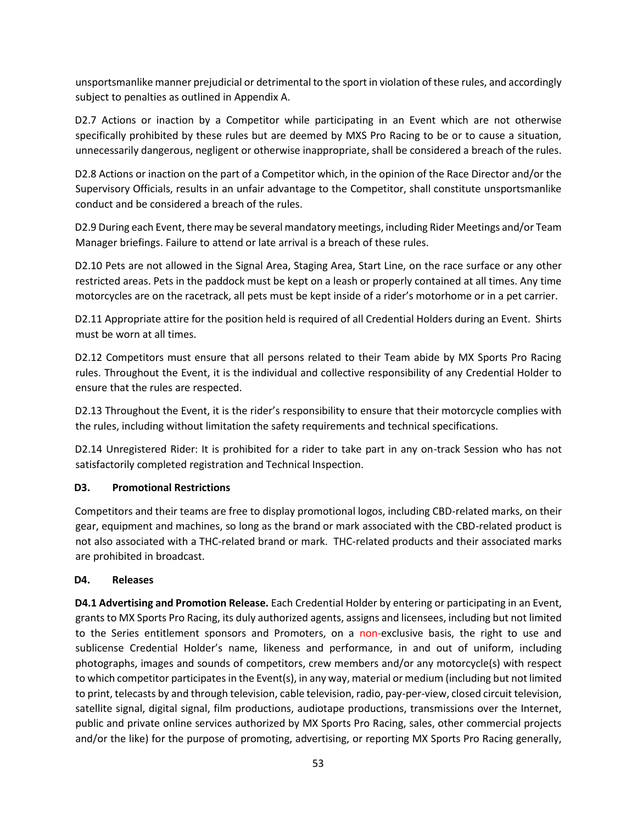unsportsmanlike manner prejudicial or detrimental to the sport in violation of these rules, and accordingly subject to penalties as outlined in Appendix A.

D2.7 Actions or inaction by a Competitor while participating in an Event which are not otherwise specifically prohibited by these rules but are deemed by MXS Pro Racing to be or to cause a situation, unnecessarily dangerous, negligent or otherwise inappropriate, shall be considered a breach of the rules.

D2.8 Actions or inaction on the part of a Competitor which, in the opinion of the Race Director and/or the Supervisory Officials, results in an unfair advantage to the Competitor, shall constitute unsportsmanlike conduct and be considered a breach of the rules.

D2.9 During each Event, there may be several mandatory meetings, including Rider Meetings and/or Team Manager briefings. Failure to attend or late arrival is a breach of these rules.

D2.10 Pets are not allowed in the Signal Area, Staging Area, Start Line, on the race surface or any other restricted areas. Pets in the paddock must be kept on a leash or properly contained at all times. Any time motorcycles are on the racetrack, all pets must be kept inside of a rider's motorhome or in a pet carrier.

D2.11 Appropriate attire for the position held is required of all Credential Holders during an Event. Shirts must be worn at all times.

D2.12 Competitors must ensure that all persons related to their Team abide by MX Sports Pro Racing rules. Throughout the Event, it is the individual and collective responsibility of any Credential Holder to ensure that the rules are respected.

D2.13 Throughout the Event, it is the rider's responsibility to ensure that their motorcycle complies with the rules, including without limitation the safety requirements and technical specifications.

D2.14 Unregistered Rider: It is prohibited for a rider to take part in any on-track Session who has not satisfactorily completed registration and Technical Inspection.

## **D3. Promotional Restrictions**

Competitors and their teams are free to display promotional logos, including CBD-related marks, on their gear, equipment and machines, so long as the brand or mark associated with the CBD-related product is not also associated with a THC-related brand or mark. THC-related products and their associated marks are prohibited in broadcast.

#### **D4. Releases**

**D4.1 Advertising and Promotion Release.** Each Credential Holder by entering or participating in an Event, grants to MX Sports Pro Racing, its duly authorized agents, assigns and licensees, including but not limited to the Series entitlement sponsors and Promoters, on a non-exclusive basis, the right to use and sublicense Credential Holder's name, likeness and performance, in and out of uniform, including photographs, images and sounds of competitors, crew members and/or any motorcycle(s) with respect to which competitor participates in the Event(s), in any way, material or medium (including but not limited to print, telecasts by and through television, cable television, radio, pay-per-view, closed circuit television, satellite signal, digital signal, film productions, audiotape productions, transmissions over the Internet, public and private online services authorized by MX Sports Pro Racing, sales, other commercial projects and/or the like) for the purpose of promoting, advertising, or reporting MX Sports Pro Racing generally,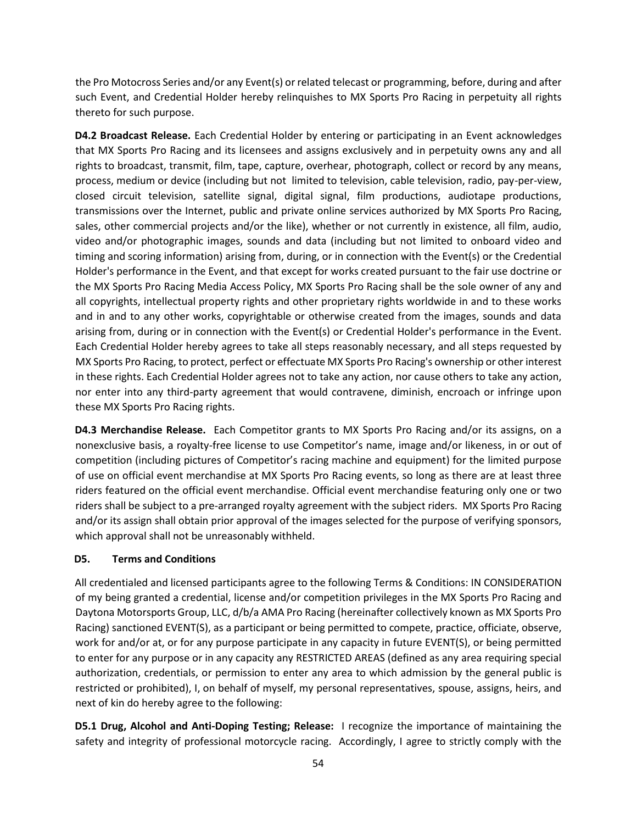the Pro Motocross Series and/or any Event(s) or related telecast or programming, before, during and after such Event, and Credential Holder hereby relinquishes to MX Sports Pro Racing in perpetuity all rights thereto for such purpose.

**D4.2 Broadcast Release.** Each Credential Holder by entering or participating in an Event acknowledges that MX Sports Pro Racing and its licensees and assigns exclusively and in perpetuity owns any and all rights to broadcast, transmit, film, tape, capture, overhear, photograph, collect or record by any means, process, medium or device (including but not limited to television, cable television, radio, pay-per-view, closed circuit television, satellite signal, digital signal, film productions, audiotape productions, transmissions over the Internet, public and private online services authorized by MX Sports Pro Racing, sales, other commercial projects and/or the like), whether or not currently in existence, all film, audio, video and/or photographic images, sounds and data (including but not limited to onboard video and timing and scoring information) arising from, during, or in connection with the Event(s) or the Credential Holder's performance in the Event, and that except for works created pursuant to the fair use doctrine or the MX Sports Pro Racing Media Access Policy, MX Sports Pro Racing shall be the sole owner of any and all copyrights, intellectual property rights and other proprietary rights worldwide in and to these works and in and to any other works, copyrightable or otherwise created from the images, sounds and data arising from, during or in connection with the Event(s) or Credential Holder's performance in the Event. Each Credential Holder hereby agrees to take all steps reasonably necessary, and all steps requested by MX Sports Pro Racing, to protect, perfect or effectuate MX Sports Pro Racing's ownership or other interest in these rights. Each Credential Holder agrees not to take any action, nor cause others to take any action, nor enter into any third-party agreement that would contravene, diminish, encroach or infringe upon these MX Sports Pro Racing rights.

**D4.3 Merchandise Release.** Each Competitor grants to MX Sports Pro Racing and/or its assigns, on a nonexclusive basis, a royalty-free license to use Competitor's name, image and/or likeness, in or out of competition (including pictures of Competitor's racing machine and equipment) for the limited purpose of use on official event merchandise at MX Sports Pro Racing events, so long as there are at least three riders featured on the official event merchandise. Official event merchandise featuring only one or two riders shall be subject to a pre-arranged royalty agreement with the subject riders. MX Sports Pro Racing and/or its assign shall obtain prior approval of the images selected for the purpose of verifying sponsors, which approval shall not be unreasonably withheld.

#### **D5. Terms and Conditions**

All credentialed and licensed participants agree to the following Terms & Conditions: IN CONSIDERATION of my being granted a credential, license and/or competition privileges in the MX Sports Pro Racing and Daytona Motorsports Group, LLC, d/b/a AMA Pro Racing (hereinafter collectively known as MX Sports Pro Racing) sanctioned EVENT(S), as a participant or being permitted to compete, practice, officiate, observe, work for and/or at, or for any purpose participate in any capacity in future EVENT(S), or being permitted to enter for any purpose or in any capacity any RESTRICTED AREAS (defined as any area requiring special authorization, credentials, or permission to enter any area to which admission by the general public is restricted or prohibited), I, on behalf of myself, my personal representatives, spouse, assigns, heirs, and next of kin do hereby agree to the following:

**D5.1 Drug, Alcohol and Anti-Doping Testing; Release:** I recognize the importance of maintaining the safety and integrity of professional motorcycle racing. Accordingly, I agree to strictly comply with the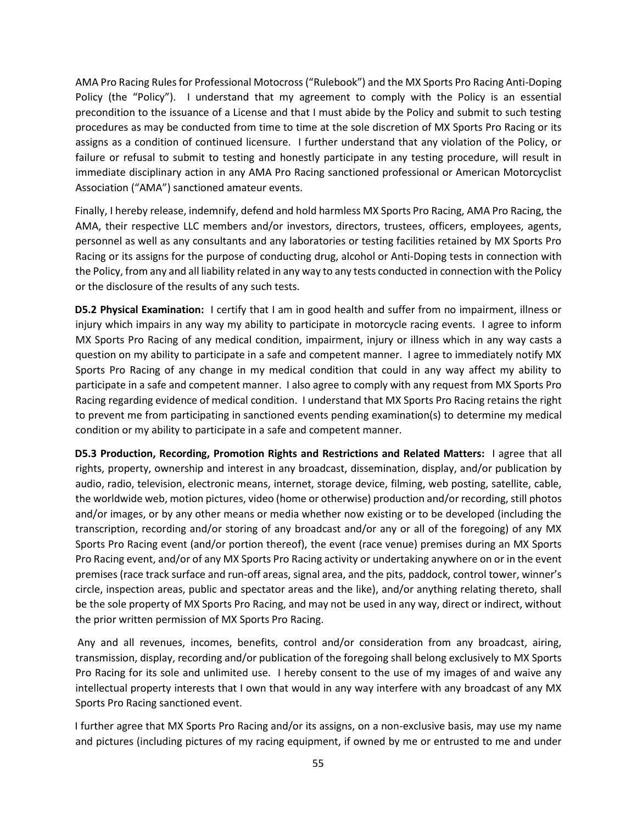AMA Pro Racing Rules for Professional Motocross ("Rulebook") and the MX Sports Pro Racing Anti-Doping Policy (the "Policy"). I understand that my agreement to comply with the Policy is an essential precondition to the issuance of a License and that I must abide by the Policy and submit to such testing procedures as may be conducted from time to time at the sole discretion of MX Sports Pro Racing or its assigns as a condition of continued licensure. I further understand that any violation of the Policy, or failure or refusal to submit to testing and honestly participate in any testing procedure, will result in immediate disciplinary action in any AMA Pro Racing sanctioned professional or American Motorcyclist Association ("AMA") sanctioned amateur events.

Finally, I hereby release, indemnify, defend and hold harmless MX Sports Pro Racing, AMA Pro Racing, the AMA, their respective LLC members and/or investors, directors, trustees, officers, employees, agents, personnel as well as any consultants and any laboratories or testing facilities retained by MX Sports Pro Racing or its assigns for the purpose of conducting drug, alcohol or Anti-Doping tests in connection with the Policy, from any and all liability related in any way to any tests conducted in connection with the Policy or the disclosure of the results of any such tests.

**D5.2 Physical Examination:** I certify that I am in good health and suffer from no impairment, illness or injury which impairs in any way my ability to participate in motorcycle racing events. I agree to inform MX Sports Pro Racing of any medical condition, impairment, injury or illness which in any way casts a question on my ability to participate in a safe and competent manner. I agree to immediately notify MX Sports Pro Racing of any change in my medical condition that could in any way affect my ability to participate in a safe and competent manner. I also agree to comply with any request from MX Sports Pro Racing regarding evidence of medical condition. I understand that MX Sports Pro Racing retains the right to prevent me from participating in sanctioned events pending examination(s) to determine my medical condition or my ability to participate in a safe and competent manner.

**D5.3 Production, Recording, Promotion Rights and Restrictions and Related Matters:** I agree that all rights, property, ownership and interest in any broadcast, dissemination, display, and/or publication by audio, radio, television, electronic means, internet, storage device, filming, web posting, satellite, cable, the worldwide web, motion pictures, video (home or otherwise) production and/or recording, still photos and/or images, or by any other means or media whether now existing or to be developed (including the transcription, recording and/or storing of any broadcast and/or any or all of the foregoing) of any MX Sports Pro Racing event (and/or portion thereof), the event (race venue) premises during an MX Sports Pro Racing event, and/or of any MX Sports Pro Racing activity or undertaking anywhere on or in the event premises (race track surface and run-off areas, signal area, and the pits, paddock, control tower, winner's circle, inspection areas, public and spectator areas and the like), and/or anything relating thereto, shall be the sole property of MX Sports Pro Racing, and may not be used in any way, direct or indirect, without the prior written permission of MX Sports Pro Racing.

Any and all revenues, incomes, benefits, control and/or consideration from any broadcast, airing, transmission, display, recording and/or publication of the foregoing shall belong exclusively to MX Sports Pro Racing for its sole and unlimited use. I hereby consent to the use of my images of and waive any intellectual property interests that I own that would in any way interfere with any broadcast of any MX Sports Pro Racing sanctioned event.

I further agree that MX Sports Pro Racing and/or its assigns, on a non-exclusive basis, may use my name and pictures (including pictures of my racing equipment, if owned by me or entrusted to me and under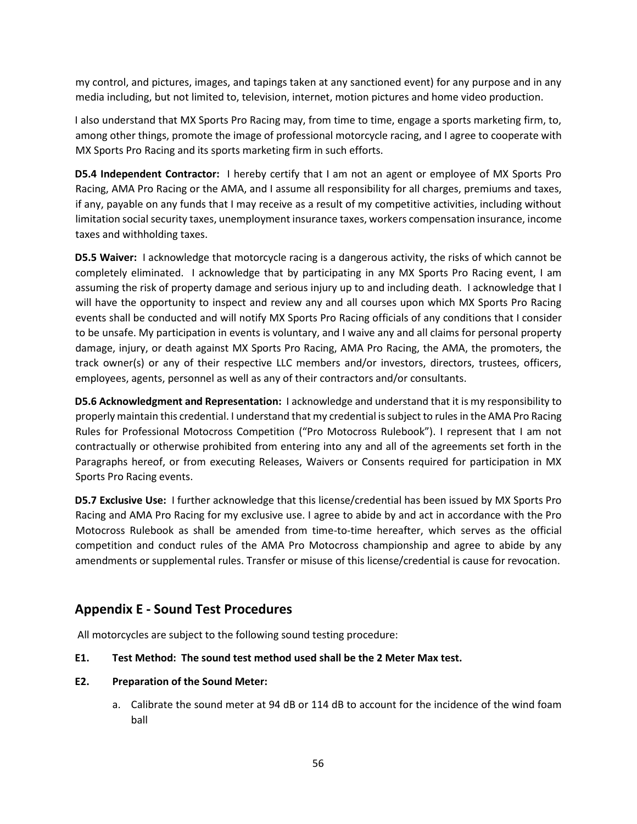my control, and pictures, images, and tapings taken at any sanctioned event) for any purpose and in any media including, but not limited to, television, internet, motion pictures and home video production.

I also understand that MX Sports Pro Racing may, from time to time, engage a sports marketing firm, to, among other things, promote the image of professional motorcycle racing, and I agree to cooperate with MX Sports Pro Racing and its sports marketing firm in such efforts.

**D5.4 Independent Contractor:** I hereby certify that I am not an agent or employee of MX Sports Pro Racing, AMA Pro Racing or the AMA, and I assume all responsibility for all charges, premiums and taxes, if any, payable on any funds that I may receive as a result of my competitive activities, including without limitation social security taxes, unemployment insurance taxes, workers compensation insurance, income taxes and withholding taxes.

**D5.5 Waiver:** I acknowledge that motorcycle racing is a dangerous activity, the risks of which cannot be completely eliminated. I acknowledge that by participating in any MX Sports Pro Racing event, I am assuming the risk of property damage and serious injury up to and including death. I acknowledge that I will have the opportunity to inspect and review any and all courses upon which MX Sports Pro Racing events shall be conducted and will notify MX Sports Pro Racing officials of any conditions that I consider to be unsafe. My participation in events is voluntary, and I waive any and all claims for personal property damage, injury, or death against MX Sports Pro Racing, AMA Pro Racing, the AMA, the promoters, the track owner(s) or any of their respective LLC members and/or investors, directors, trustees, officers, employees, agents, personnel as well as any of their contractors and/or consultants.

**D5.6 Acknowledgment and Representation:** I acknowledge and understand that it is my responsibility to properly maintain this credential. I understand that my credential is subject to rules in the AMA Pro Racing Rules for Professional Motocross Competition ("Pro Motocross Rulebook"). I represent that I am not contractually or otherwise prohibited from entering into any and all of the agreements set forth in the Paragraphs hereof, or from executing Releases, Waivers or Consents required for participation in MX Sports Pro Racing events.

**D5.7 Exclusive Use:** I further acknowledge that this license/credential has been issued by MX Sports Pro Racing and AMA Pro Racing for my exclusive use. I agree to abide by and act in accordance with the Pro Motocross Rulebook as shall be amended from time-to-time hereafter, which serves as the official competition and conduct rules of the AMA Pro Motocross championship and agree to abide by any amendments or supplemental rules. Transfer or misuse of this license/credential is cause for revocation.

# **Appendix E - Sound Test Procedures**

All motorcycles are subject to the following sound testing procedure:

- **E1. Test Method: The sound test method used shall be the 2 Meter Max test.**
- **E2. Preparation of the Sound Meter:** 
	- a. Calibrate the sound meter at 94 dB or 114 dB to account for the incidence of the wind foam ball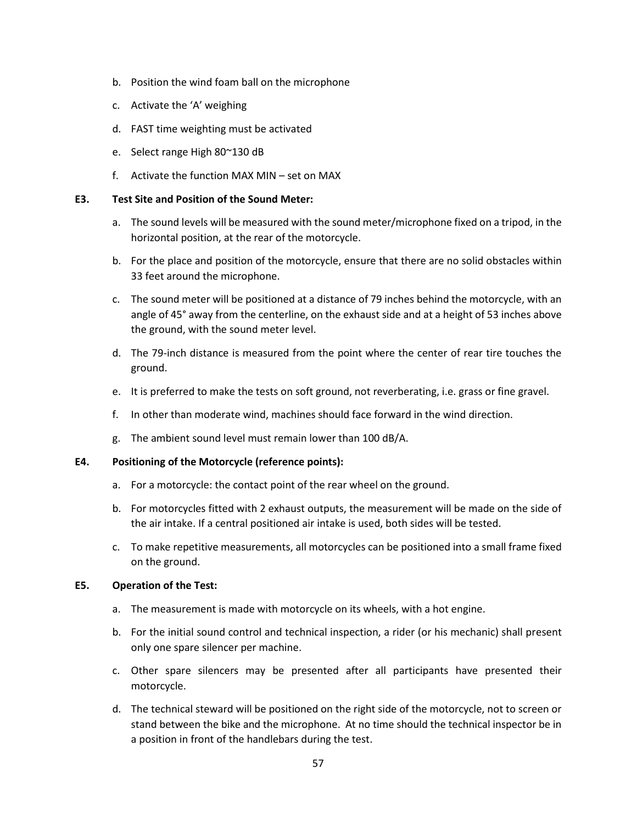- b. Position the wind foam ball on the microphone
- c. Activate the 'A' weighing
- d. FAST time weighting must be activated
- e. Select range High 80~130 dB
- f. Activate the function MAX MIN set on MAX

#### **E3. Test Site and Position of the Sound Meter:**

- a. The sound levels will be measured with the sound meter/microphone fixed on a tripod, in the horizontal position, at the rear of the motorcycle.
- b. For the place and position of the motorcycle, ensure that there are no solid obstacles within 33 feet around the microphone.
- c. The sound meter will be positioned at a distance of 79 inches behind the motorcycle, with an angle of 45° away from the centerline, on the exhaust side and at a height of 53 inches above the ground, with the sound meter level.
- d. The 79-inch distance is measured from the point where the center of rear tire touches the ground.
- e. It is preferred to make the tests on soft ground, not reverberating, i.e. grass or fine gravel.
- f. In other than moderate wind, machines should face forward in the wind direction.
- g. The ambient sound level must remain lower than 100 dB/A.

#### **E4. Positioning of the Motorcycle (reference points):**

- a. For a motorcycle: the contact point of the rear wheel on the ground.
- b. For motorcycles fitted with 2 exhaust outputs, the measurement will be made on the side of the air intake. If a central positioned air intake is used, both sides will be tested.
- c. To make repetitive measurements, all motorcycles can be positioned into a small frame fixed on the ground.

#### **E5. Operation of the Test:**

- a. The measurement is made with motorcycle on its wheels, with a hot engine.
- b. For the initial sound control and technical inspection, a rider (or his mechanic) shall present only one spare silencer per machine.
- c. Other spare silencers may be presented after all participants have presented their motorcycle.
- d. The technical steward will be positioned on the right side of the motorcycle, not to screen or stand between the bike and the microphone. At no time should the technical inspector be in a position in front of the handlebars during the test.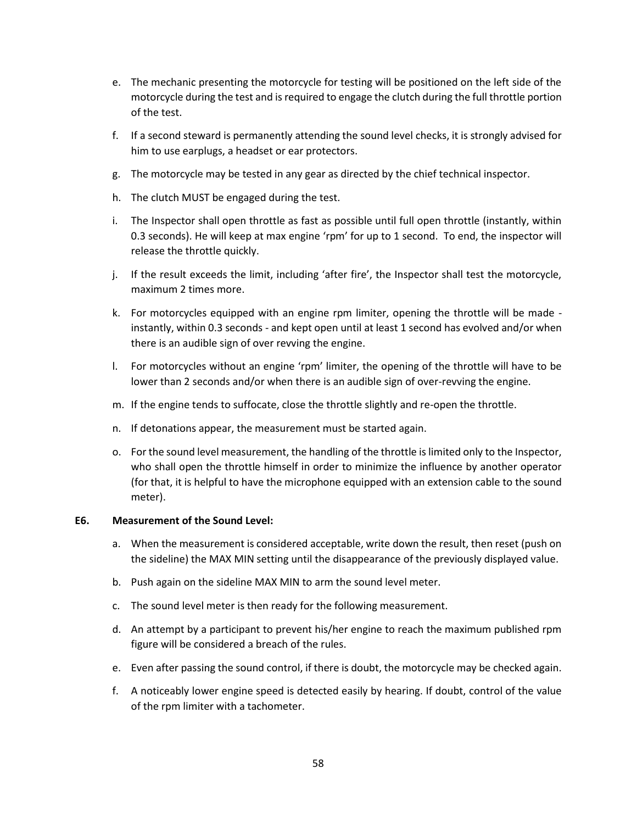- e. The mechanic presenting the motorcycle for testing will be positioned on the left side of the motorcycle during the test and is required to engage the clutch during the full throttle portion of the test.
- f. If a second steward is permanently attending the sound level checks, it is strongly advised for him to use earplugs, a headset or ear protectors.
- g. The motorcycle may be tested in any gear as directed by the chief technical inspector.
- h. The clutch MUST be engaged during the test.
- i. The Inspector shall open throttle as fast as possible until full open throttle (instantly, within 0.3 seconds). He will keep at max engine 'rpm' for up to 1 second. To end, the inspector will release the throttle quickly.
- j. If the result exceeds the limit, including 'after fire', the Inspector shall test the motorcycle, maximum 2 times more.
- k. For motorcycles equipped with an engine rpm limiter, opening the throttle will be made instantly, within 0.3 seconds - and kept open until at least 1 second has evolved and/or when there is an audible sign of over revving the engine.
- l. For motorcycles without an engine 'rpm' limiter, the opening of the throttle will have to be lower than 2 seconds and/or when there is an audible sign of over-revving the engine.
- m. If the engine tends to suffocate, close the throttle slightly and re-open the throttle.
- n. If detonations appear, the measurement must be started again.
- o. For the sound level measurement, the handling of the throttle is limited only to the Inspector, who shall open the throttle himself in order to minimize the influence by another operator (for that, it is helpful to have the microphone equipped with an extension cable to the sound meter).

#### **E6. Measurement of the Sound Level:**

- a. When the measurement is considered acceptable, write down the result, then reset (push on the sideline) the MAX MIN setting until the disappearance of the previously displayed value.
- b. Push again on the sideline MAX MIN to arm the sound level meter.
- c. The sound level meter is then ready for the following measurement.
- d. An attempt by a participant to prevent his/her engine to reach the maximum published rpm figure will be considered a breach of the rules.
- e. Even after passing the sound control, if there is doubt, the motorcycle may be checked again.
- f. A noticeably lower engine speed is detected easily by hearing. If doubt, control of the value of the rpm limiter with a tachometer.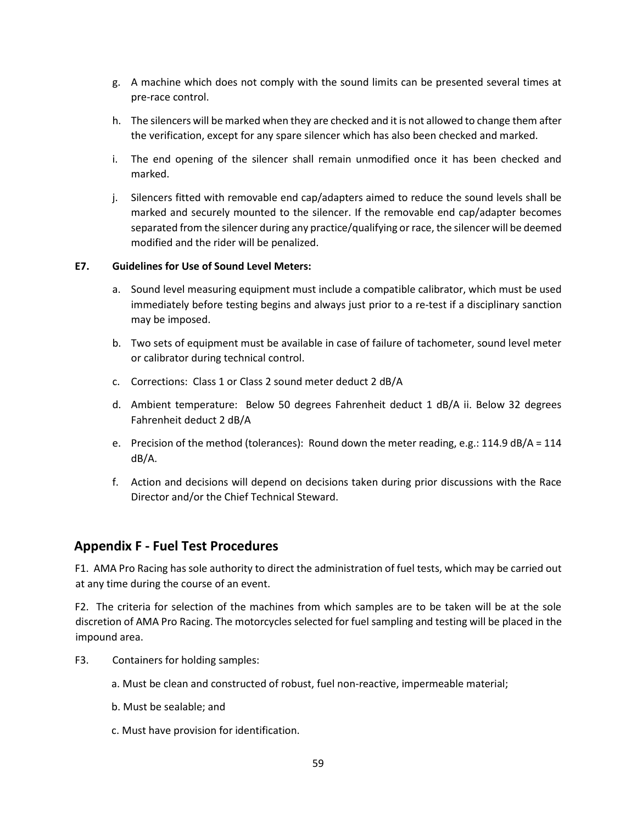- g. A machine which does not comply with the sound limits can be presented several times at pre-race control.
- h. The silencers will be marked when they are checked and it is not allowed to change them after the verification, except for any spare silencer which has also been checked and marked.
- i. The end opening of the silencer shall remain unmodified once it has been checked and marked.
- j. Silencers fitted with removable end cap/adapters aimed to reduce the sound levels shall be marked and securely mounted to the silencer. If the removable end cap/adapter becomes separated from the silencer during any practice/qualifying or race, the silencer will be deemed modified and the rider will be penalized.

#### **E7. Guidelines for Use of Sound Level Meters:**

- a. Sound level measuring equipment must include a compatible calibrator, which must be used immediately before testing begins and always just prior to a re-test if a disciplinary sanction may be imposed.
- b. Two sets of equipment must be available in case of failure of tachometer, sound level meter or calibrator during technical control.
- c. Corrections: Class 1 or Class 2 sound meter deduct 2 dB/A
- d. Ambient temperature: Below 50 degrees Fahrenheit deduct 1 dB/A ii. Below 32 degrees Fahrenheit deduct 2 dB/A
- e. Precision of the method (tolerances): Round down the meter reading, e.g.: 114.9 dB/A = 114 dB/A.
- f. Action and decisions will depend on decisions taken during prior discussions with the Race Director and/or the Chief Technical Steward.

## **Appendix F - Fuel Test Procedures**

F1. AMA Pro Racing has sole authority to direct the administration of fuel tests, which may be carried out at any time during the course of an event.

F2. The criteria for selection of the machines from which samples are to be taken will be at the sole discretion of AMA Pro Racing. The motorcycles selected for fuel sampling and testing will be placed in the impound area.

- F3. Containers for holding samples:
	- a. Must be clean and constructed of robust, fuel non-reactive, impermeable material;
	- b. Must be sealable; and
	- c. Must have provision for identification.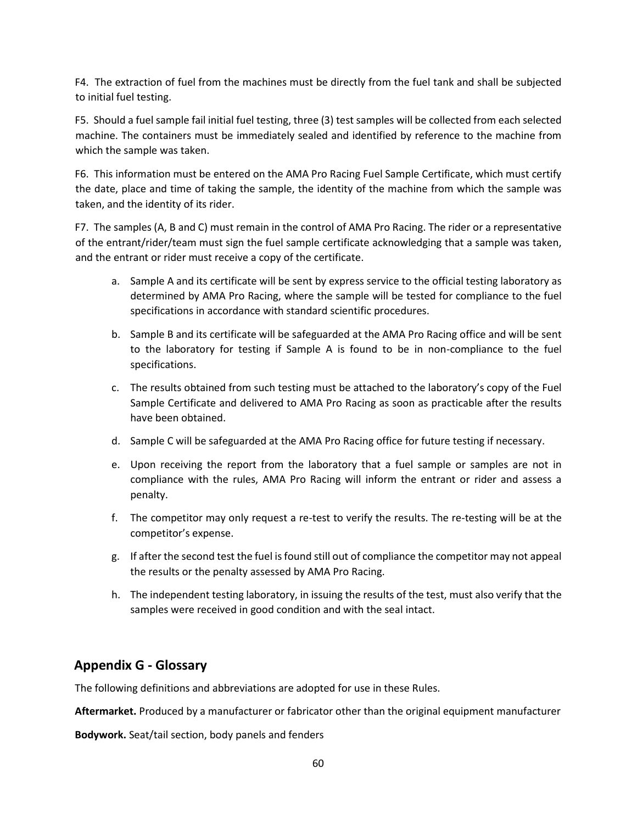F4. The extraction of fuel from the machines must be directly from the fuel tank and shall be subjected to initial fuel testing.

F5. Should a fuel sample fail initial fuel testing, three (3) test samples will be collected from each selected machine. The containers must be immediately sealed and identified by reference to the machine from which the sample was taken.

F6. This information must be entered on the AMA Pro Racing Fuel Sample Certificate, which must certify the date, place and time of taking the sample, the identity of the machine from which the sample was taken, and the identity of its rider.

F7. The samples (A, B and C) must remain in the control of AMA Pro Racing. The rider or a representative of the entrant/rider/team must sign the fuel sample certificate acknowledging that a sample was taken, and the entrant or rider must receive a copy of the certificate.

- a. Sample A and its certificate will be sent by express service to the official testing laboratory as determined by AMA Pro Racing, where the sample will be tested for compliance to the fuel specifications in accordance with standard scientific procedures.
- b. Sample B and its certificate will be safeguarded at the AMA Pro Racing office and will be sent to the laboratory for testing if Sample A is found to be in non-compliance to the fuel specifications.
- c. The results obtained from such testing must be attached to the laboratory's copy of the Fuel Sample Certificate and delivered to AMA Pro Racing as soon as practicable after the results have been obtained.
- d. Sample C will be safeguarded at the AMA Pro Racing office for future testing if necessary.
- e. Upon receiving the report from the laboratory that a fuel sample or samples are not in compliance with the rules, AMA Pro Racing will inform the entrant or rider and assess a penalty.
- f. The competitor may only request a re-test to verify the results. The re-testing will be at the competitor's expense.
- g. If after the second test the fuel is found still out of compliance the competitor may not appeal the results or the penalty assessed by AMA Pro Racing.
- h. The independent testing laboratory, in issuing the results of the test, must also verify that the samples were received in good condition and with the seal intact.

# **Appendix G - Glossary**

The following definitions and abbreviations are adopted for use in these Rules.

**Aftermarket.** Produced by a manufacturer or fabricator other than the original equipment manufacturer

**Bodywork.** Seat/tail section, body panels and fenders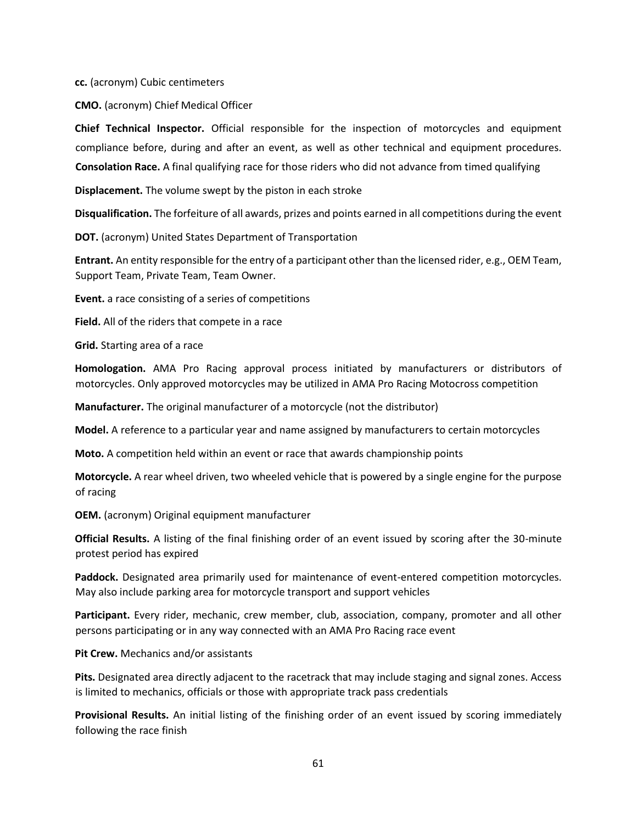**cc.** (acronym) Cubic centimeters

**CMO.** (acronym) Chief Medical Officer

**Chief Technical Inspector.** Official responsible for the inspection of motorcycles and equipment compliance before, during and after an event, as well as other technical and equipment procedures. **Consolation Race.** A final qualifying race for those riders who did not advance from timed qualifying

**Displacement.** The volume swept by the piston in each stroke

**Disqualification.** The forfeiture of all awards, prizes and points earned in all competitions during the event

**DOT.** (acronym) United States Department of Transportation

**Entrant.** An entity responsible for the entry of a participant other than the licensed rider, e.g., OEM Team, Support Team, Private Team, Team Owner.

**Event.** a race consisting of a series of competitions

**Field.** All of the riders that compete in a race

**Grid.** Starting area of a race

**Homologation.** AMA Pro Racing approval process initiated by manufacturers or distributors of motorcycles. Only approved motorcycles may be utilized in AMA Pro Racing Motocross competition

**Manufacturer.** The original manufacturer of a motorcycle (not the distributor)

**Model.** A reference to a particular year and name assigned by manufacturers to certain motorcycles

**Moto.** A competition held within an event or race that awards championship points

**Motorcycle.** A rear wheel driven, two wheeled vehicle that is powered by a single engine for the purpose of racing

**OEM.** (acronym) Original equipment manufacturer

**Official Results.** A listing of the final finishing order of an event issued by scoring after the 30-minute protest period has expired

**Paddock.** Designated area primarily used for maintenance of event-entered competition motorcycles. May also include parking area for motorcycle transport and support vehicles

**Participant.** Every rider, mechanic, crew member, club, association, company, promoter and all other persons participating or in any way connected with an AMA Pro Racing race event

**Pit Crew.** Mechanics and/or assistants

**Pits.** Designated area directly adjacent to the racetrack that may include staging and signal zones. Access is limited to mechanics, officials or those with appropriate track pass credentials

**Provisional Results.** An initial listing of the finishing order of an event issued by scoring immediately following the race finish